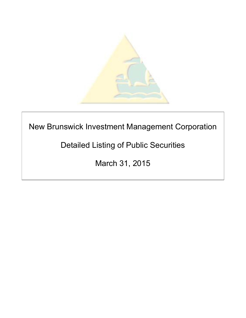

# New Brunswick Investment Management Corporation

## Detailed Listing of Public Securities

March 31, 2015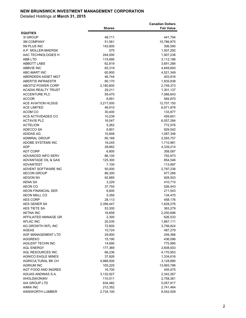|                                           |                   | <b>Canadian Dollars</b> |
|-------------------------------------------|-------------------|-------------------------|
|                                           | <b>Shares</b>     | <b>Fair Value</b>       |
| <b>EQUITIES</b>                           |                   |                         |
| 31 GROUP                                  | 48,711            | 441,794                 |
| <b>3M COMPANY</b>                         | 51,561            | 10,786,875              |
| 5N PLUS INC                               | 142,600           | 306,590                 |
| A.P. MOLLER-MAERSK                        | 575               | 1,507,292               |
| AAC TECHNOLOGIES H                        | 244,000           | 1,907,236               |
| ABB LTD                                   | 115,695           | 3,112,186               |
| <b>ABBOTT LABS</b>                        | 62,819            | 3,691,266               |
| <b>ABBVIE INC</b>                         | 65,319            | 4,849,693               |
| <b>ABC-MART INC</b>                       | 60,900            | 4,521,349               |
| ABERDEEN ASSET MGT                        | 46,744            | 403,916                 |
| <b>ABERTIS INFRAESTR</b>                  | 80,170            | 1,835,838               |
| <b>ABOITIZ POWER CORP</b>                 | 2,180,600         | 2,749,373               |
| <b>ACADIA REALTY TRUST</b>                | 29,211            | 1,301,137               |
| <b>ACCENTURE PLC</b>                      | 59,470            | 7,066,643               |
| <b>ACCOR</b>                              | 8,851             | 584,870                 |
| <b>ACE AVIATION HLDGS</b>                 | 3,217,000         | 12,707,150              |
| <b>ACE LIMITED</b>                        | 46,910            | 6,671,876               |
| ACOM CO                                   | 30,400            | 133,877                 |
| ACS ACTIVIDADES CO                        | 10,239            | 459,601                 |
| <b>ACTAVIS PLC</b>                        | 16,047            | 6,057,284               |
| <b>ACTELION</b>                           | 5,262             | 772,576                 |
| ADECCO SA                                 | 8,801             | 929,542                 |
| ADIDAS AG                                 | 10,848            | 1,087,346               |
| <b>ADMIRAL GROUP</b>                      | 90,168            | 2,593,757               |
| ADOBE SYSTEMS INC                         | 18,245            | 1,710,981               |
| ADP                                       | 28,662            | 4,339,214               |
| <b>ADT CORP</b>                           | 6,800             | 358,087                 |
| ADVANCED INFO SERV<br>ADVANTAGE OIL & GAS | 86,100<br>125,300 | 793,973                 |
| <b>ADVANTEST</b>                          | 7,100             | 854,546                 |
| ADVENT SOFTWARE INC                       | 50,000            | 113,897<br>2,797,236    |
| <b>AECON GROUP</b>                        | 86,300            | 977,266                 |
| <b>AEGON NV</b>                           | 92,885            | 928,503                 |
| AENA SA                                   | 3,229             | 410,710                 |
| <b>AEON CO</b>                            | 37,793            | 526,443                 |
| <b>AEON FINANCIAL SER</b>                 | 6,600             | 211,543                 |
| <b>AEON MALL CO</b>                       | 5,350             | 134,470                 |
| <b>AES CORP</b>                           | 28,113            | 458,176                 |
| AES GENER SA                              | 2,356,447         | 1,628,276               |
| AES TIETE SA                              | 53,300            | 363,279                 |
| <b>AETNA INC</b>                          | 16,658            | 2,250,696               |
| AFFILIATED MANAGE GR                      | 2,300             | 626,533                 |
| <b>AFLAC INC</b>                          | 20,535            | 1,667,111               |
| AG GROWTH INTL INC                        | 72,800            | 3,756,824               |
| <b>AGEAS</b>                              | 10,724            | 487,279                 |
| AGF MANAGEMENT LTD                        | 29,900            | 249,366                 |
| <b>AGGREKO</b>                            | 15,190            | 436,096                 |
| AGILENT TECHN INC                         | 14,690            | 775,995                 |
| <b>AGL ENERGY</b>                         | 177,369           | 2,608,503               |
| AGL RESOURCES INC                         | 66,236            | 4,170,953               |
| <b>AGNICO EAGLE MINES</b>                 | 37,926            | 1,334,616               |
| AGRICULTURAL BK CH                        | 4,988,000         | 3,128,890               |
| <b>AGRIUM INC</b>                         | 105,225           | 13,993,796              |
| AGT FOOD AND INGRED                       | 16,700            | 455,075                 |
| AGUAS ANDINAS S.A.                        | 3,132,927         | 2,342,267               |
| AHOLD(KON)NV                              | 110,511           | 2,758,361               |
| AIA GROUP LTD                             | 634,482           | 5,057,917               |
| <b>AIMIA INC</b>                          | 212,352           | 2,741,464               |
| AINSWORTH LUMBER                          | 2,734,100         | 9,542,009               |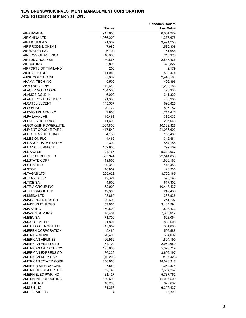|                            |               | <b>Canadian Dollars</b> |
|----------------------------|---------------|-------------------------|
|                            | <b>Shares</b> | <b>Fair Value</b>       |
| <b>AIR CANADA</b>          | 717,056       | 8,884,324               |
| <b>AIR CHINA LTD</b>       | 1,066,200     | 1,377,678               |
| AIR LIQUIDE(L')            | 21,302        | 3,471,256               |
| AIR PRODS & CHEMS          | 7,980         | 1,539,308               |
| AIR WATER INC              | 6,700         | 151,986                 |
| AIRBOSS OF AMERICA         | 16,000        | 248,320                 |
| AIRBUS GROUP SE            | 30,865        | 2,537,466               |
| <b>AIRGAS INC</b>          | 2,800         | 376,822                 |
| AIRPORTS OF THAILAND       | 200           | 2,179                   |
| AISIN SEIKI CO             |               |                         |
|                            | 11,043        | 508,474                 |
| AJINOMOTO CO INC           | 87,897        | 2,445,500               |
| AKAMAI TECH INC            | 5,509         | 496,396                 |
| AKZO NOBEL NV              | 12,613        | 1,208,158               |
| ALACER GOLD CORP           | 154,500       | 423,330                 |
| ALAMOS GOLD IN             | 46,000        | 341,320                 |
| <b>ALARIS ROYALTY CORP</b> | 21,330        | 706,983                 |
| ALCATEL-LUCENT             | 145,537       | 696,828                 |
| ALCOA INC                  | 49,174        | 805,787                 |
| <b>ALEXION PHARM INC</b>   | 7,800         | 1,714,412               |
| ALFA LAVAL AB              | 15,468        | 385,033                 |
| <b>ALFRESA HOLDINGS</b>    | 11,600        | 207,646                 |
| ALGONQUIN POWER&UTIL       | 1,094,800     | 10,368,825              |
| ALIMENT COUCHE-TARD        | 417,540       | 21,086,602              |
| ALLEGHENY TECH INC         | 4,138         | 157,499                 |
| <b>ALLEGION PLC</b>        | 4,466         | 346,481                 |
| ALLIANCE DATA SYSTEM       | 2,300         | 864,188                 |
| <b>ALLIANCE FINANCIAL</b>  | 182,600       | 299,109                 |
| <b>ALLIANZ SE</b>          | 24,165        | 5,319,967               |
| <b>ALLIED PROPERTIES</b>   | 557,944       | 22,541,830              |
| <b>ALLSTATE CORP</b>       | 19,855        | 1,800,183               |
| <b>ALS LIMITED</b>         | 30,310        | 145,458                 |
| <b>ALSTOM</b>              | 10,907        | 426,236                 |
| <b>ALTAGAS LTD</b>         | 205,628       | 8,720,169               |
| <b>ALTERA CORP</b>         | 12,321        | 670,543                 |
| <b>ALTICE SA</b>           | 4,500         | 617,302                 |
| <b>ALTRIA GROUP INC</b>    | 162,909       | 10,443,437              |
| ALTUS GROUP LTD            | 12,300        | 242,433                 |
| <b>ALUMINA LTD</b>         | 153,865       | 238,938                 |
| AMADA HOLDINGS CO          | 20,600        | 251,707                 |
| AMADEUS IT HLDGS           | 57,664        | 3,134,294               |
| <b>AMAYA INC</b>           | 60,890        | 1,808,433               |
| AMAZON COM INC             | 15,481        | 7,306,017               |
| <b>AMBEV SA</b>            | 71,700        | 523,054                 |
| <b>AMCOR LIMITED</b>       | 61,807        | 839,605                 |
| AMEC FOSTER WHEELE         | 17,857        | 304,006                 |
| AMEREN CORPORATION         | 9,465         | 506,588                 |
| <b>AMERICA MOVIL</b>       | 26,400        | 684,092                 |
| <b>AMERICAN AIRLINES</b>   | 26,952        | 1,804,190               |
| AMERICAN ASSETS TR         | 54,100        | 2,969,659               |
| AMERICAN CAP AGENCY        | 195,000       | 5,329,714               |
| AMERICAN EXPRESS CO        | 36,236        | 3,602,197               |
| AMERICAN RLTY CAP          | (10, 200)     | (127, 426)              |
| AMERICAN TOWER CORP        |               |                         |
|                            | 150,966       | 18,026,917              |
| AMERIPRISE FINANCIAL       | 7,559         | 1,254,374               |
| AMERISOURCE-BERGEN         | 52,746        | 7,604,267               |
| AMERN ELEC PWR INC         | 81,127        | 5,787,752               |
| AMERN INTL GROUP INC       | 159,699       | 11,097,509              |
| AMETEK INC                 | 10,200        | 679,692                 |
| AMGEN INC                  | 31,353        | 6,356,437               |
| <b>AMOREPACIFIC</b>        | 4             | 15,320                  |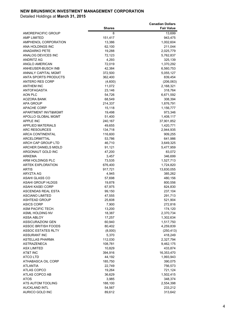|                                                     |                  | <b>Canadian Dollars</b> |
|-----------------------------------------------------|------------------|-------------------------|
|                                                     | <b>Shares</b>    | <b>Fair Value</b>       |
| AMOREPACIFIC GROUP                                  | 8                | 13,699                  |
| <b>AMP LIMITED</b>                                  | 151,417          | 943,475                 |
| AMPHENOL CORPORATION                                | 13,386           | 1,002,604               |
| ANA HOLDINGS INC                                    | 62,100           | 211,044                 |
| <b>ANADARKO PETE</b>                                | 19,288           | 2,025,779               |
| ANALOG DEVICES INC                                  | 72,123           | 5,762,837               |
| <b>ANDRITZ AG</b>                                   | 4,293            | 325,139                 |
| ANGLO AMERICAN                                      | 72,019           | 1,370,292               |
| ANHEUSER-BUSCH INB                                  | 42,384           | 6,560,753               |
| <b>ANNALY CAPITAL MGMT</b>                          | 372,500          | 5,055,127               |
| <b>ANTA SPORTS PRODUCTS</b>                         | 362,400          | 839,454                 |
| <b>ANTERO RES CORP</b>                              | (4,600)          | (206, 063)              |
| <b>ANTHEM INC</b><br><b>ANTOFAGASTA</b>             | 11,072<br>23,146 | 2,168,321               |
| AON PLC                                             | 54,726           | 318,764<br>6,671,592    |
| AOZORA BANK                                         | 68,549           | 308,394                 |
| APA GROUP                                           | 214,337          | 1,876,791               |
| APACHE CORP                                         | 15,118           | 1,156,777               |
| APARTMENT INVT&MGMT                                 | 19,498           | 973,346                 |
| <b>APOLLO GLOBAL MGMT</b>                           | 51,400           | 1,408,117               |
| <b>APPLE INC</b>                                    | 240,167          | 37,901,852              |
| <b>APPLIED MATERIALS</b>                            | 49,655           | 1,420,771               |
| <b>ARC RESOURCES</b>                                | 134,718          | 2,944,935               |
| <b>ARCA CONTINENTAL</b>                             | 116,600          | 909,255                 |
| ARCELORMITTAL                                       | 53,786           | 641,986                 |
| ARCH CAP GROUP LTD                                  | 46,710           | 3,649,325               |
| ARCHER DANIELS MIDLD                                | 91,121           | 5,477,959               |
| ARGONAUT GOLD INC                                   | 47,200           | 83,072                  |
| <b>ARKEMA</b>                                       | 3,457            | 346,699                 |
| ARM HOLDINGS PLC                                    | 73,535           | 1,527,713               |
| <b>ARTEK EXPLORATION</b>                            | 676,400          | 1,724,820               |
| <b>ARTIS</b>                                        | 917,721          | 13,830,055              |
| ARYZTA AG                                           | 4,945            | 385,262                 |
| ASAHI GLASS CO                                      | 57,698           | 480,156                 |
| <b>ASAHI GROUP HLDGS</b><br><b>ASAHI KASEI CORP</b> | 19,878<br>67,975 | 800,556                 |
| <b>ASCENDAS REAL ESTA</b>                           | 99,150           | 824,830<br>237,104      |
| <b>ASCIANO LIMITED</b>                              | 47,555           | 291,713                 |
| ASHTEAD GROUP                                       | 25,608           | 521.904                 |
| <b>ASICS CORP</b>                                   | 7,900            | 272,816                 |
| ASM PACIFIC TECH.                                   | 13,200           | 174,120                 |
| ASML HOLDING NV                                     | 18,387           | 2,370,734               |
| ASSA ABLOY                                          | 17,257           | 1,302,634               |
| <b>ASSICURAZIONI GEN</b>                            | 60,940           | 1,517,750               |
| <b>ASSOC BRITISH FOODS</b>                          | 80,402           | 4,259,839               |
| <b>ASSOC ESTATES RLTY</b>                           | (8,000)          | (250, 413)              |
| <b>ASSURANT INC</b>                                 | 5,370            | 418,249                 |
| <b>ASTELLAS PHARMA</b>                              | 112,030          | 2,327,794               |
| <b>ASTRAZENECA</b>                                  | 108,781          | 9,462,175               |
| ASX LIMITED                                         | 10,829           | 433,874                 |
| AT&T INC                                            | 394,916          | 16,353,470              |
| <b>ATCO LTD</b>                                     | 44,192           | 1,993,943               |
| ATHABASCA OIL CORP                                  | 185,750          | 390,075                 |
| <b>ATLANTIA</b><br><b>ATLAS COPCO</b>               | 22,749<br>19,264 | 756,573<br>721,124      |
| ATLAS COPCO AB                                      | 36,629           | 1,502,415               |
| <b>ATOS</b>                                         | 3,985            | 348,374                 |
| ATS AUTOM TOOLING                                   | 188,100          | 2,554,398               |
| <b>AUCKLAND INTL</b>                                | 54,567           | 233,212                 |
| AURICO GOLD INC                                     | 89,612           | 313,642                 |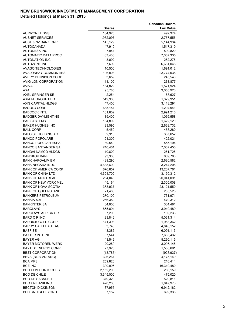|                                                    |                      | <b>Canadian Dollars</b> |
|----------------------------------------------------|----------------------|-------------------------|
|                                                    | <b>Shares</b>        | <b>Fair Value</b>       |
| <b>AURIZON HLDGS</b>                               | 104,926              | 492,374                 |
| <b>AUSNET SERVICES</b>                             | 1,952,097            | 2,757,556               |
| AUST & NZ BANK GRP                                 | 145,129              | 5,144,934               |
| <b>AUTOCANADA</b>                                  | 47,910               | 1,517,310               |
| <b>AUTODESK INC</b>                                | 7,944                | 590,820                 |
| AUTOMATIC DATA PROC                                | 67,438               | 7,367,335               |
| <b>AUTONATION INC</b>                              | 3,092                | 252,275                 |
| <b>AUTOZONE INC</b>                                | 7,699                | 6,661,048               |
| AVAGO TECHNOLOGIES                                 | 10,500               | 1,691,012               |
| <b>AVALONBAY COMMUNTIES</b>                        | 106,808              | 23,774,035              |
| AVERY DENNISON CORP                                | 3,659                | 245,540                 |
| AVIGILON CORPORATION                               | 11,100               | 233,877                 |
| AVIVA<br><b>AXA</b>                                | 154,829              | 1,571,924               |
| AXEL SPRINGER SE                                   | 95,785<br>2,254      | 3,055,923<br>168,627    |
| AXIATA GROUP BHD                                   | 549,300              | 1,329,951               |
| AXIS CAPITAL HLDGS                                 | 47,400               | 3,118,291               |
| <b>B2GOLD CORP</b>                                 | 685,154              | 1,294,941               |
| <b>BABCOCK INTL</b>                                | 161,602              | 2,991,216               |
| <b>BADGER DAYLIGHTING</b>                          | 39,400               | 1,066,558               |
| <b>BAE SYSTEMS</b>                                 | 164,809              | 1,622,120               |
| <b>BAKER HUGHES INC</b>                            | 33,095               | 2,668,732               |
| <b>BALL CORP</b>                                   | 5,450                | 488,280                 |
| <b>BALOISE HOLDING AG</b>                          | 2,310                | 387,652                 |
| <b>BANCO POPOLARE</b>                              | 21,309               | 422,021                 |
| <b>BANCO POPULAR ESPA</b>                          | 89,549               | 555,194                 |
| <b>BANCO SANTANDER SA</b>                          | 740,461              | 7,067,456               |
| <b>BANDAI NAMCO HLDGS</b>                          | 10,600               | 261,725                 |
| <b>BANGKOK BANK</b>                                | 93,300               | 669,780                 |
| <b>BANK HAPOALIM BM</b>                            | 439,290              | 2,680,582               |
| <b>BANK NEGARA INDO</b>                            | 4,635,600            | 3,244,205               |
| <b>BANK OF AMERICA CORP</b>                        | 676,657              | 13,207,761              |
| <b>BANK OF CHINA LTD</b>                           | 4,304,700            | 3,150,312               |
| <b>BANK OF MONTREAL</b>                            | 264,046              | 20,041,091              |
| BANK OF NEW YORK MEL<br><b>BANK OF NOVA SCOTIA</b> | 45,164               | 2,305,008               |
| <b>BANK OF QUEENSLAND</b>                          | 368,937<br>21,400    | 23,121,550<br>285,528   |
| <b>BANKERS PETROLEUM</b>                           | 270,100              | 731,971                 |
| BANKIA S.A                                         | 266.380              | 470.312                 |
| <b>BANKINTER SA</b>                                | 34,600               | 334,481                 |
| <b>BARCLAYS</b>                                    | 865,894              | 3,949,489               |
| <b>BARCLAYS AFRICA GR</b>                          | 7,200                | 139,233                 |
| <b>BARD C R INC</b>                                | 23,846               | 5,061,314               |
| <b>BARRICK GOLD CORP</b>                           | 141,398              | 1,958,362               |
| <b>BARRY CALLEBAUT AG</b>                          | 3,740                | 4,640,152               |
| <b>BASF SE</b>                                     | 48,385               | 6,091,113               |
| <b>BAXTER INTL INC</b>                             | 87,544               | 7,663,432               |
| <b>BAYER AG</b>                                    | 43,549               | 8,290,115               |
| BAYER MOTOREN WERK                                 | 20,289               | 3,095,145               |
| BAYTEX ENERGY CORP                                 | 77,928               | 1,568,691               |
| <b>BB&amp;T CORPORATION</b>                        | (18, 785)            | (928, 937)              |
| BBVA (BILB-VIZ-ARG)                                | 326,261              | 4,175,149               |
| <b>BCA MPS</b>                                     | 259,826              | 218,414                 |
| <b>BCE INC</b>                                     | 300,995              | 16,349,480              |
| <b>BCO COM PORTUGUES</b>                           | 2,152,200            | 280,159                 |
| <b>BCO DE CHILE</b><br><b>BCO DE SABADELL</b>      | 3,345,000<br>379,320 | 475,020<br>529,811      |
| <b>BDO UNIBANK INC</b>                             | 470,200              | 1,647,973               |
| <b>BECTON DICKINSON</b>                            | 37,955               | 6,912,182               |
| <b>BED BATH &amp; BEYOND</b>                       | 7,182                | 699,338                 |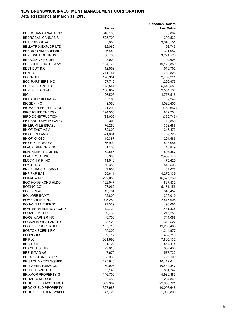|                                                  |                    | <b>Canadian Dollars</b> |
|--------------------------------------------------|--------------------|-------------------------|
|                                                  | <b>Shares</b>      | <b>Fair Value</b>       |
| BEDROCAN CANADA INC                              | 340,100            | 6,802                   |
| BEDROCAN CANNABIS                                | 525,700            | 399,532                 |
| <b>BEIERSDORF AG</b>                             | 35,855             | 3,945,551               |
| BELLATRIX EXPLOR LTD                             | 32,060             | 98,745                  |
| BENDIGO AND ADELAIDE                             | 26,440             | 321,052                 |
| BENESSE HOLDINGS                                 | 80,700             | 3,221,520               |
| BERKLEY W R CORP                                 | 3,000              | 192,604                 |
| <b>BERKSHIRE HATHAWAY</b>                        | 104,779            | 19,178,859              |
| BEST BUY INC                                     | 12,662             | 618,762                 |
| <b>BEZEQ</b>                                     | 741,741            | 1,752,825               |
| BG GROUP                                         | 178,954            | 2,789,211               |
| <b>BGC PARTNERS INC</b>                          | 107,712            | 1,290,975               |
| BHP BILLITON LTD                                 | 178,544            | 5,649,550               |
| <b>BHP BILLITON PLC</b>                          | 100,652            | 2,504,104               |
| BIC                                              | 26,508             | 4,777,518               |
| <b>BIM BIRLESIK MAGAZ</b>                        | 100                | 2,249                   |
| <b>BIOGEN INC</b>                                | 9,386              | 5,026,456               |
| BIOMARIN PHARMAC INC<br><b>BIRCHCLIFF ENERGY</b> | (1,200)<br>124,300 | (189, 667)              |
| <b>BIRD CONSTRUCTION</b>                         |                    | 842,754<br>(360, 745)   |
| BK HANDLOWY W WARS                               | (38,000)<br>300    | 10,858                  |
| BK LEUMI LE ISRAEL                               | 76,252             | 358,686                 |
| BK OF EAST ASIA                                  | 62,600             | 315,473                 |
| <b>BK OF IRELAND</b>                             | 1,521,694          | 732,723                 |
| BK OF KYOTO                                      | 15,387             | 204,586                 |
| BK OF YOKOHAMA                                   | 56,902             | 423,054                 |
| BLACK DIAMOND INC                                | 1,100              | 13,849                  |
| <b>BLACKBERRY LIMITED</b>                        | 52,556             | 593,357                 |
| <b>BLACKROCK INC</b>                             | 5,300              | 2,459,173               |
| BLOCK H & R INC                                  | 11,616             | 475,420                 |
| BLYTH INC                                        | 56,356             | 542,505                 |
| BNK FINANCIAL GROU                               | 7,900              | 137,078                 |
| BNP PARIBAS                                      | 55,611             | 4,279,139               |
| <b>BOARDWALK</b>                                 | 282,058            | 16,675,269              |
| BOC HONG KONG HLDG                               | 192,047            | 867,432                 |
| BOEING CO                                        | 27,062             | 5,151,156               |
| <b>BOLIDEN AB</b>                                | 13,764             | 346,457                 |
| <b>BOLLORE INVMT</b><br><b>BOMBARDIER INC</b>    | 52,800             | 356,010<br>2.476.905    |
|                                                  | 995,282            |                         |
| BONAVISTA ENERGY<br>BONTERRA ENERGY CORP         | 77,329<br>12,720   | 496,066<br>431,335      |
| <b>BORAL LIMITED</b>                             | 39,730             | 245,250                 |
| BORG WARNER INC                                  | 9,700              | 744,056                 |
| BOSKALIS WESTMNSTR                               | 5,129              | 319,527                 |
| <b>BOSTON PROPERTIES</b>                         | 107,715            | 19,280,466              |
| <b>BOSTON SCIENTIFIC</b>                         | 55,302             | 1,244,977               |
| <b>BOUYGUES</b>                                  | 9,712              | 482,710                 |
| BP PLC                                           | 961,592            | 7,895,132               |
| BRAIT SE                                         | 101,100            | 882,418                 |
| <b>BRAMBLES LTD</b>                              | 79,618             | 887,430                 |
| BRENNTAG AG                                      | 7,670              | 577,722                 |
| <b>BRIDGESTONE CORP</b>                          | 33,938             | 1,726,109               |
| BRISTOL MYERS SQUIBB                             | 123,618            | 10,112,614              |
| BRIT AMER TOBACCO                                | 159,097            | 10,434,847              |
| BRITISH LAND CO                                  | 53,140             | 831,747                 |
| <b>BRIXMOR PROPERTY G</b>                        | 146,700            | 4,939,883               |
| <b>BROADCOM CORP</b>                             | 22,488             | 1,234,840               |
| BROOKFIELD ASSET MGT                             | 339,367            | 22,988,721              |
| <b>BROOKFIELD PROPERTY</b>                       | 327,983            | 10,098,648              |
| BROOKFIELD RENEWABLE                             | 47,720             | 1,908,800               |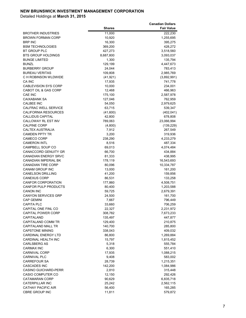|                                                     |                  | <b>Canadian Dollars</b> |
|-----------------------------------------------------|------------------|-------------------------|
|                                                     | <b>Shares</b>    | <b>Fair Value</b>       |
| <b>BROTHER INDUSTRIES</b>                           | 11,000           | 222,230                 |
| <b>BROWN FORMAN CORP</b>                            | 10,920           | 1,255,695               |
| <b>BRP INC</b>                                      | 16,300           | 395,275                 |
| <b>BSM TECHNOLOGIES</b>                             | 369,200          | 428,272                 |
| BT GROUP PLC                                        | 427,273          | 3,518,560               |
| <b>BTS GROUP HOLDINGS</b>                           | 8,687,800        | 3,093,037               |
| <b>BUNGE LIMITED</b>                                | 1,300<br>129,199 | 135,794                 |
| <b>BUNZL</b><br><b>BURBERRY GROUP</b>               | 24,044           | 4,447,673<br>783,413    |
| <b>BUREAU VERITAS</b>                               | 109,808          | 2,985,769               |
| C H ROBINSON WLDWIDE                                | (41, 921)        | (3,892,991)             |
| CA INC                                              | 17,935           | 741,778                 |
| <b>CABLEVISION SYS CORP</b>                         | 10,000           | 234,001                 |
| CABOT OIL & GAS CORP                                | 12,468           | 466,963                 |
| CAE INC                                             | 175,100          | 2,587,978               |
| <b>CAIXABANK SA</b>                                 | 127,046          | 762,959                 |
| <b>CALBEE INC</b>                                   | 54,050           | 2,979,625               |
| CALFRAC WELL SERVICE                                | 63,715           | 539,347                 |
| <b>CALIFORNIA RESOURCES</b>                         | (41,600)         | (402, 041)              |
| <b>CALLIDUS CAPITAL</b>                             | 42,800           | 678,808                 |
| CALLOWAY RL EST INV                                 | 789,063          | 23,066,994              |
| <b>CALPINE CORP</b>                                 | (4,800)          | (139, 229)              |
| <b>CALTEX AUSTRALIA</b>                             | 7,912            | 267,549                 |
| <b>CAMDEN PPTY TR</b>                               | 3,200            | 319,936                 |
| <b>CAMECO CORP</b>                                  | 238,290          | 4,233,279               |
| <b>CAMERON INTL</b>                                 | 8,516            | 487,334                 |
| <b>CAMPBELL SOUP CO</b>                             | 69,013           | 4,074,484               |
| <b>CANACCORD GENUITY GR</b>                         | 66,700           | 434,884                 |
| <b>CANADIAN ENERGY SRVC</b>                         | 81,333           | 438,995                 |
| CANADIAN IMPERIAL BK                                | 178,119          | 16,543,693              |
| <b>CANADIAN TIRE CORP</b><br><b>CANAM GROUP INC</b> | 80,096           | 10,334,787              |
| <b>CANELSON DRILLING</b>                            | 13,000<br>41,200 | 161,200<br>159,856      |
| <b>CANEXUS CORP</b>                                 | 86,531           | 133,258                 |
| <b>CANFOR CORPORATION</b>                           | 177,860          | 4,508,751               |
| <b>CANFOR PULP PRODUCTS</b>                         | 80,400           | 1,203,588               |
| <b>CANON INC</b>                                    | 59,725           | 2,679,391               |
| <b>CANYON SERVICES GRP</b>                          | 24,500           | 161,700                 |
| CAP GEMINI                                          | 7,667            | 796,449                 |
| <b>CAPITA PLC</b>                                   | 33,660           | 706,259                 |
| CAPITAL ONE FINL CO                                 | 22,327           | 2,231,972               |
| <b>CAPITAL POWER CORP</b>                           | 308,782          | 7,673,233               |
| CAPITALAND                                          | 135,497          | 447,877                 |
| CAPITALAND COMM TR                                  | 129,400          | 210,875                 |
| CAPITALAND MALL TR                                  | 140,700          | 285,800                 |
| <b>CAPSTONE MINING</b>                              | 338,043          | 409,032                 |
| <b>CARDINAL ENERGY LTD</b>                          | 86,800           | 1,269,884               |
| CARDINAL HEALTH INC                                 | 15,797           | 1,815,452               |
| <b>CARLSBERG AS</b>                                 | 5,318            | 555,784                 |
| CARMAX INC                                          | 6,300            | 551,410                 |
| <b>CARNIVAL CORP</b>                                | 17,935           | 1,088,215               |
| <b>CARNIVAL PLC</b>                                 | 9,408            | 583,002                 |
| <b>CARREFOUR SA</b>                                 | 28,739           | 1,215,351               |
| <b>CASCADES INC</b>                                 | 142,200          | 1,084,986               |
| <b>CASINO GUICHARD-PERR</b>                         | 2,810            | 315,448                 |
| <b>CASIO COMPUTER CO</b><br><b>CATAMARAN CORP</b>   | 12,150<br>90,629 | 292,426<br>6,835,718    |
| CATERPILLAR INC                                     | 25,242           | 2,562,115               |
| <b>CATHAY PACIFIC AIR</b>                           | 56,400           | 165,285                 |
| <b>CBRE GROUP INC</b>                               | 11,811           | 579,872                 |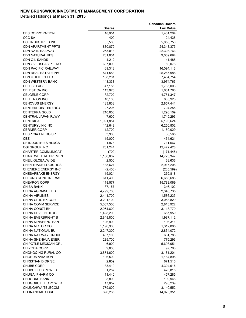|                                                    |                        | <b>Canadian Dollars</b> |
|----------------------------------------------------|------------------------|-------------------------|
|                                                    | <b>Shares</b>          | <b>Fair Value</b>       |
| <b>CBS CORPORATION</b>                             | 18,951                 | 1,461,204               |
| <b>CCC SA</b>                                      | 400                    | 24,438                  |
| <b>CCL INDUSTRIES INC</b>                          | 35,500                 | 5,058,750               |
| <b>CDN APARTMENT PPTS</b>                          | 830,879                | 24,343,375              |
| <b>CDN NATL RAILWAY</b>                            | 263,013                | 22,308,763              |
| <b>CDN NATURAL RES</b>                             | 231,001                | 9,009,694               |
| <b>CDN OIL SANDS</b>                               | 4,212                  | 41,488                  |
| <b>CDN OVERSEAS PETRO</b>                          | 607,000                | 50,078                  |
| <b>CDN PACIFIC RAILWAY</b>                         | 69,313                 | 16,094,113              |
| <b>CDN REAL ESTATE INV</b>                         | 541,583                | 25,267,988              |
| <b>CDN UTILITIES LTD</b>                           | 188,201                | 7,484,754               |
| <b>CDN WESTERN BANK</b>                            | 143,338                | 3,974,763               |
| <b>CELESIO AG</b>                                  | 47,185                 | 1,765,006               |
| <b>CELESTICA INC</b>                               | 113,925                | 1,601,786               |
| <b>CELGENE CORP</b>                                | 32,702                 | 4,781,347               |
| <b>CELLTRION INC</b>                               | 10,100                 | 805,928                 |
| <b>CENOVUS ENERGY</b><br><b>CENTERPOINT ENERGY</b> | 133,838                | 2,857,441               |
| <b>CENTERRA GOLD</b>                               | 27,206                 | 704,255<br>1,298,109    |
| CENTRAL JAPAN RLWY                                 | 210,050<br>7,600       | 1,745,293               |
| <b>CENTRICA</b>                                    | 1,091,854              | 5,193,624               |
| <b>CENTURYLINK INC</b>                             | 142,648                | 6,250,802               |
| <b>CERNER CORP</b>                                 | 12,700                 | 1,180,029               |
| <b>CESP CIA ENERG SP</b>                           | 3,900                  | 36,565                  |
| <b>CEZ</b>                                         | 15,000                 | 464,621                 |
| <b>CF INDUSTRIES HLDGS</b>                         | 1,978                  | 711,667                 |
| CGI GROUP INC                                      | 231,244                | 12,422,428              |
| <b>CHARTER COMMUNICAT</b>                          | (700)                  | (171, 445)              |
| <b>CHARTWELL RETIREMENT</b>                        | 1,186,802              | 14,723,347              |
| CHEIL GLOBALWIDE                                   | 2,500                  | 68,636                  |
| <b>CHEMTRADE LOGISTICS</b>                         | 135,621                | 2,917,208               |
| CHENIERE ENERGY INC                                | (2,400)                | (235, 599)              |
| <b>CHESAPEAKE ENERGY</b>                           | 15,024                 | 269,818                 |
| CHEUNG KONG INFRAS                                 | 611,400                | 6,656,688               |
| <b>CHEVRON CORP</b>                                | 118,577                | 15,788,069              |
| <b>CHIBA BANK</b>                                  | 37,157                 | 346,102                 |
| CHINA AGRI-IND HLD                                 | 4,792,700              | 2,348,735               |
| <b>CHINA AIRLINES</b><br>CHINA CITIC BK COR        | 2,441,700              | 1,586,233<br>3.053.829  |
| <b>CHINA COMM SERVICE</b>                          | 3,201,100              |                         |
| <b>CHINA CONST BK</b>                              | 5,007,500<br>2,964,600 | 2,813,922<br>3,118,779  |
| CHINA DEV FIN HLDG                                 | 1,498,200              | 657,959                 |
| CHINA EVERBRIGHT B                                 | 2,848,800              | 1,987,112               |
| <b>CHINA MINSHENG BAN</b>                          | 126,900                | 196,311                 |
| CHINA MOTOR CO                                     | 1,196,900              | 1,312,885               |
| CHINA NATIONAL BUI                                 | 2,247,300              | 2,834,072               |
| <b>CHINA RAILWAY GROUP</b>                         | 487,100                | 631,788                 |
| <b>CHINA SHENHUA ENER</b>                          | 239,700                | 775,293                 |
| CHIPOTLE MEXICAN GRL                               | 6,900                  | 5,693,051               |
| CHIYODA CORP                                       | 9,000                  | 97,708                  |
| CHONGQING RURAL CO                                 | 3,871,600              | 3,181,201               |
| <b>CHORUS AVIATION</b>                             | 196,500                | 1,184,895               |
| <b>CHRISTIAN DIOR SE</b>                           | 2,809                  | 671,516                 |
| <b>CHUBB CORP</b>                                  | 33,419                 | 4,304,616               |
| CHUBU ELEC POWER                                   | 31,287                 | 473,815                 |
| <b>CHUGAI PHARM CO</b>                             | 11,440                 | 457,285                 |
| <b>CHUGOKU BANK</b>                                | 5,800                  | 109,948                 |
| CHUGOKU ELEC POWER                                 | 17,852                 | 295,239                 |
| CHUNGHWA TELECOM                                   | 779,800                | 3,140,552               |
| CI FINANCIAL CORP                                  | 396,265                | 14,073,351              |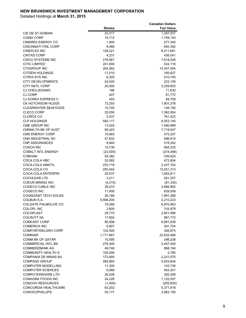|                                       |                    | <b>Canadian Dollars</b> |
|---------------------------------------|--------------------|-------------------------|
|                                       | <b>Shares</b>      | <b>Fair Value</b>       |
| CIE DE ST-GOBAIN                      | 23,317             | 1,297,037               |
| <b>CIGNA CORP</b>                     | 10,712             | 1,759,150               |
| <b>CIMAREX ENERGY CO</b>              | 1,900              | 277,340                 |
| <b>CINCINNATI FINL CORP</b>           | 9,469              | 645,392                 |
| <b>CINEPLEX INC</b>                   | 128,221            | 6,411,691               |
| <b>CINTAS CORP</b>                    | 4,231              | 438,041                 |
| <b>CISCO SYSTEMS INC</b>              | 216,567            | 7,618,026               |
| <b>CITIC LIMITED</b><br>CITIGROUP INC | 241,600<br>204,262 | 524,116<br>13,347,054   |
| CITIZEN HOLDINGS                      | 17,010             | 165,627                 |
| CITRIX SYS INC                        | 6,305              | 510,745                 |
| <b>CITY DEVELOPMENTS</b>              | 24,020             | 223,109                 |
| CITY NATL CORP                        | 20,000             | 2,259,603               |
| <b>CJ CHEILJEDANG</b>                 | 166                | 71,630                  |
| CJ CORP                               | 407                | 81,772                  |
| CJ KOREA EXPRESS C                    | 403                | 89,709                  |
| CK HUTCHISON HLDGS                    | 73,293             | 1,901,278               |
| <b>CLEARWATER SEAFOODS</b>            | 10,700             | 148,195                 |
| <b>CLECO CORP</b>                     | 20,000             | 1,382,954               |
| CLOROX CO                             | 5,437              | 761,222                 |
| <b>CLP HOLDINGS</b>                   | 592,117            | 6,553,140               |
| CME GROUP INC                         | 13,245             | 1,590,999               |
| <b>CMNWLTH BK OF AUST</b>             | 85,423             | 7,719,547               |
| <b>CMS ENERGY CORP</b>                | 10,665             | 472,207                 |
| CNH INDUSTRIAL NV                     | 47,932             | 496,810                 |
| <b>CNP ASSURANCES</b>                 | 9,840              | 218,302                 |
| COACH INC                             | 10,738             | 564,235                 |
| <b>COBALT INTL ENERGY</b>             | (23,000)           | (274, 498)              |
| COBHAM<br>COCA COLA HBC               | 59,382<br>20,582   | 339,625<br>472,854      |
| COCA-COLA AMATIL                      | 233,718            | 2,437,704               |
| COCA-COLA CO                          | 255,544            | 13,251,313              |
| COCA-COLA ENTERPRI                    | 29,537             | 1,655,811               |
| <b>COCHLEAR LTD</b>                   | 3,211              | 281,257                 |
| COEUR MINING INC                      | (4, 210)           | (81, 330)               |
| COGECO CABLE INC                      | 39,272             | 2,666,962               |
| COGECO INC                            | 11,400             | 629,508                 |
| COGNIZANT TECH SOLNS                  | 25,166             | 1,991,366               |
| COLBUN S.A.                           | 5,906,200          | 2,210,223               |
| COLGATE PALMOLIVE CO                  | 79,266             | 6,970,963               |
| COLOPL INC                            | 3,800              | 103,979                 |
| <b>COLOPLAST</b>                      | 29,770             | 2,851,086               |
| COLRUYT SA                            | 17,804             | 981,772                 |
| <b>COMCAST CORP</b>                   | 90,598             | 6,691,939               |
| <b>COMERICA INC</b>                   | 6,807              | 391,754                 |
| COMFORTDELGRO CORP                    | 122,500            | 326,874                 |
| COMINAR<br><b>COMM BK OF QATAR</b>    | 1,171,887          | 22,632,068              |
| <b>COMMERCIAL INTL BK</b>             | 15,590             | 298,238                 |
| COMMERZBANK AG                        | 276,400<br>49,748  | 2,457,425<br>868,184    |
| COMMUNITY HEALTH S                    | 100,000            | 2,790                   |
| COMPANIA DE MINAS BU                  | 173,900            | 2,231,075               |
| <b>COMPASS GROUP</b>                  | 265,855            | 5,933,640               |
| COMPUTER MODELLING                    | 11,300             | 143,736                 |
| <b>COMPUTER SCIENCES</b>              | 6,069              | 504,251                 |
| <b>COMPUTERSHARE LTD</b>              | 26,026             | 320,306                 |
| CONAGRA FOODS INC                     | 24,228             | 1,122,507               |
| CONCHO RESOURCES                      | (1,400)            | (205, 830)              |
| CONCORDIA HEALTHCARE                  | 63,202             | 5,371,918               |
| <b>CONOCOPHILLIPS</b>                 | 50,177             | 3,962,195               |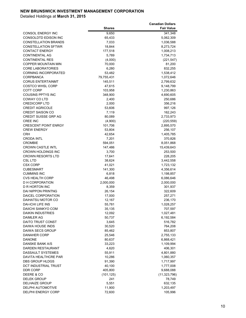|                                                  |                    | <b>Canadian Dollars</b> |
|--------------------------------------------------|--------------------|-------------------------|
|                                                  | <b>Shares</b>      | <b>Fair Value</b>       |
| <b>CONSOL ENERGY INC</b>                         | 9,650              | 341,348                 |
| CONSOLDTD EDISON INC                             | 65,433             | 5,062,309               |
| <b>CONSTELLATION BRANDS</b>                      | 7,033              | 1,036,588               |
| <b>CONSTELLATION SFTWR</b>                       | 18,844             | 8,273,724               |
| <b>CONTACT ENERGY</b>                            | 177,518            | 1,008,213               |
| CONTINENTAL AG                                   | 5,789              | 1,734,713               |
| <b>CONTINENTAL RES</b>                           | (4,000)            | (221, 547)              |
| COPPER MOUNTAIN MIN                              | 70,000             | 81,200                  |
| <b>CORE LABORATORIES</b>                         | 6,280              | 832,255                 |
| <b>CORNING INCORPORATED</b>                      | 53,482             | 1,538,412               |
| CORPBANCA                                        | 79,755,431         | 1,072,646               |
| <b>CORUS ENTERTAINMT</b>                         | 145,511            | 2,799,632               |
| <b>COSTCO WHSL CORP</b>                          | 47,615             | 9,148,799               |
| COTT CORP                                        | 103,958            | 1,230,863               |
| COUSINS PPTYS INC                                | 348,900            | 4,690,605               |
| COWAY CO LTD                                     | 2,400              | 250,686                 |
| <b>CREDICORP LTD</b>                             | 2,000              | 356,216                 |
| <b>CREDIT AGRICOLE</b>                           | 53,606             | 997,126                 |
| <b>CREDIT SAISON CO</b>                          | 7,119              | 162,243                 |
| <b>CREDIT SUISSE GRP AG</b>                      | 80,089             | 2,733,973               |
| <b>CREE INC</b>                                  | (4,900)            | (220, 559)              |
| <b>CRESCENT POINT ENRGY</b>                      | 101,706            | 2,895,570               |
| <b>CREW ENERGY</b>                               | 53,804             | 256,107                 |
| <b>CRH</b>                                       | 42,654             | 1,405,785               |
| <b>CRODA INTL</b>                                | 7,201              | 370,826                 |
| <b>CROMBIE</b>                                   | 594,051            | 8,051,868               |
| <b>CROWN CASTLE INTL</b>                         | 147,486            | 15,439,643              |
| <b>CROWN HOLDINGS INC</b>                        | 3,700              | 253,500                 |
| <b>CROWN RESORTS LTD</b>                         | 17,641             | 228,205                 |
| <b>CSL LTD</b>                                   | 38,624             | 3,442,558               |
| CSX CORP                                         | 41,021             | 1,723,132               |
| CUBESMART                                        | 141,300            | 4,356,614               |
| CUMMINS INC                                      | 6,818              | 1,198,857               |
| <b>CVS HEALTH CORP</b><br><b>D H CORPORATION</b> | 46,498             | 6,086,646<br>2,000,000  |
| D R HORTON INC                                   | 2,000,000<br>8,359 |                         |
| <b>DAI NIPPON PRINTNG</b>                        | 26,154             | 301,937<br>322,609      |
| DAICEL CORPORATION                               | 17,000             | 257,271                 |
| DAIHATSU MOTOR CO                                | 12,167             | 236,170                 |
| DAI-ICHI LIFE INS                                | 55,781             | 1,028,257               |
| DAIICHI SANKYO COM                               | 35,135             | 707,597                 |
| <b>DAIKIN INDUSTRIES</b>                         | 12,092             | 1,027,481               |
| DAIMLER AG                                       | 50,737             | 6,192,584               |
| DAITO TRUST CONST                                | 3,645              | 516,782                 |
| DAIWA HOUSE INDS                                 | 30,520             | 764,208                 |
| DAIWA SECS GROUP                                 | 85,462             | 853,807                 |
| <b>DANAHER CORP</b>                              | 25,546             | 2,755,133               |
| <b>DANONE</b>                                    | 80,637             | 6,868,421               |
| DANSKE BANK A/S                                  | 33,223             | 1,109,994               |
| DARDEN RESTAURANT                                | 4,620              | 406,301                 |
| <b>DASSAULT SYSTEMES</b>                         | 55,911             | 4,801,880               |
| DAVITA HEALTHCRE PAR                             | 10,286             | 1,060,357               |
| DBS GROUP HLDGS                                  | 91,390             | 1,717,997               |
| DCT INDUSTRIAL TRUST                             | 40,100             | 1,777,008               |
| DDR CORP                                         | 405,800            | 9,688,088               |
| DEERE & CO                                       | (101, 125)         | (11, 323, 796)          |
| DELEK GROUP                                      | 241                | 78,749                  |
| DELHAIZE GROUP                                   | 5,551              | 632,135                 |
| DELPHI AUTOMOTIVE                                | 11,900             | 1,203,497               |
| DELPHI ENERGY CORP                               | 72,600             | 105,996                 |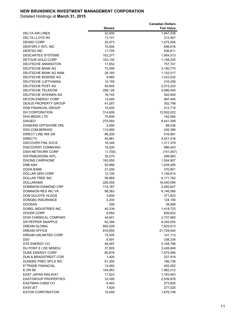|                                              |                   | <b>Canadian Dollars</b> |
|----------------------------------------------|-------------------|-------------------------|
|                                              | <b>Shares</b>     | <b>Fair Value</b>       |
| <b>DELTA AIR LINES</b>                       | 32,400            | 1,847,538               |
| DELTA LLOYD NV                               | 13,101            | 312,567                 |
| <b>DENSO CORP</b>                            | 25,473            | 1,475,006               |
| <b>DENTSPLY INTL INC</b>                     | 10,004            | 646,616                 |
| <b>DENTSU INC</b>                            | 11,705            | 636,611                 |
| <b>DESCARTES SYSTEMS</b><br>DETOUR GOLD CORP | 102,277           | 1,954,513               |
| DEUTSCHE ANNINGTON                           | 103,100<br>17,852 | 1,108,325<br>757,741    |
| DEUTSCHE BANK AG                             | 72,490            | 3,190,774               |
| DEUTSCHE BANK AG NAM                         | 26,165            | 1,152,517               |
| DEUTSCHE BOERSE AG                           | 9,985             | 1,033,032               |
| DEUTSCHE LUFTHANSA                           | 12,155            | 216,258                 |
| DEUTSCHE POST AG                             | 50,845            | 2,012,223               |
| DEUTSCHE TELEKOM                             | 258,128           | 5,986,445               |
| DEUTSCHE WOHNEN AG                           | 16,742            | 542,904                 |
| <b>DEVON ENERGY CORP</b>                     | 13,040            | 997,445                 |
| <b>DEXUS PROPERTY GROUP</b>                  | 41,287            | 302,798                 |
| <b>DGB FINANCIAL GROUP</b>                   | 15,400            | 212,718                 |
| DH CORPORATION                               | 314,609           | 12,002,022              |
| DHX MEDIA LTD                                | 15,600            | 142,584                 |
| <b>DIAGEO</b>                                | 270,054           | 9,441,308               |
| DIAMOND OFFSHORE DRL                         | 2,900             | 98,536                  |
| DIGI.COM.BERHAD                              | 113,900           | 245,390                 |
| DIRECT LINE INS GR                           | 86,200            | 516,991                 |
| <b>DIRECTV</b>                               | 40,961            | 4,421,016               |
| <b>DISCOVER FINL SVCS</b>                    | 18,349            | 1,311,379               |
| <b>DISCOVERY COMMUNIC</b>                    | 16,200            | 686,443                 |
| <b>DISH NETWORK CORP</b>                     | (1,700)           | (151, 057)              |
| <b>DISTRIBUIDORA INTL</b>                    | 30,270            | 299,993                 |
| <b>DIXONS CARPHONE</b>                       | 193,950           | 1,504,907               |
| DNB ASA                                      | 50,988            | 1,039,265               |
| DOHA BANK                                    | 21,200            | 370,901                 |
| DOLLAR GEN CORP                              | 12,100            | 1,156,814               |
| DOLLAR TREE INC                              | 59,969            | 6,171,782               |
| <b>DOLLARAMA</b>                             | 226,555           | 16,040,094              |
| <b>DOMINION DIAMOND CRP</b>                  | 115,187           | 2,492,647               |
| <b>DOMINION RES INC VA</b>                   | 68,383            | 6,146,566               |
| DON QUIJOTE HLDGS<br><b>DONGBU INSURANCE</b> | 3,600<br>2,200    | 371,823                 |
| <b>DOOSAN</b>                                | 290               | 124,190                 |
| DOREL INDUSTRIES INC                         | 40,339            | 38,568<br>1,418,723     |
| <b>DOVER CORP</b>                            | 6,954             | 609,622                 |
| DOW CHEMICAL COMPANY                         | 44,601            | 2,737,865               |
| DR PEPPER SNAPPLE                            | 62,394            | 6,249,054               |
| <b>DREAM GLOBAL</b>                          | 800,028           | 7,925,613               |
| DREAM OFFICE                                 | 818,850           | 21,729,544              |
| DREAM UNLIMITED CORP                         | 15,305            | 141,112                 |
| DSV                                          | 8,591             | 338,334                 |
| DTE ENERGY CO                                | 49,497            | 5,108,796               |
| DU PONT E I DE NEMOU                         | 37,805            | 3,426,849               |
| DUKE ENERGY CORP                             | 80,878            | 7,875,906               |
| DUN & BRADSTREET COR                         | 1,400             | 227,919                 |
| DUNDEE PREC MTLS INC                         | 61,300            | 166,736                 |
| E*TRADE FINANCIAL                            | 12,482            | 452,052                 |
| E.ON SE                                      | 104,953           | 1,982,212               |
| EAST JAPAN RAILWAY                           | 17,523            | 1,783,943               |
| <b>EASTGROUP PROPERTIES</b>                  | 33,300            | 2,539,976               |
| <b>EASTMAN CHEM CO</b>                       | 6,493             | 573,655                 |
| <b>EASYJET</b>                               | 7,829             | 277,020                 |
| EATON CORPORATION                            | 19,459            | 1,676,749               |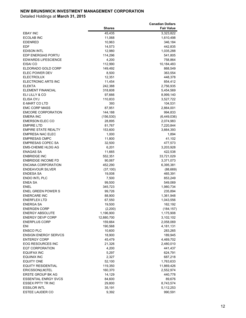|                             |               | <b>Canadian Dollars</b> |
|-----------------------------|---------------|-------------------------|
|                             | <b>Shares</b> | <b>Fair Value</b>       |
| <b>EBAY INC</b>             | 45,435        | 3,323,822               |
| <b>ECOLAB INC</b>           | 11,068        | 1,610,498               |
| <b>EDENRED</b>              | 10,963        | 346,184                 |
| <b>EDF</b>                  | 14,573        | 442,835                 |
| <b>EDISON INTL</b>          | 12,980        | 1,035,288               |
|                             |               |                         |
| EDP ENERGIAS PORTU          | 114,296       | 541,805                 |
| <b>EDWARDS LIFESCIENCE</b>  | 4,200         | 758,864                 |
| EISAI CO                    | 112,990       | 10,184,483              |
| ELDORADO GOLD CORP          | 149,492       | 868,549                 |
| <b>ELEC POWER DEV</b>       | 8,500         | 363,554                 |
| <b>ELECTROLUX</b>           | 12,351        | 448,378                 |
| ELECTRONIC ARTS INC         | 11,454        | 854,412                 |
| <b>ELEKTA</b>               | 242,388       | 2,756,935               |
| <b>ELEMENT FINANCIAL</b>    | 318,608       | 5,454,569               |
| ELI LILLY & CO              | 97,666        | 8,999,140               |
| ELISA OYJ                   | 110,833       | 3,527,722               |
| <b>E-MART CO LTD</b>        | 393           | 104,531                 |
| <b>EMC CORP MASS</b>        | 87,951        | 2,864,001               |
| <b>EMCORE CORPORATION</b>   | 144,188       | 994,833                 |
| <b>EMERA INC</b>            | (156, 530)    | (6,449,036)             |
| <b>EMERSON ELEC CO</b>      | 28,895        | 2,074,983               |
| <b>EMPIRE LTD</b>           | 81,767        | 7,220,844               |
| <b>EMPIRE STATE REALTY</b>  | 153,600       | 3,664,393               |
| <b>EMPRESA NAC ELEC</b>     | 1,000         | 1,894                   |
| <b>EMPRESAS CMPC</b>        |               | 41,102                  |
|                             | 11,800        |                         |
| <b>EMPRESAS COPEC SA</b>    | 32,500        | 477,573                 |
| <b>EMS-CHEMIE HLDG AG</b>   | 6,201         | 3,203,928               |
| <b>ENAGAS SA</b>            | 11,665        | 422,538                 |
| <b>ENBRIDGE INC</b>         | 552,351       | 33,721,029              |
| <b>ENBRIDGE INCOME FD</b>   | 90,067        | 3,371,073               |
| ENCANA CORPORATION          | 452,290       | 6,395,381               |
| <b>ENDEAVOUR SILVER</b>     | (37, 100)     | (88, 669)               |
| <b>ENDESA SA</b>            | 19,008        | 465,391                 |
| <b>ENDO INTL PLC</b>        | 7,500         | 853,249                 |
| <b>ENEA SA</b>              | 99,500        | 549,069                 |
| <b>ENEL</b>                 | 345,723       | 1,980,734               |
| <b>ENEL GREEN POWER S</b>   | 99,726        | 235,894                 |
| <b>ENERCARE INC</b>         | 88,900        | 1,361,948               |
| <b>ENERFLEX LTD</b>         | 67,550        | 1,043,556               |
| <b>ENERGA SA</b>            | 19,500        | 162,192                 |
| <b>ENERGEN CORP</b>         | (2,200)       | (184, 157)              |
| <b>ENERGY ABSOLUTE</b>      | 1,196,900     | 1,175,908               |
| <b>ENERGY DEVP CORP</b>     | 12,880,700    | 3,102,102               |
| <b>ENERPLUS CORP</b>        | 159,664       | 2,058,069               |
| ENI                         | 190,568       | 4,181,131               |
| <b>ENSCO PLC</b>            | 10,600        | 283,265                 |
| <b>ENSIGN ENERGY SERVCS</b> | 18,900        | 189,945                 |
| <b>ENTERGY CORP</b>         | 45,479        | 4,469,702               |
| EOG RESOURCES INC           | 21,326        | 2,480,010               |
| <b>EQT CORPORATION</b>      | 4,200         |                         |
|                             |               | 441,437                 |
| <b>EQUIFAX INC</b>          | 5,297         | 624,791                 |
| <b>EQUINIX INC</b>          | 2,327         | 687,218                 |
| <b>EQUITY ONE</b>           | 52,100        | 1,763,633               |
| <b>EQUITY RESIDENTIAL</b>   | 119,350       | 11,869,426              |
| ERICSSON(LM)TEL             | 160,370       | 2,552,974               |
| <b>ERSTE GROUP BK AG</b>    | 14,129        | 440,778                 |
| <b>ESSENTIAL ENRGY SVCS</b> | 84,600        | 89,676                  |
| <b>ESSEX PPTY TR INC</b>    | 29,800        | 8,743,574               |
| <b>ESSILOR INTL</b>         | 35,191        | 5,112,253               |
| ESTEE LAUDER CO             | 9,392         | 990,591                 |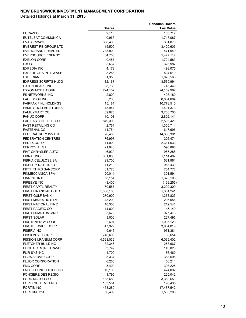|                                         |                   | <b>Canadian Dollars</b> |
|-----------------------------------------|-------------------|-------------------------|
|                                         | <b>Shares</b>     | <b>Fair Value</b>       |
| EURAZEO                                 | 2,116             | 183,717                 |
| EUTELSAT COMMUNICA                      | 40,963            | 1,718,087               |
| <b>EVA AIRWAYS</b>                      | 356,400           | 331,070                 |
| <b>EVEREST RE GROUP LTD</b>             | 15,500            | 3,420,605               |
| EVERGRANDE REAL ES                      | 738,900           | 471,949                 |
| <b>EVERSOURCE ENERGY</b>                | 84,700            | 5,427,112               |
| <b>EXELON CORP</b>                      | 40,457            | 1,724,583               |
| EXOR                                    | 5,667             | 325,987                 |
| <b>EXPEDIA INC</b>                      | 4,172             | 498,075                 |
| EXPEDITORS INTL WASH                    | 8,258             | 504,619                 |
| <b>EXPERIAN</b><br>EXPRESS SCRIPTS HLDG | 51,358            | 1,078,566               |
| <b>EXTENDICARE INC</b>                  | 32,167            | 3,539,991               |
| EXXON MOBIL CORP                        | 98,735<br>224,107 | 745,449<br>24,159,967   |
| <b>F5 NETWORKS INC</b>                  | 2,800             | 408,180                 |
| <b>FACEBOOK INC</b>                     | 85,200            | 8,884,084               |
| FAIRFAX FINL HOLDNGS                    | 15,181            | 10,778,510              |
| <b>FAMILY DOLLAR STORES</b>             | 13,944            | 1,401,373               |
| <b>FAMILYMART CO</b>                    | 69,678            | 3,708,700               |
| <b>FANUC CORP</b>                       | 10,108            | 2,802,141               |
| <b>FAR EASTONE TELECO</b>               | 849,300           | 2,595,420               |
| FAST RETAILING CO                       | 2,761             | 1,355,714               |
| FASTENAL CO                             | 11,754            | 617,696                 |
| FEDERAL RLTY INVT TR                    | 76,400            | 14,338,301              |
| <b>FEDERATION CENTRES</b>               | 76,997            | 226,474                 |
| <b>FEDEX CORP</b>                       | 11,000            | 2,311,033               |
| <b>FERROVIAL SA</b>                     | 21,940            | 590,896                 |
| <b>FIAT CHRYSLER AUTO</b>               | 46,939            | 967,288                 |
| <b>FIBRA UNO</b>                        | 331,800           | 1,114,402               |
| FIBRIA CELULOSE SA                      | 29,700            | 531,961                 |
| FIDELITY NATL INFO                      | 11,219            | 968,430                 |
| FIFTH THIRD BANCORP                     | 31,770            | 764,778                 |
| FINMECCANICA SPA                        | 20,011            | 301,591                 |
| <b>FINNING INTL</b>                     | 58,154            | 1,370,108               |
| FIREEYE INC                             | (3,400)           | (169, 255)              |
| <b>FIRST CAPTL REALTY</b>               | 160,557           | 3,202,309               |
| <b>FIRST FINANCIAL HOLD</b>             | 1,808,100         | 1,361,241               |
| <b>FIRST GULF BANK</b>                  | 270,900           | 1,363,823               |
| FIRST MAJESTIC SILV                     | 43,200            | 295,056                 |
| FIRST NATIONAL FINC                     | 10,300            | 212,541                 |
| FIRST PACIFIC CO                        | 114,800           | 145,149                 |
| FIRST QUANTUM MNRL                      | 63,679            | 977,473                 |
| <b>FIRST SOLAR</b>                      | 3,000             | 227,495                 |
| <b>FIRSTENERGY CORP</b>                 | 22,604            | 1,005,123               |
| <b>FIRSTSERVICE CORP</b>                | 47,929            | 3,934,819               |
| <b>FISERV INC</b>                       | 9,646             | 971,381                 |
| FISSION 3.0 CORP                        | 740,600           | 66,654                  |
| <b>FISSION URANIUM CORP</b>             | 4,598,032         | 6,069,402               |
| FLETCHER BUILDING                       | 32,346            | 258,667                 |
| FLIGHT CENTRE TRAVEL                    | 3,749             | 143,823                 |
| FLIR SYS INC                            | 4,700             | 186,460                 |
| <b>FLOWSERVE CORP</b>                   | 5,337             | 383,595                 |
| <b>FLUOR CORPORATION</b>                | 6,266             | 456,214                 |
| <b>FMC CORP</b>                         | 5,400             | 393,225                 |
| FMC TECHNOLOGIES INC                    | 10,100            | 474,092                 |
| FONCIERE DES REGIO                      | 1,795             | 225,042                 |
| FORD MOTOR CO                           | 163,683           | 3,350,650               |
| <b>FORTESCUE METALS</b>                 | 103,584           | 196,435                 |
| <b>FORTIS INC</b>                       | 453,280           | 17,487,542              |
| FORTUM OYJ                              | 56,499            | 1,503,208               |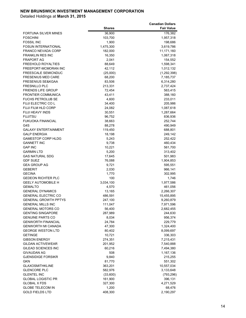|                                                           |                  | <b>Canadian Dollars</b> |
|-----------------------------------------------------------|------------------|-------------------------|
|                                                           | <b>Shares</b>    | <b>Fair Value</b>       |
| <b>FORTUNA SILVER MINES</b>                               | 36,900           | 176,382                 |
| <b>FOSCHINI</b>                                           | 103,700          | 1,957,318               |
| <b>FOSSIL INC</b>                                         | 1,900            | 198,686                 |
| <b>FOSUN INTERNATIONAL</b>                                | 1,475,300        | 3,619,786               |
| <b>FRANCO NEVADA CORP</b>                                 | 182,000          | 11,171,160              |
| <b>FRANKLIN RES INC</b>                                   | 16,350           | 1,067,318               |
| <b>FRAPORT AG</b>                                         | 2,041            | 154,552                 |
| <b>FREEHOLD ROYALTIES</b>                                 | 88,649           | 1,598,341               |
| FREEPORT-MCMORAN INC                                      | 42,112           | 1,012,132               |
| <b>FREESCALE SEMICNDUC</b>                                | (25,000)         | (1, 292, 398)           |
| <b>FRESENIUS MED CARE</b><br><b>FRESENIUS SE&amp;KGAA</b> | 68,200<br>83,506 | 7,185,737<br>6,314,280  |
| <b>FRESNILLO PLC</b>                                      | 213,331          | 2,737,424               |
| <b>FRIENDS LIFE GROUP</b>                                 | 72,454           | 563,415                 |
| <b>FRONTIER COMMUNICA</b>                                 | 43,411           | 388,160                 |
| <b>FUCHS PETROLUB SE</b>                                  | 4,600            | 233,011                 |
| <b>FUJI ELECTRIC COL</b>                                  | 34,400           | 205,986                 |
| <b>FUJI FILM HLD CORP</b>                                 | 24,082           | 1,087,618               |
| FUJI HEAVY INDS                                           | 30,551           | 1,287,664               |
| <b>FUJITSU</b>                                            | 96,752           | 836,936                 |
| <b>FUKUOKA FINANCIAL</b>                                  | 38,663           | 252,744                 |
| G4S                                                       | 88,278           | 490,949                 |
| <b>GALAXY ENTERTAINMENT</b>                               | 119,450          | 688,801                 |
| <b>GALP ENERGIA</b>                                       | 18,198           | 249,142                 |
| <b>GAMESTOP CORP HLDG</b>                                 | 5,243            | 252,422                 |
| <b>GANNETT INC</b>                                        | 9,738            | 460,434                 |
| <b>GAP INC</b>                                            | 10,221           | 561,700                 |
| <b>GARMIN LTD</b>                                         | 5,200            | 313,402                 |
| <b>GAS NATURAL SDG</b>                                    | 17,645           | 501,983                 |
| <b>GDF SUEZ</b>                                           | 76,088           | 1,904,853               |
| <b>GEA GROUP AG</b>                                       | 9,721            | 595,551                 |
| <b>GEBERIT</b>                                            | 2,030            | 966,141                 |
| <b>GECINA</b>                                             | 1,770            | 302,995                 |
| <b>GEDEON RICHTER PLC</b>                                 | 100              | 1,746                   |
| <b>GEELY AUTOMOBILE H</b>                                 | 3,034,100        | 1,977,586               |
| <b>GEMALTO</b><br><b>GENERAL DYNAMICS</b>                 | 4,570<br>13,165  | 461,056<br>2,266,307    |
| <b>GENERAL ELECTRIC CO</b>                                | 486,591          | 15,455,895              |
| <b>GENERAL GROWTH PPTYS</b>                               | 247,100          | 9,260,879               |
| <b>GENERAL MILLS INC</b>                                  | 111,047          | 7,971,596               |
| <b>GENERAL MOTORS CO</b>                                  | 56,400           | 2,682,455               |
| <b>GENTING SINGAPORE</b>                                  | 287,989          | 244,630                 |
| <b>GENUINE PARTS CO</b>                                   | 8,034            | 956,374                 |
| <b>GENWORTH FINANCIAL</b>                                 | 24,784           | 229,779                 |
| <b>GENWORTH MI CANADA</b>                                 | 47,300           | 1,324,400               |
| <b>GEORGE WESTON LTD</b>                                  | 80,402           | 8,099,697               |
| <b>GETINGE</b>                                            | 10,721           | 336,303                 |
| <b>GIBSON ENERGY</b>                                      | 274,351          | 7,215,431               |
| GILDAN ACTIVEWEAR                                         | 201,952          | 7,540,888               |
| GILEAD SCIENCES INC                                       | 60,216           | 7,494,380               |
| GIVAUDAN AG                                               | 508              | 1,167,136               |
| <b>GJENSIDIGE FORSIKR</b>                                 | 9,840            | 215,255                 |
| <b>GKN</b>                                                | 81,770           | 551,302                 |
| <b>GLAXOSMITHKLINE</b>                                    | 363,201          | 10,557,034              |
| <b>GLENCORE PLC</b>                                       | 582,976          | 3,133,648               |
| <b>GLENTEL INC</b>                                        | (33,600)         | (793, 296)              |
| <b>GLOBAL LOGISTIC PR</b>                                 | 161,900          | 396,131                 |
| <b>GLOBAL X FDS</b>                                       | 327,300          | 4,271,529               |
| <b>GLOBE TELECOM IN</b>                                   | 1,200            | 68,476                  |
| <b>GOLD FIELDS LTD</b>                                    | 408,300          | 2,190,297               |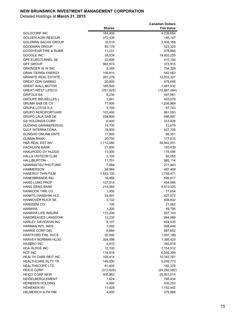|                              |                 | <b>Canadian Dollars</b> |
|------------------------------|-----------------|-------------------------|
|                              | <b>Shares</b>   | <b>Fair Value</b>       |
| GOLDCORP INC                 | 184,409         | 4,226,654               |
| GOLDEN AGRI RESOUR           | 372,438         | 146,147                 |
| <b>GOLDMAN SACHS GROUP</b>   | 16,519          | 3,938,168               |
| GOODMAN GROUP                | 85,178          | 523,325                 |
| GOODYEAR TIRE & RUBR         | 11,031          | 378,866                 |
| <b>GOOGLE INC</b>            | 28,534          | 19,932,255              |
| <b>GPE EUROTUNNEL SE</b>     | 22,606          | 410,194                 |
| GPT GROUP                    | 982,874         | 372,915                 |
| GRAINGER W W INC             | 2,355           | 704,328                 |
| <b>GRAN TIERRA ENERGY</b>    | 156,810         | 542,563                 |
| <b>GRANITE REAL ESTATE</b>   | 287,279         | 12,833,327              |
| <b>GREAT CDN GAMING</b>      | 20,800          | 479,648                 |
| <b>GREAT WALL MOTOR</b>      | 165,500         | 1,481,532               |
| <b>GREAT-WEST LIFECO</b>     | (351, 925)      | (12, 887, 494)          |
| <b>GRIFOLS SA</b>            | 8,230           | 447,561                 |
| <b>GROUPE BRUXELLES L</b>    | 3,841           | 403,079                 |
| <b>GRUMA SAB DE CV</b>       |                 | 1,256,969               |
|                              | 77,900<br>9,700 |                         |
| GRUPA LOTOS S.A.             |                 | 87,743                  |
| <b>GRUPO AEROPORTUARI</b>    | 103,400         | 861,593                 |
| <b>GRUPO LALA SAB DE</b>     | 228,800         | 586,997                 |
| GS HOLDINGS CORP             | 6,400           | 313,426                 |
| <b>GUDANG GARAM(PERUS)</b>   | 14,700          | 72,619                  |
| <b>GULF INTERNATIONA</b>     | 18,800          | 627,746                 |
| <b>GUNGHO ONLINE ENTE</b>    | 17,800          | 88,351                  |
| <b>GUNMA BANK</b>            | 20,700          | 177,510                 |
| <b>H&amp;R REAL EST INV</b>  | 1,712,080       | 39,942,831              |
| <b>HACHIJUNI BANK</b>        | 21,600          | 193,439                 |
| <b>HAKUHODO DY HLDGS</b>     | 13,000          | 175,594                 |
| <b>HALLA VISTEON CLIM</b>    | 2,100           | 92,055                  |
| <b>HALLIBURTON</b>           | 17,701          | 985,114                 |
| <b>HAMAMATSU PHOTONIC</b>    | 7,084           | 271,943                 |
| HAMMERSON                    | 38,984          | 487,409                 |
| <b>HANERGY THIN FILM</b>     | 1,543,100       | 1,759,471               |
| <b>HANESBRANDS INC</b>       | 16,466          | 699,817                 |
| <b>HANG LUNG PROP</b>        | 127,514         | 454,095                 |
| <b>HANG SENG BANK</b>        | 214,084         | 4,913,525               |
| <b>HANKOOK TIRE CO</b>       | 1,500           | 77,654                  |
| <b>HANKYU HANSHIN HLD</b>    | 54,491          | 427,572                 |
| <b>HANNOVER RUCK SE</b>      | 3,132           | 409,832                 |
| <b>HANSSEM CO</b>            | 100             | 21,062                  |
| <b>HANWHA</b>                | 1,200           | 49,795                  |
| <b>HANWHA LIFE INSURA</b>    | 110,200         | 927,143                 |
| HARGREAVES LANSDOW           | 12,230          | 264,889                 |
| <b>HARLEY DAVIDSON INC</b>   | 8,107           | 624,535                 |
| <b>HARMAN INTL INDS</b>      | 3,000           | 508,449                 |
| <b>HARRIS CORP DEL</b>       | 6,884           | 687,652                 |
| <b>HARTFORD FINL SVCS</b>    | 20,590          | 1,097,189               |
| <b>HARVEY NORMAN HLDG</b>    | 324,098         | 1,395,425               |
| HASBRO INC                   | 4,910           | 393,818                 |
| HCA HLDGS INC                | 12,100          | 1,154,512               |
| HCP INC                      | 114,818         | 6,292,399               |
| HEALTH CARE REIT INC         | 105,414         | 10,342,767              |
| <b>HEALTHCARE RLTY TR</b>    | 149,000         | 5,249,773               |
| <b>HEALTHSCOPE LTD</b>       | 61,600          | 182,378                 |
| <b>HEICO CORP</b>            | (313, 628)      | (24, 292, 082)          |
| <b>HEICO CORP NEW</b>        | 405,863         | 25,501,014              |
| HEIDELBERGCEMENT             | 7,624           | 765,434                 |
| <b>HEINEKEN HOLDING</b>      | 4,992           | 435,253                 |
| <b>HEINEKEN NV</b>           | 11,928          | 1,152,442               |
| <b>HELMERICH &amp; PAYNE</b> | 4,400           | 379,866                 |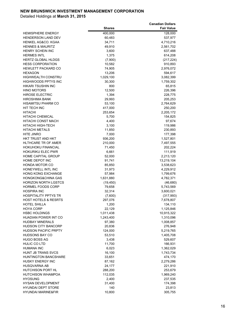|                                                    |                   | <b>Canadian Dollars</b> |
|----------------------------------------------------|-------------------|-------------------------|
|                                                    | <b>Shares</b>     | <b>Fair Value</b>       |
| <b>HEMISPHERE ENERGY</b>                           | 400,000           | 128,000                 |
| <b>HENDERSON LAND DEV</b>                          | 60,483            | 537,977                 |
| HENKEL AG&CO. KGAA                                 | 34,711            | 4,710,216               |
| <b>HENNES &amp; MAURITZ</b>                        | 49,910            | 2,561,702               |
| HENRY SCHEIN INC                                   | 3,600             | 637,488                 |
| <b>HERMES INTL</b>                                 | 1,375             | 614,208                 |
| HERTZ GLOBAL HLDGS                                 | (7,900)           | (217, 224)              |
| <b>HESS CORPORATION</b>                            | 10,582            | 910,893                 |
| <b>HEWLETT PACKARD CO</b>                          | 74,905            | 2,976,072               |
| <b>HEXAGON</b><br><b>HIGHWEALTH CONSTRU</b>        | 13,206            | 594,617                 |
| <b>HIGHWOODS PPTYS INC</b>                         | 1,029,100         | 3,082,399               |
| HIKARI TSUSHIN INC                                 | 30,300<br>800     | 1,759,302               |
| <b>HINO MOTORS</b>                                 | 12,500            | 65,815<br>226,396       |
| <b>HIROSE ELECTRIC</b>                             | 1,394             | 228,775                 |
| <b>HIROSHIMA BANK</b>                              | 29,993            | 205,253                 |
| <b>HISAMITSU PHARM CO</b>                          | 53,100            | 2,764,629               |
| HIT TECH INC                                       | 417,000           | 250,200                 |
| <b>HITACHI</b>                                     | 253,654           | 2,205,172               |
| <b>HITACHI CHEMICAL</b>                            | 5,700             | 154,825                 |
| HITACHI CONST MACH                                 | 4,400             | 97,674                  |
| HITACHI HIGH-TECH                                  | 3,100             | 119,986                 |
| <b>HITACHI METALS</b>                              | 11,850            | 230,893                 |
| <b>HITE JINRO</b>                                  | 7,000             | 177,398                 |
| HKT TRUST AND HKT                                  | 936,200           | 1,527,801               |
| HLTHCARE TR OF AMER                                | 210,000           | 7,497,555               |
| <b>HOKUHOKU FINANCIAL</b>                          | 71,450            | 202,224                 |
| <b>HOKURIKU ELEC PWR</b>                           | 6,661             | 111,919                 |
| <b>HOME CAPITAL GROUP</b>                          | 52,000            | 2,213,120               |
| HOME DEPOT INC                                     | 91,741            | 13,219,104              |
| <b>HONDA MOTOR CO</b>                              | 85,850            | 3,538,623               |
| HONEYWELL INTL INC                                 | 31,973            | 4,229,912               |
| <b>HONG KONG EXCHANGE</b>                          | 57,984            | 1,799,676               |
| <b>HONGKONG&amp;CHINA GAS</b>                      | 1,631,880         | 4,782,371               |
| <b>HORIZON NORTH LGSTCS</b>                        | (19, 450)         | (46, 680)               |
| HORMEL FOODS CORP                                  | 79,658            | 5,743,569               |
| <b>HOSPIRA INC</b>                                 | 32,314            | 3,600,021               |
| <b>HOSPITALITY PPTYS TR</b>                        | (7,600)           | (317, 993)              |
| HOST HOTELS & RESRTS                               | 297.076           | 7,678,807               |
| HOTEL SHILLA                                       | 1,200             | 134,110                 |
| <b>HOYA CORP</b>                                   | 22,129            | 1,125,846               |
| <b>HSBC HOLDINGS</b>                               | 1,011,438         | 10,915,322              |
| HUADIAN POWER INT CO                               | 1,243,400         | 1,310,096               |
| <b>HUDBAY MINERALS</b>                             | 97,380            | 1,008,857               |
| HUDSON CITY BANCORP<br><b>HUDSON PACIFIC PRPTY</b> | 20,836            | 276,948                 |
| <b>HUDSONS BAY CO</b>                              | 124,000<br>53,510 | 5,219,765<br>1,405,708  |
| <b>HUGO BOSS AG</b>                                | 3,438             | 529,607                 |
| <b>HULIC CO LTD</b>                                | 11,700            | 166,931                 |
| HUMANA INC                                         | 6,023             | 1,362,029               |
| HUNT JB TRANS SVCS                                 | 16,100            | 1,743,734               |
| HUNTINGTON BANCSHARE                               | 33,651            | 474,170                 |
| <b>HUSKY ENERGY INC</b>                            | 87,162            | 2,279,286               |
| HUSQVARNA AB                                       | 24,177            | 221,910                 |
| HUTCHISON PORT HL                                  | 288,200           | 253,679                 |
| HUTCHISON WHAMPOA                                  | 112,035           | 1,969,240               |
| <b>HYOSUNG</b>                                     | 2,400             | 237,535                 |
| <b>HYSAN DEVELOPMENT</b>                           | 31,400            | 174,398                 |
| <b>HYUNDAI DEPT STORE</b>                          | 140               | 23,813                  |
| <b>HYUNDAI MARINE&amp;FIR</b>                      | 10,800            | 305,755                 |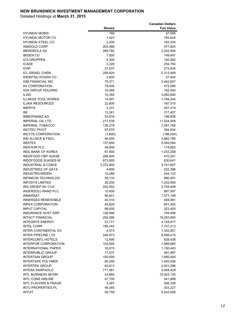|                                                  |                   | <b>Canadian Dollars</b> |
|--------------------------------------------------|-------------------|-------------------------|
|                                                  | <b>Shares</b>     | <b>Fair Value</b>       |
| HYUNDAI MOBIS                                    | 169               | 47,556                  |
| HYUNDAI MOTOR CO                                 | 1,423             | 183,624                 |
| HYUNDAI STEEL CO                                 | 2,200             | 183,334                 |
| <b>IAMGOLD CORP</b>                              | 202,468           | 477,824                 |
| <b>IBERDROLA SA</b>                              | 269,792           | 2,202,594               |
| <b>IBIDEN CO</b>                                 | 7,000             | 149,847                 |
| ICA GRUPPEN<br><b>ICADE</b>                      | 4,300             | 182,562                 |
| <b>ICAP</b>                                      | 2,228             | 254,750                 |
| ICL-ISRAEL CHEM                                  | 27,637<br>256,624 | 273,834<br>2,312,949    |
| <b>IDEMITSU KOSAN CO</b>                         | 2,600             | 57,442                  |
| IGM FINANCIAL INC                                | 75,371            | 3,442,607               |
| IHI CORPORATION                                  | 79,400            | 472,090                 |
| <b>IIDA GROUP HOLDING</b>                        | 10,268            | 162,440                 |
| <b>ILIAD</b>                                     | 10,355            | 3,060,690               |
| ILLINOIS TOOL WORKS                              | 14,491            | 1,794,244               |
| <b>ILUKA RESOURCES</b>                           | 22,800            | 187,510                 |
| <b>IMERYS</b>                                    | 2,231             | 207,419                 |
| IMI                                              | 13,241            | 317,407                 |
| <b>IMMOFINANZ AG</b>                             | 53,616            | 199,608                 |
| <b>IMPERIAL OIL LTD</b>                          | 217,539           | 11,024,548              |
| <b>IMPERIAL TOBACCO</b>                          | 136,278           | 7,591,766               |
| <b>INCITEC PIVOT</b>                             | 97,675            | 384,634                 |
| <b>INCYTE CORPORATION</b>                        | (1,600)           | (186,004)               |
| IND ALLNCE & FNCL                                | 94,000            | 3,982,780               |
| <b>INDITEX</b>                                   | 137,650           | 5,594,564               |
| <b>INDIVIOR PLC</b>                              | 48,900            | 174,682                 |
| INDL BANK OF KOREA                               | 67,800            | 1,033,258               |
| INDOFOOD CBP SUKSE                               | 288,600           | 410,241                 |
| <b>INDOFOODS SUKSES M</b>                        | 873,900           | 630,641                 |
| INDUSTRIAL & COM B                               | 3,372,900         | 3,151,607               |
| <b>INDUSTRIES OF QATA</b>                        | 4,600             | 222,396                 |
| INDUSTRIVARDEN                                   | 10,268            | 244,133                 |
| INFINEON TECHNOLOG                               | 58,133            | 880,091                 |
| <b>INFOSYS LIMITED</b>                           | 28,200            | 1,252,893               |
| ING GROEP NV CVA                                 | 202,552           | 3,759,409               |
| INGERSOLL-RAND PLC                               | 10,400            | 897,997                 |
| <b>INMARSAT</b><br><b>INNERGEX RENEWABLE</b>     | 90,641            | 1,577,199               |
|                                                  | 40,510            | 459,991                 |
| <b>INPEX CORPORATION</b><br><b>INPUT CAPITAL</b> | 45,820<br>98,000  | 641,402                 |
| <b>INSURANCE AUST GRP</b>                        | 126,990           | 323,400<br>749,496      |
| <b>INTACT FINANCIAL</b>                          | 202,095           | 19,283,905              |
| <b>INTEGRYS ENERGY</b>                           | 51,771            | 4,728,917               |
| <b>INTEL CORP</b>                                | 195,342           | 7,747,213               |
| <b>INTER CONTINENTAL EX</b>                      | 4,573             | 1,352,951               |
| <b>INTER PIPELINE LTD</b>                        | 246,873           | 8,088,015               |
| <b>INTERCONTL HOTELS</b>                         | 12,690            | 628,438                 |
| <b>INTERFOR CORPORATION</b>                      | 103,900           | 1,989,685               |
| INTERNATIONAL PAPER                              | 16,915            | 1,190,443               |
| INTERPUBLIC GROUP                                | 17,537            | 491,997                 |
| <b>INTERTAIN GROUP</b>                           | 100,000           | 1,685,000               |
| <b>INTERTAPE POLYMER</b>                         | 85,200            | 1,493,556               |
| INTERTEK GROUP                                   | 62,613            | 2,931,096               |
| INTESA SANPAOLO                                  | 717,061           | 3,064,429               |
| <b>INTL BUSINESS MCHN</b>                        | 53,660            | 10,923,145              |
| <b>INTL CONS AIRLINE</b>                         | 47,700            | 541,899                 |
| <b>INTL FLAVORS &amp; FRAGR</b>                  | 3,387             | 506,338                 |
| <b>INTU PROPERTIES PL</b>                        | 46,345            | 303,227                 |
| <b>INTUIT</b>                                    | 50,759            | 6,242,056               |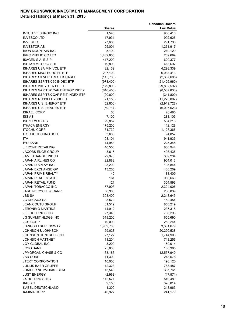|                                                          | <b>Shares</b>            | <b>Canadian Dollars</b><br><b>Fair Value</b> |
|----------------------------------------------------------|--------------------------|----------------------------------------------|
| INTUITIVE SURGIC INC                                     | 1,540                    | 986,416                                      |
| <b>INVESCO LTD</b>                                       | 17,931                   | 902,626                                      |
| <b>INVESTEC</b>                                          | 27,665                   | 291,796                                      |
| <b>INVESTOR AB</b>                                       | 25,001                   | 1,261,917                                    |
| <b>IRON MOUNTAIN INC</b>                                 | 5,190                    | 240,129                                      |
| <b>IRPC PUBLIC CO LTD</b>                                | 1,432,600                | 239,689                                      |
| ISAGEN S.A. E.S.P.                                       | 417,200                  | 620,377                                      |
| <b>ISETAN MITSUKOSHI</b>                                 | 19,800                   | 415,697                                      |
| <b>ISHARES USA MIN VOL ETF</b>                           | 82,139                   | 4,298,339                                    |
| <b>ISHARES MSCI EURO FL ETF</b>                          | 207,100                  | 6,033,413                                    |
| <b>ISHARES SILVER TRUST ISHARES</b>                      | (115, 700)               | (2,337,605)                                  |
| ISHARES S&P/TSX 60 INDEX ETF<br>ISHARES 20+ YR TR BD ETF | (978, 400)               | (21, 426, 960)                               |
| ISHARES S&P/TSX CAP ENERGY INDEX                         | (179, 800)<br>(616, 450) | (29, 802, 592)<br>(8,537,833)                |
| ISHARES S&P/TSX CAP REIT INDEX ETF                       | (20,000)                 | (341, 800)                                   |
| ISHARES RUSSELL 2000 ETF                                 | (71, 150)                | (11, 223, 092)                               |
| <b>ISHARES U.S. ENERGY ETF</b>                           | (52, 800)                | (2,919,728)                                  |
| <b>ISHARES U.S. REAL ES ETF</b>                          | (59, 717)                | (6,007,623)                                  |
| <b>ISRAEL CORP</b>                                       | 60                       | 26,485                                       |
| <b>ISS AS</b>                                            | 7,100                    | 283,105                                      |
| <b>ISUZU MOTORS</b>                                      | 29,887                   | 504,218                                      |
| <b>ITHACA ENERGY</b>                                     | 175,200                  | 112,128                                      |
| <b>ITOCHU CORP</b>                                       | 81,730                   | 1,123,366                                    |
| <b>ITOCHU TECHNO SOLU</b>                                | 3,600                    | 94,857                                       |
| ITV                                                      | 198,101                  | 941,935                                      |
| <b>IYO BANK</b>                                          | 14,953                   | 225,345                                      |
| J FRONT RETAILING                                        | 40,550                   | 808,944                                      |
| <b>JACOBS ENGR GROUP</b>                                 | 8,615                    | 493,436                                      |
| <b>JAMES HARDIE INDUS</b>                                | 22,976                   | 339,234                                      |
| <b>JAPAN AIRLINES CO</b><br>JAPAN DISPLAY INC            | 22,888<br>23,200         | 904,013                                      |
| <b>JAPAN EXCHANGE GP</b>                                 | 13,265                   | 105,844<br>488,209                           |
| <b>JAPAN PRIME REALTY</b>                                | 42                       | 183,409                                      |
| <b>JAPAN REAL ESTATE</b>                                 | 161                      | 960,660                                      |
| JAPAN RETAIL FUND                                        | 121                      | 304,896                                      |
| <b>JAPAN TOBACCO INC</b>                                 | 57,903                   | 2,324,006                                    |
| <b>JARDINE CYCLE &amp; CARR</b>                          | 6,300                    | 238,839                                      |
| <b>JBS SA</b>                                            | 393,400                  | 2,213,643                                    |
| JC DECAUX SA                                             | 3,570                    | 152,454                                      |
| <b>JEAN COUTU GROUP</b>                                  | 31,519                   | 853,219                                      |
| <b>JERONIMO MARTINS</b>                                  | 14,912                   | 237,318                                      |
| JFE HOLDINGS INC                                         | 27,340                   | 766,293                                      |
| JG SUMMIT HLDGS INC                                      | 319,200                  | 655,690                                      |
| <b>JGC CORP</b>                                          | 10,000                   | 252,244                                      |
| JIANGSU EXPRESSWAY                                       | 1,939,700                | 3,301,679                                    |
| <b>JOHNSON &amp; JOHNSON</b><br>JOHNSON CONTROLS INC     | 159,028                  | 20,290,538                                   |
| <b>JOHNSON MATTHEY</b>                                   | 27,127<br>11,204         | 1,744,903<br>713,256                         |
| <b>JOY GLOBAL INC</b>                                    | 3,200                    | 159,014                                      |
| <b>JOYO BANK</b>                                         | 25,800                   | 168,385                                      |
| JPMORGAN CHASE & CO                                      | 163,183                  | 12,537,940                                   |
| <b>JSR CORP</b>                                          | 11,300                   | 248,578                                      |
| <b>JTEKT CORPORATION</b>                                 | 10,000                   | 198,120                                      |
| <b>JULIUS BAER GRUPPE</b>                                | 12,323                   | 783,487                                      |
| JUNIPER NETWORKS COM                                     | 13,540                   | 387,761                                      |
| <b>JUST ENERGY</b>                                       | (2,968)                  | (17, 571)                                    |
| JX HOLDINGS INC                                          | 112,571                  | 549,480                                      |
| K&S AG                                                   | 9,158                    | 378,814                                      |
| KABEL DEUTSCHLAND                                        | 1,300                    | 213,963                                      |
| <b>KAJIMA CORP</b>                                       | 40,927                   | 241,179                                      |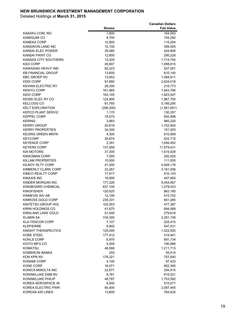| 7,800<br>164,583<br>KAKAKU.COM. INC<br><b>KAMIGUMI CO</b><br>8,700<br>104,282<br><b>KANEKA CORP</b><br>12,900<br>115,254<br><b>KANGWON LAND INC</b><br>10,100<br>399,505<br>KANSAI ELEC POWER<br>35,085<br>424,806<br>KANSAI PAINT CO<br>12,800<br>295,228<br>KANSAS CITY SOUTHERN<br>13,200<br>1,714,754<br>KAO CORP<br>26,807<br>1,698,615<br>82,223<br>KAWASAKI HEAVY IND<br>527,081<br><b>KB FINANCIAL GROUP</b><br>13,600<br>610,140<br><b>KBC GROEP NV</b><br>13,853<br>1,084,611<br><b>KDDI CORP</b><br>91,680<br>2,634,018<br><b>KEIHAN ELECTRIC RY</b><br>28,300<br>218,773<br><b>KEIKYU CORP</b><br>1,643,766<br>161,965<br><b>KEIO CORP</b><br>183,105<br>1,823,507<br><b>KEISEI ELEC RY CO</b><br>124,800<br>1,967,750<br>61,765<br><b>KELLOGG CO</b><br>5,166,295<br><b>KELT EXPLORATION</b><br>(206, 300)<br>(1,561,691)<br><b>KEPCO PLANT SERVIC</b><br>1,170<br>130,357<br><b>KEPPEL CORP</b><br>78,570<br>652,898<br><b>KERING</b><br>3,883<br>960,220<br><b>KERRY GROUP</b><br>20,619<br>1,752,900<br><b>KERRY PROPERTIES</b><br>34,300<br>151,003<br><b>KEURIG GREEN MNTN</b><br>4,300<br>610,909<br><b>KEYCORP</b><br>34,674<br>622,715<br>2,391<br><b>KEYENCE CORP</b><br>1,656,452<br><b>KEYERA CORP</b><br>137,058<br>11,579,431<br><b>KIA MOTORS</b><br>31,300<br>1,615,029<br><b>KIKKOMAN CORP</b><br>7,000<br>282,025<br>KILLAM PROPERTIES<br>10,000<br>111,000<br>KILROY RLTY CORP<br>41,300<br>4,008,178<br>KIMBERLY CLARK CORP<br>23,267<br>3,181,936<br>KIMCO REALTY CORP<br>17,917<br>610,143<br><b>KINAXIS INC</b><br>16,900<br>447,850<br>KINDER MORGAN INC<br>177,226<br>9,454,067<br>KINGBOARD CHEMICAL<br>637,100<br>1,278,023<br><b>KINGFISHER</b><br>120,625<br>863,160<br>KINNEVIK INV AB<br>12,190<br>515,752<br>KINROSS GOLD CORP<br>235,331<br>661,280<br>KINTETSU GROUP HOL<br>102,503<br>477,387<br>KIRIN HOLDINGS CO<br>41,675<br>694,069<br>KIRKLAND LAKE GOLD<br>51,400<br>279,616<br><b>KLABIN SA</b><br>316,300<br>2,281,158<br><b>KLA-TENCOR CORP</b><br>7,107<br>525,415<br><b>KLEPIERRE</b><br>8,802<br>547,031<br>KNIGHT THERAPEUTICS<br>125,000<br>1,022,500<br>KOBE STEEL<br>177,412<br>415,941<br>KOHLS CORP<br>6,970<br>691,734<br>5,000<br>KOITO MFG CO<br>190,886<br><b>KOMATSU</b><br>48,566<br>1,211,713<br>KOMERCNI BANKA<br>203<br>55,514<br>KON KPN NV<br>176,321<br>757,640<br><b>KONAMI CORP</b><br>4,100<br>97,423<br><b>KONE CORP</b><br>902,385<br>16,071<br>KONICA MINOLTA INC<br>22,871<br>294,915<br>8,761<br>KONINKLIJKE DSM NV<br>619,321<br>KONINKLIJKE PHILIP<br>48,787<br>1,753,592<br>KOREA AEROSPACE IN<br>8,000<br>515,071<br>KOREA ELECTRIC PWR<br>80,400<br>2,087,445 |                         |               | <b>Canadian Dollars</b> |
|---------------------------------------------------------------------------------------------------------------------------------------------------------------------------------------------------------------------------------------------------------------------------------------------------------------------------------------------------------------------------------------------------------------------------------------------------------------------------------------------------------------------------------------------------------------------------------------------------------------------------------------------------------------------------------------------------------------------------------------------------------------------------------------------------------------------------------------------------------------------------------------------------------------------------------------------------------------------------------------------------------------------------------------------------------------------------------------------------------------------------------------------------------------------------------------------------------------------------------------------------------------------------------------------------------------------------------------------------------------------------------------------------------------------------------------------------------------------------------------------------------------------------------------------------------------------------------------------------------------------------------------------------------------------------------------------------------------------------------------------------------------------------------------------------------------------------------------------------------------------------------------------------------------------------------------------------------------------------------------------------------------------------------------------------------------------------------------------------------------------------------------------------------------------------------------------------------------------------------------------------------------------------------------------------------------------------------------------------------------------------------------------------------------------------------------------------------------------------------------------------------------------------------------------------------------------------------------------------------------------------------------------------------|-------------------------|---------------|-------------------------|
|                                                                                                                                                                                                                                                                                                                                                                                                                                                                                                                                                                                                                                                                                                                                                                                                                                                                                                                                                                                                                                                                                                                                                                                                                                                                                                                                                                                                                                                                                                                                                                                                                                                                                                                                                                                                                                                                                                                                                                                                                                                                                                                                                                                                                                                                                                                                                                                                                                                                                                                                                                                                                                                         |                         | <b>Shares</b> | <b>Fair Value</b>       |
|                                                                                                                                                                                                                                                                                                                                                                                                                                                                                                                                                                                                                                                                                                                                                                                                                                                                                                                                                                                                                                                                                                                                                                                                                                                                                                                                                                                                                                                                                                                                                                                                                                                                                                                                                                                                                                                                                                                                                                                                                                                                                                                                                                                                                                                                                                                                                                                                                                                                                                                                                                                                                                                         |                         |               |                         |
|                                                                                                                                                                                                                                                                                                                                                                                                                                                                                                                                                                                                                                                                                                                                                                                                                                                                                                                                                                                                                                                                                                                                                                                                                                                                                                                                                                                                                                                                                                                                                                                                                                                                                                                                                                                                                                                                                                                                                                                                                                                                                                                                                                                                                                                                                                                                                                                                                                                                                                                                                                                                                                                         |                         |               |                         |
|                                                                                                                                                                                                                                                                                                                                                                                                                                                                                                                                                                                                                                                                                                                                                                                                                                                                                                                                                                                                                                                                                                                                                                                                                                                                                                                                                                                                                                                                                                                                                                                                                                                                                                                                                                                                                                                                                                                                                                                                                                                                                                                                                                                                                                                                                                                                                                                                                                                                                                                                                                                                                                                         |                         |               |                         |
|                                                                                                                                                                                                                                                                                                                                                                                                                                                                                                                                                                                                                                                                                                                                                                                                                                                                                                                                                                                                                                                                                                                                                                                                                                                                                                                                                                                                                                                                                                                                                                                                                                                                                                                                                                                                                                                                                                                                                                                                                                                                                                                                                                                                                                                                                                                                                                                                                                                                                                                                                                                                                                                         |                         |               |                         |
|                                                                                                                                                                                                                                                                                                                                                                                                                                                                                                                                                                                                                                                                                                                                                                                                                                                                                                                                                                                                                                                                                                                                                                                                                                                                                                                                                                                                                                                                                                                                                                                                                                                                                                                                                                                                                                                                                                                                                                                                                                                                                                                                                                                                                                                                                                                                                                                                                                                                                                                                                                                                                                                         |                         |               |                         |
|                                                                                                                                                                                                                                                                                                                                                                                                                                                                                                                                                                                                                                                                                                                                                                                                                                                                                                                                                                                                                                                                                                                                                                                                                                                                                                                                                                                                                                                                                                                                                                                                                                                                                                                                                                                                                                                                                                                                                                                                                                                                                                                                                                                                                                                                                                                                                                                                                                                                                                                                                                                                                                                         |                         |               |                         |
|                                                                                                                                                                                                                                                                                                                                                                                                                                                                                                                                                                                                                                                                                                                                                                                                                                                                                                                                                                                                                                                                                                                                                                                                                                                                                                                                                                                                                                                                                                                                                                                                                                                                                                                                                                                                                                                                                                                                                                                                                                                                                                                                                                                                                                                                                                                                                                                                                                                                                                                                                                                                                                                         |                         |               |                         |
|                                                                                                                                                                                                                                                                                                                                                                                                                                                                                                                                                                                                                                                                                                                                                                                                                                                                                                                                                                                                                                                                                                                                                                                                                                                                                                                                                                                                                                                                                                                                                                                                                                                                                                                                                                                                                                                                                                                                                                                                                                                                                                                                                                                                                                                                                                                                                                                                                                                                                                                                                                                                                                                         |                         |               |                         |
|                                                                                                                                                                                                                                                                                                                                                                                                                                                                                                                                                                                                                                                                                                                                                                                                                                                                                                                                                                                                                                                                                                                                                                                                                                                                                                                                                                                                                                                                                                                                                                                                                                                                                                                                                                                                                                                                                                                                                                                                                                                                                                                                                                                                                                                                                                                                                                                                                                                                                                                                                                                                                                                         |                         |               |                         |
|                                                                                                                                                                                                                                                                                                                                                                                                                                                                                                                                                                                                                                                                                                                                                                                                                                                                                                                                                                                                                                                                                                                                                                                                                                                                                                                                                                                                                                                                                                                                                                                                                                                                                                                                                                                                                                                                                                                                                                                                                                                                                                                                                                                                                                                                                                                                                                                                                                                                                                                                                                                                                                                         |                         |               |                         |
|                                                                                                                                                                                                                                                                                                                                                                                                                                                                                                                                                                                                                                                                                                                                                                                                                                                                                                                                                                                                                                                                                                                                                                                                                                                                                                                                                                                                                                                                                                                                                                                                                                                                                                                                                                                                                                                                                                                                                                                                                                                                                                                                                                                                                                                                                                                                                                                                                                                                                                                                                                                                                                                         |                         |               |                         |
|                                                                                                                                                                                                                                                                                                                                                                                                                                                                                                                                                                                                                                                                                                                                                                                                                                                                                                                                                                                                                                                                                                                                                                                                                                                                                                                                                                                                                                                                                                                                                                                                                                                                                                                                                                                                                                                                                                                                                                                                                                                                                                                                                                                                                                                                                                                                                                                                                                                                                                                                                                                                                                                         |                         |               |                         |
|                                                                                                                                                                                                                                                                                                                                                                                                                                                                                                                                                                                                                                                                                                                                                                                                                                                                                                                                                                                                                                                                                                                                                                                                                                                                                                                                                                                                                                                                                                                                                                                                                                                                                                                                                                                                                                                                                                                                                                                                                                                                                                                                                                                                                                                                                                                                                                                                                                                                                                                                                                                                                                                         |                         |               |                         |
|                                                                                                                                                                                                                                                                                                                                                                                                                                                                                                                                                                                                                                                                                                                                                                                                                                                                                                                                                                                                                                                                                                                                                                                                                                                                                                                                                                                                                                                                                                                                                                                                                                                                                                                                                                                                                                                                                                                                                                                                                                                                                                                                                                                                                                                                                                                                                                                                                                                                                                                                                                                                                                                         |                         |               |                         |
|                                                                                                                                                                                                                                                                                                                                                                                                                                                                                                                                                                                                                                                                                                                                                                                                                                                                                                                                                                                                                                                                                                                                                                                                                                                                                                                                                                                                                                                                                                                                                                                                                                                                                                                                                                                                                                                                                                                                                                                                                                                                                                                                                                                                                                                                                                                                                                                                                                                                                                                                                                                                                                                         |                         |               |                         |
|                                                                                                                                                                                                                                                                                                                                                                                                                                                                                                                                                                                                                                                                                                                                                                                                                                                                                                                                                                                                                                                                                                                                                                                                                                                                                                                                                                                                                                                                                                                                                                                                                                                                                                                                                                                                                                                                                                                                                                                                                                                                                                                                                                                                                                                                                                                                                                                                                                                                                                                                                                                                                                                         |                         |               |                         |
|                                                                                                                                                                                                                                                                                                                                                                                                                                                                                                                                                                                                                                                                                                                                                                                                                                                                                                                                                                                                                                                                                                                                                                                                                                                                                                                                                                                                                                                                                                                                                                                                                                                                                                                                                                                                                                                                                                                                                                                                                                                                                                                                                                                                                                                                                                                                                                                                                                                                                                                                                                                                                                                         |                         |               |                         |
|                                                                                                                                                                                                                                                                                                                                                                                                                                                                                                                                                                                                                                                                                                                                                                                                                                                                                                                                                                                                                                                                                                                                                                                                                                                                                                                                                                                                                                                                                                                                                                                                                                                                                                                                                                                                                                                                                                                                                                                                                                                                                                                                                                                                                                                                                                                                                                                                                                                                                                                                                                                                                                                         |                         |               |                         |
|                                                                                                                                                                                                                                                                                                                                                                                                                                                                                                                                                                                                                                                                                                                                                                                                                                                                                                                                                                                                                                                                                                                                                                                                                                                                                                                                                                                                                                                                                                                                                                                                                                                                                                                                                                                                                                                                                                                                                                                                                                                                                                                                                                                                                                                                                                                                                                                                                                                                                                                                                                                                                                                         |                         |               |                         |
|                                                                                                                                                                                                                                                                                                                                                                                                                                                                                                                                                                                                                                                                                                                                                                                                                                                                                                                                                                                                                                                                                                                                                                                                                                                                                                                                                                                                                                                                                                                                                                                                                                                                                                                                                                                                                                                                                                                                                                                                                                                                                                                                                                                                                                                                                                                                                                                                                                                                                                                                                                                                                                                         |                         |               |                         |
|                                                                                                                                                                                                                                                                                                                                                                                                                                                                                                                                                                                                                                                                                                                                                                                                                                                                                                                                                                                                                                                                                                                                                                                                                                                                                                                                                                                                                                                                                                                                                                                                                                                                                                                                                                                                                                                                                                                                                                                                                                                                                                                                                                                                                                                                                                                                                                                                                                                                                                                                                                                                                                                         |                         |               |                         |
|                                                                                                                                                                                                                                                                                                                                                                                                                                                                                                                                                                                                                                                                                                                                                                                                                                                                                                                                                                                                                                                                                                                                                                                                                                                                                                                                                                                                                                                                                                                                                                                                                                                                                                                                                                                                                                                                                                                                                                                                                                                                                                                                                                                                                                                                                                                                                                                                                                                                                                                                                                                                                                                         |                         |               |                         |
|                                                                                                                                                                                                                                                                                                                                                                                                                                                                                                                                                                                                                                                                                                                                                                                                                                                                                                                                                                                                                                                                                                                                                                                                                                                                                                                                                                                                                                                                                                                                                                                                                                                                                                                                                                                                                                                                                                                                                                                                                                                                                                                                                                                                                                                                                                                                                                                                                                                                                                                                                                                                                                                         |                         |               |                         |
|                                                                                                                                                                                                                                                                                                                                                                                                                                                                                                                                                                                                                                                                                                                                                                                                                                                                                                                                                                                                                                                                                                                                                                                                                                                                                                                                                                                                                                                                                                                                                                                                                                                                                                                                                                                                                                                                                                                                                                                                                                                                                                                                                                                                                                                                                                                                                                                                                                                                                                                                                                                                                                                         |                         |               |                         |
|                                                                                                                                                                                                                                                                                                                                                                                                                                                                                                                                                                                                                                                                                                                                                                                                                                                                                                                                                                                                                                                                                                                                                                                                                                                                                                                                                                                                                                                                                                                                                                                                                                                                                                                                                                                                                                                                                                                                                                                                                                                                                                                                                                                                                                                                                                                                                                                                                                                                                                                                                                                                                                                         |                         |               |                         |
|                                                                                                                                                                                                                                                                                                                                                                                                                                                                                                                                                                                                                                                                                                                                                                                                                                                                                                                                                                                                                                                                                                                                                                                                                                                                                                                                                                                                                                                                                                                                                                                                                                                                                                                                                                                                                                                                                                                                                                                                                                                                                                                                                                                                                                                                                                                                                                                                                                                                                                                                                                                                                                                         |                         |               |                         |
|                                                                                                                                                                                                                                                                                                                                                                                                                                                                                                                                                                                                                                                                                                                                                                                                                                                                                                                                                                                                                                                                                                                                                                                                                                                                                                                                                                                                                                                                                                                                                                                                                                                                                                                                                                                                                                                                                                                                                                                                                                                                                                                                                                                                                                                                                                                                                                                                                                                                                                                                                                                                                                                         |                         |               |                         |
|                                                                                                                                                                                                                                                                                                                                                                                                                                                                                                                                                                                                                                                                                                                                                                                                                                                                                                                                                                                                                                                                                                                                                                                                                                                                                                                                                                                                                                                                                                                                                                                                                                                                                                                                                                                                                                                                                                                                                                                                                                                                                                                                                                                                                                                                                                                                                                                                                                                                                                                                                                                                                                                         |                         |               |                         |
|                                                                                                                                                                                                                                                                                                                                                                                                                                                                                                                                                                                                                                                                                                                                                                                                                                                                                                                                                                                                                                                                                                                                                                                                                                                                                                                                                                                                                                                                                                                                                                                                                                                                                                                                                                                                                                                                                                                                                                                                                                                                                                                                                                                                                                                                                                                                                                                                                                                                                                                                                                                                                                                         |                         |               |                         |
|                                                                                                                                                                                                                                                                                                                                                                                                                                                                                                                                                                                                                                                                                                                                                                                                                                                                                                                                                                                                                                                                                                                                                                                                                                                                                                                                                                                                                                                                                                                                                                                                                                                                                                                                                                                                                                                                                                                                                                                                                                                                                                                                                                                                                                                                                                                                                                                                                                                                                                                                                                                                                                                         |                         |               |                         |
|                                                                                                                                                                                                                                                                                                                                                                                                                                                                                                                                                                                                                                                                                                                                                                                                                                                                                                                                                                                                                                                                                                                                                                                                                                                                                                                                                                                                                                                                                                                                                                                                                                                                                                                                                                                                                                                                                                                                                                                                                                                                                                                                                                                                                                                                                                                                                                                                                                                                                                                                                                                                                                                         |                         |               |                         |
|                                                                                                                                                                                                                                                                                                                                                                                                                                                                                                                                                                                                                                                                                                                                                                                                                                                                                                                                                                                                                                                                                                                                                                                                                                                                                                                                                                                                                                                                                                                                                                                                                                                                                                                                                                                                                                                                                                                                                                                                                                                                                                                                                                                                                                                                                                                                                                                                                                                                                                                                                                                                                                                         |                         |               |                         |
|                                                                                                                                                                                                                                                                                                                                                                                                                                                                                                                                                                                                                                                                                                                                                                                                                                                                                                                                                                                                                                                                                                                                                                                                                                                                                                                                                                                                                                                                                                                                                                                                                                                                                                                                                                                                                                                                                                                                                                                                                                                                                                                                                                                                                                                                                                                                                                                                                                                                                                                                                                                                                                                         |                         |               |                         |
|                                                                                                                                                                                                                                                                                                                                                                                                                                                                                                                                                                                                                                                                                                                                                                                                                                                                                                                                                                                                                                                                                                                                                                                                                                                                                                                                                                                                                                                                                                                                                                                                                                                                                                                                                                                                                                                                                                                                                                                                                                                                                                                                                                                                                                                                                                                                                                                                                                                                                                                                                                                                                                                         |                         |               |                         |
|                                                                                                                                                                                                                                                                                                                                                                                                                                                                                                                                                                                                                                                                                                                                                                                                                                                                                                                                                                                                                                                                                                                                                                                                                                                                                                                                                                                                                                                                                                                                                                                                                                                                                                                                                                                                                                                                                                                                                                                                                                                                                                                                                                                                                                                                                                                                                                                                                                                                                                                                                                                                                                                         |                         |               |                         |
|                                                                                                                                                                                                                                                                                                                                                                                                                                                                                                                                                                                                                                                                                                                                                                                                                                                                                                                                                                                                                                                                                                                                                                                                                                                                                                                                                                                                                                                                                                                                                                                                                                                                                                                                                                                                                                                                                                                                                                                                                                                                                                                                                                                                                                                                                                                                                                                                                                                                                                                                                                                                                                                         |                         |               |                         |
|                                                                                                                                                                                                                                                                                                                                                                                                                                                                                                                                                                                                                                                                                                                                                                                                                                                                                                                                                                                                                                                                                                                                                                                                                                                                                                                                                                                                                                                                                                                                                                                                                                                                                                                                                                                                                                                                                                                                                                                                                                                                                                                                                                                                                                                                                                                                                                                                                                                                                                                                                                                                                                                         |                         |               |                         |
|                                                                                                                                                                                                                                                                                                                                                                                                                                                                                                                                                                                                                                                                                                                                                                                                                                                                                                                                                                                                                                                                                                                                                                                                                                                                                                                                                                                                                                                                                                                                                                                                                                                                                                                                                                                                                                                                                                                                                                                                                                                                                                                                                                                                                                                                                                                                                                                                                                                                                                                                                                                                                                                         |                         |               |                         |
|                                                                                                                                                                                                                                                                                                                                                                                                                                                                                                                                                                                                                                                                                                                                                                                                                                                                                                                                                                                                                                                                                                                                                                                                                                                                                                                                                                                                                                                                                                                                                                                                                                                                                                                                                                                                                                                                                                                                                                                                                                                                                                                                                                                                                                                                                                                                                                                                                                                                                                                                                                                                                                                         |                         |               |                         |
|                                                                                                                                                                                                                                                                                                                                                                                                                                                                                                                                                                                                                                                                                                                                                                                                                                                                                                                                                                                                                                                                                                                                                                                                                                                                                                                                                                                                                                                                                                                                                                                                                                                                                                                                                                                                                                                                                                                                                                                                                                                                                                                                                                                                                                                                                                                                                                                                                                                                                                                                                                                                                                                         |                         |               |                         |
|                                                                                                                                                                                                                                                                                                                                                                                                                                                                                                                                                                                                                                                                                                                                                                                                                                                                                                                                                                                                                                                                                                                                                                                                                                                                                                                                                                                                                                                                                                                                                                                                                                                                                                                                                                                                                                                                                                                                                                                                                                                                                                                                                                                                                                                                                                                                                                                                                                                                                                                                                                                                                                                         |                         |               |                         |
|                                                                                                                                                                                                                                                                                                                                                                                                                                                                                                                                                                                                                                                                                                                                                                                                                                                                                                                                                                                                                                                                                                                                                                                                                                                                                                                                                                                                                                                                                                                                                                                                                                                                                                                                                                                                                                                                                                                                                                                                                                                                                                                                                                                                                                                                                                                                                                                                                                                                                                                                                                                                                                                         |                         |               |                         |
|                                                                                                                                                                                                                                                                                                                                                                                                                                                                                                                                                                                                                                                                                                                                                                                                                                                                                                                                                                                                                                                                                                                                                                                                                                                                                                                                                                                                                                                                                                                                                                                                                                                                                                                                                                                                                                                                                                                                                                                                                                                                                                                                                                                                                                                                                                                                                                                                                                                                                                                                                                                                                                                         |                         |               |                         |
|                                                                                                                                                                                                                                                                                                                                                                                                                                                                                                                                                                                                                                                                                                                                                                                                                                                                                                                                                                                                                                                                                                                                                                                                                                                                                                                                                                                                                                                                                                                                                                                                                                                                                                                                                                                                                                                                                                                                                                                                                                                                                                                                                                                                                                                                                                                                                                                                                                                                                                                                                                                                                                                         |                         |               |                         |
|                                                                                                                                                                                                                                                                                                                                                                                                                                                                                                                                                                                                                                                                                                                                                                                                                                                                                                                                                                                                                                                                                                                                                                                                                                                                                                                                                                                                                                                                                                                                                                                                                                                                                                                                                                                                                                                                                                                                                                                                                                                                                                                                                                                                                                                                                                                                                                                                                                                                                                                                                                                                                                                         |                         |               |                         |
|                                                                                                                                                                                                                                                                                                                                                                                                                                                                                                                                                                                                                                                                                                                                                                                                                                                                                                                                                                                                                                                                                                                                                                                                                                                                                                                                                                                                                                                                                                                                                                                                                                                                                                                                                                                                                                                                                                                                                                                                                                                                                                                                                                                                                                                                                                                                                                                                                                                                                                                                                                                                                                                         |                         |               |                         |
|                                                                                                                                                                                                                                                                                                                                                                                                                                                                                                                                                                                                                                                                                                                                                                                                                                                                                                                                                                                                                                                                                                                                                                                                                                                                                                                                                                                                                                                                                                                                                                                                                                                                                                                                                                                                                                                                                                                                                                                                                                                                                                                                                                                                                                                                                                                                                                                                                                                                                                                                                                                                                                                         |                         |               |                         |
|                                                                                                                                                                                                                                                                                                                                                                                                                                                                                                                                                                                                                                                                                                                                                                                                                                                                                                                                                                                                                                                                                                                                                                                                                                                                                                                                                                                                                                                                                                                                                                                                                                                                                                                                                                                                                                                                                                                                                                                                                                                                                                                                                                                                                                                                                                                                                                                                                                                                                                                                                                                                                                                         |                         |               |                         |
|                                                                                                                                                                                                                                                                                                                                                                                                                                                                                                                                                                                                                                                                                                                                                                                                                                                                                                                                                                                                                                                                                                                                                                                                                                                                                                                                                                                                                                                                                                                                                                                                                                                                                                                                                                                                                                                                                                                                                                                                                                                                                                                                                                                                                                                                                                                                                                                                                                                                                                                                                                                                                                                         |                         |               |                         |
|                                                                                                                                                                                                                                                                                                                                                                                                                                                                                                                                                                                                                                                                                                                                                                                                                                                                                                                                                                                                                                                                                                                                                                                                                                                                                                                                                                                                                                                                                                                                                                                                                                                                                                                                                                                                                                                                                                                                                                                                                                                                                                                                                                                                                                                                                                                                                                                                                                                                                                                                                                                                                                                         |                         |               |                         |
|                                                                                                                                                                                                                                                                                                                                                                                                                                                                                                                                                                                                                                                                                                                                                                                                                                                                                                                                                                                                                                                                                                                                                                                                                                                                                                                                                                                                                                                                                                                                                                                                                                                                                                                                                                                                                                                                                                                                                                                                                                                                                                                                                                                                                                                                                                                                                                                                                                                                                                                                                                                                                                                         |                         |               |                         |
|                                                                                                                                                                                                                                                                                                                                                                                                                                                                                                                                                                                                                                                                                                                                                                                                                                                                                                                                                                                                                                                                                                                                                                                                                                                                                                                                                                                                                                                                                                                                                                                                                                                                                                                                                                                                                                                                                                                                                                                                                                                                                                                                                                                                                                                                                                                                                                                                                                                                                                                                                                                                                                                         |                         |               |                         |
|                                                                                                                                                                                                                                                                                                                                                                                                                                                                                                                                                                                                                                                                                                                                                                                                                                                                                                                                                                                                                                                                                                                                                                                                                                                                                                                                                                                                                                                                                                                                                                                                                                                                                                                                                                                                                                                                                                                                                                                                                                                                                                                                                                                                                                                                                                                                                                                                                                                                                                                                                                                                                                                         |                         |               |                         |
|                                                                                                                                                                                                                                                                                                                                                                                                                                                                                                                                                                                                                                                                                                                                                                                                                                                                                                                                                                                                                                                                                                                                                                                                                                                                                                                                                                                                                                                                                                                                                                                                                                                                                                                                                                                                                                                                                                                                                                                                                                                                                                                                                                                                                                                                                                                                                                                                                                                                                                                                                                                                                                                         |                         |               |                         |
|                                                                                                                                                                                                                                                                                                                                                                                                                                                                                                                                                                                                                                                                                                                                                                                                                                                                                                                                                                                                                                                                                                                                                                                                                                                                                                                                                                                                                                                                                                                                                                                                                                                                                                                                                                                                                                                                                                                                                                                                                                                                                                                                                                                                                                                                                                                                                                                                                                                                                                                                                                                                                                                         |                         |               |                         |
|                                                                                                                                                                                                                                                                                                                                                                                                                                                                                                                                                                                                                                                                                                                                                                                                                                                                                                                                                                                                                                                                                                                                                                                                                                                                                                                                                                                                                                                                                                                                                                                                                                                                                                                                                                                                                                                                                                                                                                                                                                                                                                                                                                                                                                                                                                                                                                                                                                                                                                                                                                                                                                                         |                         |               |                         |
|                                                                                                                                                                                                                                                                                                                                                                                                                                                                                                                                                                                                                                                                                                                                                                                                                                                                                                                                                                                                                                                                                                                                                                                                                                                                                                                                                                                                                                                                                                                                                                                                                                                                                                                                                                                                                                                                                                                                                                                                                                                                                                                                                                                                                                                                                                                                                                                                                                                                                                                                                                                                                                                         |                         |               |                         |
|                                                                                                                                                                                                                                                                                                                                                                                                                                                                                                                                                                                                                                                                                                                                                                                                                                                                                                                                                                                                                                                                                                                                                                                                                                                                                                                                                                                                                                                                                                                                                                                                                                                                                                                                                                                                                                                                                                                                                                                                                                                                                                                                                                                                                                                                                                                                                                                                                                                                                                                                                                                                                                                         | <b>KOREAN AIR LINES</b> | 13,800        | 764,832                 |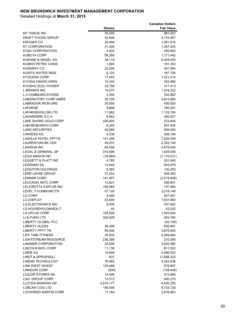|                                            |                                    | <b>Canadian Dollars</b> |
|--------------------------------------------|------------------------------------|-------------------------|
|                                            | <b>Shares</b>                      | <b>Fair Value</b>       |
| KP TISSUE INC                              | 35,400                             | 581,622                 |
| KRAFT FOODS GROUP                          | 42,846                             | 4,733,967               |
| KROGER CO                                  | 20,484                             | 1,991,616               |
| KT CORPORATION                             | 41,300                             | 1,367,243               |
| KT&G CORPORATION<br>KUBOTA CORP            | 4,500                              | 455,653                 |
| KUEHNE & NAGEL AG                          | 58,289<br>34,119                   | 1,171,442<br>6,428,593  |
| KUMHO PETRO CHEM                           | 1,800                              | 161,302                 |
| KURARAY CO                                 | 20,200                             | 347,084                 |
| KURITA WATER INDS                          | 6,120                              | 187,756                 |
| KYOCERA CORP                               | 17,542                             | 1,221,214               |
| KYOWA HAKKO KIRIN                          | 15,342                             | 253,890                 |
| KYUSHU ELEC POWER                          | 25,799                             | 317,413                 |
| L BRANDS INC                               | 10,237                             | 1,224,222               |
| <b>L-3 COMMUNICATIONS</b>                  | 3,340                              | 532,862                 |
| LABORATORY CORP AMER                       | 35,105                             | 5,613,990               |
| <b>LABRADOR IRON ORE</b>                   | 29,500                             | 405,920                 |
| LAFARGE                                    | 9,688                              | 795,281                 |
| LAFARGEHOLCIM LTD                          | 11,962                             | 1,133,160               |
| LAGARDERE S.C.A.                           | 6,842                              | 260,027                 |
| LAKE SHORE GOLD CORP                       | 226,800                            | 233,604                 |
| <b>LAM RESEARCH CORP</b>                   | 6,245                              | 557,930                 |
| LAND SECURITIES                            | 40,666                             | 958,005                 |
| LANXESS AG                                 | 4,536                              | 306,184                 |
| <b>LASALLE HOTEL PPTYS</b>                 | 141,200                            | 7,026,359               |
| LAURENTIAN BK CDA                          | 49,231                             | 2,352,749               |
| <b>LAWSON INC</b>                          | 64,550                             | 5,678,540               |
| LEGAL & GENERAL GP                         | 310,806                            | 1,628,006               |
| <b>LEGG MASON INC</b>                      | (16, 664)                          | (1, 170, 031)           |
| LEGGETT & PLATT INC                        | 4,765                              | 281,045                 |
| <b>LEGRAND SA</b>                          | 13,640                             | 933,979                 |
| <b>LEIGHTON HOLDINGS</b>                   | 6,365                              | 130,250                 |
| <b>LEND LEASE GROUP</b>                    | 31,553                             | 508,000                 |
| LENNAR CORP                                | 141,457                            | (2,518,948)             |
| LEUCADIA NATL CORP                         | 12,621                             | 356,801                 |
| <b>LEUCROTTA EXPLOR INC</b>                | 159,560                            | 157,964                 |
| <b>LEVEL 3 COMMUNICTN</b>                  | 47,128                             | 3,218,148               |
| LG CORP                                    | 4,400                              | 307,901                 |
| LG DISPLAY                                 | 43,600                             | 1,557,860               |
| LG ELECTRONICS INC                         | 8,000                              | 537,902                 |
| LG HOUSEHOLD&HEALT                         | 45                                 | 43,202                  |
| LG UPLUS CORP                              | 154,800                            | 1,943,844               |
| LI & FUNG LTD<br><b>LIBERTY GLOBAL PLC</b> | 326,528                            | 403,784                 |
| <b>LIBERTY HLDGS</b>                       | $\overline{\phantom{0}}$<br>36,300 | (42, 108)<br>636,891    |
| <b>LIBERTY PPTY TR</b>                     |                                    |                         |
| LIFE TIME FITNESS                          | 84,500<br>25,000                   | 3,876,924<br>2,249,964  |
| <b>LIGHTSTREAM RESOURCE</b>                | 236,399                            | 210,395                 |
| LINAMAR CORPORATION                        | 32,000                             | 2,502,080               |
| LINCOLN NATL CORP                          | 11,136                             | 811,553                 |
| <b>LINDE AG</b>                            | 15,849                             | 4,088,502               |
| <b>LINDT &amp; SPRUENGLI</b>               | 931                                | 11,688,322              |
| LINEAR TECHNOLOGY                          | 76,363                             | 4,532,636               |
| LINK R/EST INVEST                          | 125,488                            | 979,857                 |
| <b>LINKEDIN CORP</b>                       | (500)                              | (158, 449)              |
| <b>LIQUOR STORES NA</b>                    | 14,600                             | 213,890                 |
| <b>LIXIL GROUP CORP</b>                    | 13,313                             | 400,275                 |
| <b>LLOYDS BANKING GP</b>                   | 3,010,177                          | 4,430,250               |
| LOBLAW COS LTD                             | 156,595                            | 9,734,728               |
| LOCKHEED MARTIN CORP                       | 11,183                             | 2,878,663               |
|                                            |                                    |                         |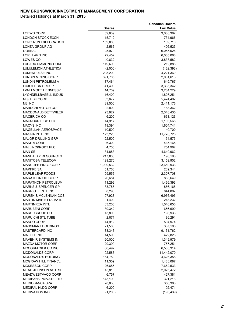|                                                      |                    | <b>Canadian Dollars</b> |
|------------------------------------------------------|--------------------|-------------------------|
|                                                      | <b>Shares</b>      | <b>Fair Value</b>       |
| LOEWS CORP                                           | 59,639             | 3,088,387               |
| LONDON STOCK EXCH                                    | 15,712             | 734,966                 |
| LONG RUN EXPLORATION                                 | 159,000            | 109,710                 |
| LONZA GROUP AG                                       | 2,566              | 406,523                 |
| <b>L'OREAL</b>                                       | 25,979             | 6,055,026               |
| <b>LORILLARD INC</b><br>LOWES CO                     | 72,452<br>40,632   | 6,005,068               |
| LUCARA DIAMOND CORP                                  | 119,600            | 3,833,582<br>212,888    |
| LULULEMON ATHLETICA                                  | (2,000)            | (162, 393)              |
| <b>LUMENPULSE INC</b>                                | 295,200            | 4,221,360               |
| LUNDIN MINING CORP                                   | 391,705            | 2,001,613               |
| LUNDIN PETROLEUM A                                   | 37,464             | 649,767                 |
| <b>LUXOTTICA GROUP</b>                               | 41,490             | 3,335,342               |
| LVMH MOET HENNESSY                                   | 14,709             | 3,284,229               |
| LYONDELLBASELL INDUS                                 | 16,400             | 1,826,251               |
| M & T BK CORP                                        | 33,677             | 5,424,492               |
| M3 INC                                               | 89,500             | 2,411,176               |
| MABUCHI MOTOR CO                                     | 2,800              | 188,362                 |
| <b>MACDONALD DETTWILER</b>                           | 23,927             | 2,348,435               |
| <b>MACERICH CO</b>                                   | 6,200              | 663,126                 |
| <b>MACQUARIE GP LTD</b>                              | 14,917             | 1,106,565               |
| <b>MACYS INC</b>                                     | 19,394             | 1,604,741               |
| <b>MAGELLAN AEROSPACE</b>                            | 10,500             | 140,700                 |
| <b>MAGNA INTL INC</b>                                | 173,220            | 11,728,726              |
| <b>MAJOR DRILLING GRP</b>                            | 22,500             | 154,575                 |
| <b>MAKITA CORP</b>                                   | 6,300              | 415,165                 |
| MALLINCKRODT PLC                                     | 4,700              | 754,962                 |
| <b>MAN SE</b>                                        | 34,883             | 4,649,962               |
| <b>MANDALAY RESOURCES</b><br><b>MANITOBA TELECOM</b> | 217,800<br>129,270 | 198,198                 |
| <b>MANULIFE FINCL CORP</b>                           | 1,099,532          | 3,159,902<br>23,650,933 |
| MAPFRE SA                                            | 51,768             | 239,344                 |
| <b>MAPLE LEAF FOODS</b>                              | 99,556             | 2,307,708               |
| <b>MARATHON OIL CORP</b>                             | 26,684             | 883,649                 |
| <b>MARATHON PETROLEUM</b>                            | 11,292             | 1,466,393               |
| <b>MARKS &amp; SPENCER GP</b>                        | 83,785             | 856,168                 |
| <b>MARRIOTT INTL INC</b>                             | 8,293              | 844,807                 |
| MARSH & MCLENNAN COS                                 | 97,928             | 6,966,495               |
| MARTIN MARIETTA MATL                                 | 1,400              | 248,232                 |
| <b>MARTINREA INTL</b>                                | 83,200             | 1,046,656               |
| <b>MARUBENI CORP</b>                                 | 89,342             | 656,690                 |
| MARUI GROUP CO                                       | 13,800             | 198,933                 |
| <b>MARUICHI STL TUBE</b>                             | 2,871              | 86,291                  |
| <b>MASCO CORP</b>                                    | 14,912             | 504,974                 |
| <b>MASSMART HOLDINGS</b>                             | 21,500             | 337,106                 |
| MASTERCARD INC                                       | 83,343             | 9,131,762               |
| <b>MATTEL INC</b>                                    | 14,590             | 422,828                 |
| <b>MAVENIR SYSTEMS IN</b>                            | 60,000             | 1,349,979               |
| MAZDA MOTOR CORP                                     | 29,399             | 757,251                 |
| MCCORMICK & CO INC                                   | 66,497             | 6,503,314               |
| <b>MCDONALDS CORP</b><br>MCDONALD'S HOLDING          | 92,586             | 11,442,070              |
| <b>MCGRAW HILL FINANCL</b>                           | 164,750<br>11,309  | 4,626,358<br>1,483,087  |
| <b>MCKESSON CORP</b>                                 | 26,685             | 7,662,533               |
| <b>MEAD JOHNSON NUTRIT</b>                           | 15,818             | 2,025,472               |
| MEADWESTVACO CORP                                    | 6,757              | 427,381                 |
| MEDIBANK PRIVATE LTD                                 | 143,100            | 321,216                 |
| <b>MEDIOBANCA SPA</b>                                | 28,830             | 350,388                 |
| MEDIPAL HLDG CORP                                    | 6,200              | 102,471                 |
| <b>MEDIVATION INC</b>                                | (1,200)            | (196, 439)              |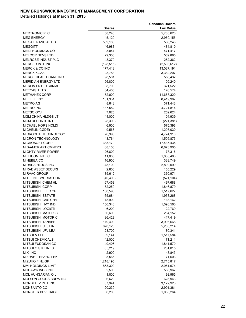|                                            |                  | <b>Canadian Dollars</b> |
|--------------------------------------------|------------------|-------------------------|
|                                            | <b>Shares</b>    | <b>Fair Value</b>       |
| <b>MEDTRONIC PLC</b>                       | 58,243           | 5,783,620               |
| <b>MEG ENERGY</b>                          | 145,120          | 2,969,155               |
| <b>MEGA FINANCIAL HD</b>                   | 539,100          | 566,248                 |
| <b>MEGGITT</b><br><b>MEIJI HOLDINGS CO</b> | 46,983           | 484,810                 |
| <b>MELCOR DEVS LTD</b>                     | 3,047            | 471,417                 |
| MELROSE INDUST PLC                         | 29,300<br>48,370 | 569,885<br>252,362      |
| <b>MERCER INTL INC</b>                     | (128, 515)       | (2,503,612)             |
| MERCK & CO INC                             | 177,418          | 13,037,191              |
| <b>MERCK KGAA</b>                          | 23,783           | 3,382,207               |
| MERGE HEALTHCARE INC                       | 98,501           | 558,432                 |
| <b>MERIDIAN ENERGY LTD</b>                 | 56,800           | 109,240                 |
| <b>MERLIN ENTERTAINME</b>                  | 38,700           | 321,522                 |
| <b>METCASH LTD</b>                         | 84,400           | 126,574                 |
| <b>METHANEX CORP</b>                       | 172,000          | 11,663,320              |
| <b>METLIFE INC</b>                         | 131,331          | 8,419,967               |
| <b>METRO AG</b>                            | 8,643            | 371,443                 |
| <b>METRO INC</b>                           | 137,582          | 4,721,814               |
| <b>METSO OYJ</b>                           | 7,025            | 259,624                 |
| <b>MGM CHINA HLDGS LT</b>                  | 44,000           | 104,939                 |
| <b>MGM RESORTS INTL</b>                    | (8,300)          | (221, 381)              |
| MICHAEL KORS HOLDI                         | 6,900            | 575,396                 |
| MICHELIN(CGDE)                             | 9,566            | 1,205,030               |
| MICROCHIP TECHNOLOGY                       | 76,990           | 4,774,910               |
| <b>MICRON TECHNOLOGY</b>                   | 43,764           | 1,505,875               |
| <b>MICROSOFT CORP</b>                      | 338,179          | 17,437,435              |
| <b>MID-AMER APT CMNTYS</b>                 | 68,100           | 6,673,905               |
| <b>MIGHTY RIVER POWER</b>                  | 26,600           | 78,316                  |
| <b>MILLICOM INTL CELL</b>                  | 11,005           | 1,008,483               |
| <b>MINEBEA CO</b>                          | 16,900           | 338,749                 |
| MIRACA HLDGS INC                           | 48,100           | 2,809,090               |
| MIRAE ASSET SECURI                         | 2,600            | 155,229                 |
| <b>MIRVAC GROUP</b>                        | 185,612          | 360,971                 |
| MITEL NETWORKS COR                         | (40, 400)        | (521, 104)              |
| <b>MITSUBISHI CHEM HL</b>                  | 67,458           | 497,688                 |
| <b>MITSUBISHI CORP</b>                     | 72,250           | 1,846,879               |
| <b>MITSUBISHI ELEC CP</b>                  | 100,598          | 1,517,627               |
| <b>MITSUBISHI ESTATE</b>                   | 65,684           | 1,933,268               |
| MITSUBISHI GAS CHM                         | 18,900           | 118,162                 |
| MITSUBISHI HVY IND                         | 156,348          | 1,093,560               |
| <b>MITSUBISHI LOGISTI</b>                  | 6,200            | 122,769                 |
| <b>MITSUBISHI MATERLS</b>                  | 66,600           | 284,152                 |
| MITSUBISHI MOTOR C                         | 36,429           | 417,419                 |
| MITSUBISHI TANABE                          | 179,400          | 3,906,668               |
| MITSUBISHI UFJ FIN                         | 670,128          | 5,263,214               |
| MITSUBISHI UFJ LEA                         | 28,700           | 180,341                 |
| <b>MITSUI &amp; CO</b>                     | 89,144           | 1,517,584               |
| <b>MITSUI CHEMICALS</b>                    | 42,000           | 171,211                 |
| MITSUI FUDOSAN CO                          | 49,406           | 1,841,570               |
| MITSUI O.S.K.LINES                         | 65,219           | 281,015                 |
| <b>MIXI INC</b>                            | 2,900            | 148,843                 |
| MIZRAHI TEFAHOT BK                         | 5,565            | 71,603                  |
| MIZUHO FINL GP                             | 1,218,195        | 2,715,817               |
| MMI HOLDINGS LIMIT                         | 863,300          | 2,961,674               |
| MOHAWK INDS INC                            | 2,500            | 588,967                 |
| MOL HUNGARIAN OIL<br>MOLSON COORS BREWING  | 1,800            | 98,965                  |
| MONDELEZ INTL INC                          | 6,629            | 625,943                 |
| MONSANTO CO                                | 67,944<br>20,239 | 3,122,923<br>2,901,381  |
| MONSTER BEVERAGE                           | 6,200            | 1,088,264               |
|                                            |                  |                         |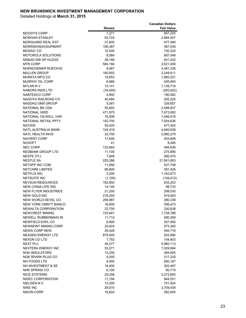|                                            |                   | <b>Canadian Dollars</b> |
|--------------------------------------------|-------------------|-------------------------|
|                                            | <b>Shares</b>     | <b>Fair Value</b>       |
| <b>MOODYS CORP</b>                         | 7,271             | 957,224                 |
| <b>MORGAN STANLEY</b>                      | 63,724            | 2,884,507               |
| <b>MORGUARD REAL EST</b>                   | 27,600            | 477,480                 |
| MORRISON(W)SUPMART                         | 106,387           | 387,039                 |
| <b>MOSAIC CO</b>                           | 12,500            | 730,224                 |
| <b>MOTOROLA SOLUTIONS</b>                  | 8,084             | 687,049                 |
| <b>MS&amp;AD INS GP HLDGS</b>              | 26,166            | 931,242                 |
| MTR CORP                                   | 584,194           | 3,521,406               |
| <b>MUENCHENER RUECKVE</b>                  | 9,087             | 2,481,336               |
| <b>MULLEN GROUP</b>                        | 160,902           | 3,248,611               |
| <b>MURATA MFG CO</b>                       | 10,653            | 1,860,251               |
| MURPHY OIL CORP                            | 6,866             | 405,800                 |
| <b>MYLAN N V</b>                           | 15,141            | 1,139,718               |
| <b>NABORS INDS LTD</b>                     | (16, 400)         | (283, 922)              |
| NABTESCO CORP                              | 4,900             | 180,082<br>205,220      |
| NAGOYA RAILROAD CO                         | 40,484            |                         |
| NASDAQ OMX GROUP<br><b>NATIONAL BK CDA</b> | 5,087<br>55,602   | 328,657                 |
| <b>NATIONAL GRID</b>                       |                   | 2,598,837               |
| NATIONAL OILWELL VAR                       | 471,975           | 7,673,082               |
| NATIONAL RETAIL PPTY                       | 16,506<br>152,700 | 1,046,519               |
| <b>NATIXIS</b>                             | 50,420            | 7,934,636<br>477,402    |
| NATL AUSTRALIA BANK                        | 124,418           | 4,640,638               |
| <b>NATL HEALTH INVS</b>                    | 32,700            | 2,980,279               |
| <b>NAVIENT CORP</b>                        | 17,600            | 453,808                 |
| <b>NCSOFT</b>                              | 41                | 8,495                   |
| <b>NEC CORP</b>                            | 132,683           | 494,636                 |
| <b>NEDBANK GROUP LTD</b>                   | 11,100            | 275,890                 |
| <b>NESTE OYJ</b>                           | 7,848             | 260,470                 |
| <b>NESTLE SA</b>                           | 225,286           | 21,561,653              |
| NETAPP INC COM                             | 11,956            | 537,708                 |
| <b>NETCARE LIMITED</b>                     | 89,800            | 391,426                 |
| <b>NETFLIX INC</b>                         | 2,200             | 1,162,673               |
| <b>NETSUITE INC</b>                        | (1,100)           | (129, 412)              |
| <b>NEVSUN RESOURCES</b>                    | 192,850           | 833,253                 |
| <b>NEW CHINA LIFE INS</b>                  | 14,100            | 99,733                  |
| <b>NEW FLYER INDUSTRIES</b>                | 21,200            | 299,530                 |
| NEW GOLD INC                               | 216,250           | 919,063                 |
| NEW WORLD DEVEL CO                         | 258,987           | 380,338                 |
| NEW YORK CMNTY BANCO                       | 16,800            | 356,473                 |
| NEWALTA CORPORATION                        | 22,700            | 320,638                 |
| NEWCREST MINING                            | 133,641           | 1,728,786               |
| NEWELL RUBBERMAID IN                       | 11,712            | 580,359                 |
| NEWFIELD EXPL CO                           | 6,900             | 307,082                 |
| NEWMONT MINING CORP                        | 20,824            | 573,385                 |
| <b>NEWS CORP NEW</b>                       | 29,428            | 494,716                 |
| NEXGEN ENERGY LTD                          | 879,500           | 253,990                 |
| NEXON CO LTD                               | 7,753             | 104,803                 |
| <b>NEXT PLC</b>                            | 45,277            | 5,980,113               |
| NEXTERA ENERGY INC                         | 53,271            | 7,029,994               |
| <b>NGK INSULATORS</b>                      | 14,200            | 384,655                 |
| NGK SPARK PLUG CO                          | 9,300             | 317,235                 |
| NH FOODS LTD                               | 8,900             | 260,167                 |
| NH INVESTMENT & SE                         | 18,400            | 302,467                 |
| NHK SPRING CO                              | 6,100             | 80,719                  |
| <b>NICE SYSTEMS</b>                        | 29,258            | 2,272,683               |
| NIDEC CORPORATION                          | 11,194            | 944,201                 |
| NIELSEN N.V.<br><b>NIKE INC</b>            | 13,300<br>29,070  | 751,824<br>3,709,438    |
| <b>NIKON CORP</b>                          | 16,624            | 282,655                 |
|                                            |                   |                         |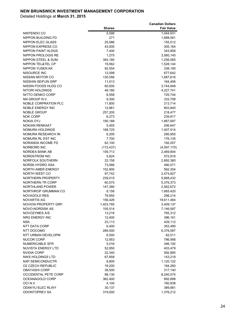| <b>Shares</b><br><b>Fair Value</b><br>5,598<br>NINTENDO CO<br>1,044,931<br>NIPPON BUILDING FD<br>271<br>1,688,561<br>NIPPON ELEC GLASS<br>25,086<br>155,512<br>43,000<br>NIPPON EXPRESS CO<br>305,164<br><b>NIPPON PAINT HLDGS</b><br>7,400<br>343,859<br>NIPPON PROLOGIS RE<br>1,275<br>3,560,140<br>NIPPON STEEL & SUM<br>393,180<br>1,256,065<br>NIPPON TEL&TEL CP<br>19,562<br>1,528,144<br>NIPPON YUSEN KK<br>92,554<br>338,195<br>NISOURCE INC<br>12,099<br>677,642<br>NISSAN MOTOR CO<br>1,687,616<br>130,556<br>NISSHIN SEIFUN GRP<br>11,013<br>164,456<br>NISSIN FOODS HLDG CO<br>60,000<br>3,744,848<br>NITORI HOLDINGS<br>49,180<br>4,227,741<br>NITTO DENKO CORP<br>8,558<br>725,744<br>NN GROUP N.V.<br>9,300<br>333,708<br><b>NOBLE CORPRATION PLC</b><br>11,800<br>213,714<br>NOBLE ENERGY INC<br>12,961<br>803,840<br><b>NOBLE GROUP</b><br>257,200<br>218,477<br><b>NOK CORP</b><br>6,273<br>239,817<br>NOKIA OYJ<br>195,188<br>1,887,697<br><b>NOKIAN RENKAAT</b><br>5,455<br>206,647<br><b>NOMURA HOLDINGS</b><br>188,725<br>1,407,514<br>NOMURA RESEARCH IN<br>6,200<br>295,955<br>NOMURA RL EST INC<br>7,700<br>176,135<br>NORANDA INCOME FD<br>62,100<br>182,057<br>NORBORD INC<br>(172, 437)<br>(4,597,170)<br>NORDEA BANK AB<br>159,713<br>2,469,804<br><b>NORDSTROM INC</b><br>5,624<br>572,916<br>NORFOLK SOUTHERN<br>22,158<br>2,892,360<br>NORSK HYDRO ASA<br>73,566<br>490,071<br>NORTH AMER ENERGY<br>152,800<br>562,304<br>NORTH WEST CO<br>97,742<br>2,474,827<br><b>NORTHERN PROPERTY</b><br>239,015<br>5,668,432<br><b>NORTHERN TR CORP</b><br>60,575<br>5,376,373<br><b>NORTHLAND POWER</b><br>147,280<br>2,562,672<br>NORTHROP GRUMMAN CO<br>8,158<br>1,665,420<br><b>NOVAGOLD RES</b><br>79,950<br>298,214<br>NOVARTIS AG<br>156.426<br>19,611,464<br>NOVION PROPERTY GRP<br>1,403,785<br>3,409,137<br><b>NOVO-NORDISK AS</b><br>105,514<br>7,146,587<br>NOVOZYMES A/S<br>13,218<br>765,312<br>NRG ENERGY INC<br>12,400<br>396,161<br><b>NSK</b><br>23,113<br>429,112<br>NTT DATA CORP<br>6,400<br>353,490<br>NTT DOCOMO<br>6,376,087<br>289,500<br>NTT URBAN DEVELOPM<br>6,500<br>82,511<br><b>NUCOR CORP</b><br>12,953<br>786,956<br><b>NUMERICABLE SFR</b><br>5,016<br>346,192<br>NUVISTA ENERGY LTD<br>52,950<br>403,479<br>NVIDIA CORP<br>22,340<br>592,885<br><b>NWS HOLDINGS LTD</b><br>67,858<br>143,218<br>NXP SEMICONDUCTR<br>8,800<br>1,120,122<br><b>02 CZECH REPUBLIC</b><br>18,200<br>184,260<br><b>OBAYASHI CORP</b><br>38,500<br>317,140<br><b>OCCIDENTAL PETE CORP</b><br>88,130<br>8,240,074<br>OCEANAGOLD CORP<br>362,400<br>892,688<br>OCI N.V.<br>4,100<br>160,838<br>ODAKYU ELEC RLWY<br>30,137<br>389,881<br><b>ODONTOPREV SA</b><br>319,500<br>1,376,212 |  | <b>Canadian Dollars</b> |
|-----------------------------------------------------------------------------------------------------------------------------------------------------------------------------------------------------------------------------------------------------------------------------------------------------------------------------------------------------------------------------------------------------------------------------------------------------------------------------------------------------------------------------------------------------------------------------------------------------------------------------------------------------------------------------------------------------------------------------------------------------------------------------------------------------------------------------------------------------------------------------------------------------------------------------------------------------------------------------------------------------------------------------------------------------------------------------------------------------------------------------------------------------------------------------------------------------------------------------------------------------------------------------------------------------------------------------------------------------------------------------------------------------------------------------------------------------------------------------------------------------------------------------------------------------------------------------------------------------------------------------------------------------------------------------------------------------------------------------------------------------------------------------------------------------------------------------------------------------------------------------------------------------------------------------------------------------------------------------------------------------------------------------------------------------------------------------------------------------------------------------------------------------------------------------------------------------------------------------------------------------------------------------------------------------------------------------------------------------------------------------------------------------------------------------------------------------------------------------------------------------------------------------------------------------------------------------------------------------------------------------------------------------------------------------------------------------------------------|--|-------------------------|
|                                                                                                                                                                                                                                                                                                                                                                                                                                                                                                                                                                                                                                                                                                                                                                                                                                                                                                                                                                                                                                                                                                                                                                                                                                                                                                                                                                                                                                                                                                                                                                                                                                                                                                                                                                                                                                                                                                                                                                                                                                                                                                                                                                                                                                                                                                                                                                                                                                                                                                                                                                                                                                                                                                                       |  |                         |
|                                                                                                                                                                                                                                                                                                                                                                                                                                                                                                                                                                                                                                                                                                                                                                                                                                                                                                                                                                                                                                                                                                                                                                                                                                                                                                                                                                                                                                                                                                                                                                                                                                                                                                                                                                                                                                                                                                                                                                                                                                                                                                                                                                                                                                                                                                                                                                                                                                                                                                                                                                                                                                                                                                                       |  |                         |
|                                                                                                                                                                                                                                                                                                                                                                                                                                                                                                                                                                                                                                                                                                                                                                                                                                                                                                                                                                                                                                                                                                                                                                                                                                                                                                                                                                                                                                                                                                                                                                                                                                                                                                                                                                                                                                                                                                                                                                                                                                                                                                                                                                                                                                                                                                                                                                                                                                                                                                                                                                                                                                                                                                                       |  |                         |
|                                                                                                                                                                                                                                                                                                                                                                                                                                                                                                                                                                                                                                                                                                                                                                                                                                                                                                                                                                                                                                                                                                                                                                                                                                                                                                                                                                                                                                                                                                                                                                                                                                                                                                                                                                                                                                                                                                                                                                                                                                                                                                                                                                                                                                                                                                                                                                                                                                                                                                                                                                                                                                                                                                                       |  |                         |
|                                                                                                                                                                                                                                                                                                                                                                                                                                                                                                                                                                                                                                                                                                                                                                                                                                                                                                                                                                                                                                                                                                                                                                                                                                                                                                                                                                                                                                                                                                                                                                                                                                                                                                                                                                                                                                                                                                                                                                                                                                                                                                                                                                                                                                                                                                                                                                                                                                                                                                                                                                                                                                                                                                                       |  |                         |
|                                                                                                                                                                                                                                                                                                                                                                                                                                                                                                                                                                                                                                                                                                                                                                                                                                                                                                                                                                                                                                                                                                                                                                                                                                                                                                                                                                                                                                                                                                                                                                                                                                                                                                                                                                                                                                                                                                                                                                                                                                                                                                                                                                                                                                                                                                                                                                                                                                                                                                                                                                                                                                                                                                                       |  |                         |
|                                                                                                                                                                                                                                                                                                                                                                                                                                                                                                                                                                                                                                                                                                                                                                                                                                                                                                                                                                                                                                                                                                                                                                                                                                                                                                                                                                                                                                                                                                                                                                                                                                                                                                                                                                                                                                                                                                                                                                                                                                                                                                                                                                                                                                                                                                                                                                                                                                                                                                                                                                                                                                                                                                                       |  |                         |
|                                                                                                                                                                                                                                                                                                                                                                                                                                                                                                                                                                                                                                                                                                                                                                                                                                                                                                                                                                                                                                                                                                                                                                                                                                                                                                                                                                                                                                                                                                                                                                                                                                                                                                                                                                                                                                                                                                                                                                                                                                                                                                                                                                                                                                                                                                                                                                                                                                                                                                                                                                                                                                                                                                                       |  |                         |
|                                                                                                                                                                                                                                                                                                                                                                                                                                                                                                                                                                                                                                                                                                                                                                                                                                                                                                                                                                                                                                                                                                                                                                                                                                                                                                                                                                                                                                                                                                                                                                                                                                                                                                                                                                                                                                                                                                                                                                                                                                                                                                                                                                                                                                                                                                                                                                                                                                                                                                                                                                                                                                                                                                                       |  |                         |
|                                                                                                                                                                                                                                                                                                                                                                                                                                                                                                                                                                                                                                                                                                                                                                                                                                                                                                                                                                                                                                                                                                                                                                                                                                                                                                                                                                                                                                                                                                                                                                                                                                                                                                                                                                                                                                                                                                                                                                                                                                                                                                                                                                                                                                                                                                                                                                                                                                                                                                                                                                                                                                                                                                                       |  |                         |
|                                                                                                                                                                                                                                                                                                                                                                                                                                                                                                                                                                                                                                                                                                                                                                                                                                                                                                                                                                                                                                                                                                                                                                                                                                                                                                                                                                                                                                                                                                                                                                                                                                                                                                                                                                                                                                                                                                                                                                                                                                                                                                                                                                                                                                                                                                                                                                                                                                                                                                                                                                                                                                                                                                                       |  |                         |
|                                                                                                                                                                                                                                                                                                                                                                                                                                                                                                                                                                                                                                                                                                                                                                                                                                                                                                                                                                                                                                                                                                                                                                                                                                                                                                                                                                                                                                                                                                                                                                                                                                                                                                                                                                                                                                                                                                                                                                                                                                                                                                                                                                                                                                                                                                                                                                                                                                                                                                                                                                                                                                                                                                                       |  |                         |
|                                                                                                                                                                                                                                                                                                                                                                                                                                                                                                                                                                                                                                                                                                                                                                                                                                                                                                                                                                                                                                                                                                                                                                                                                                                                                                                                                                                                                                                                                                                                                                                                                                                                                                                                                                                                                                                                                                                                                                                                                                                                                                                                                                                                                                                                                                                                                                                                                                                                                                                                                                                                                                                                                                                       |  |                         |
|                                                                                                                                                                                                                                                                                                                                                                                                                                                                                                                                                                                                                                                                                                                                                                                                                                                                                                                                                                                                                                                                                                                                                                                                                                                                                                                                                                                                                                                                                                                                                                                                                                                                                                                                                                                                                                                                                                                                                                                                                                                                                                                                                                                                                                                                                                                                                                                                                                                                                                                                                                                                                                                                                                                       |  |                         |
|                                                                                                                                                                                                                                                                                                                                                                                                                                                                                                                                                                                                                                                                                                                                                                                                                                                                                                                                                                                                                                                                                                                                                                                                                                                                                                                                                                                                                                                                                                                                                                                                                                                                                                                                                                                                                                                                                                                                                                                                                                                                                                                                                                                                                                                                                                                                                                                                                                                                                                                                                                                                                                                                                                                       |  |                         |
|                                                                                                                                                                                                                                                                                                                                                                                                                                                                                                                                                                                                                                                                                                                                                                                                                                                                                                                                                                                                                                                                                                                                                                                                                                                                                                                                                                                                                                                                                                                                                                                                                                                                                                                                                                                                                                                                                                                                                                                                                                                                                                                                                                                                                                                                                                                                                                                                                                                                                                                                                                                                                                                                                                                       |  |                         |
|                                                                                                                                                                                                                                                                                                                                                                                                                                                                                                                                                                                                                                                                                                                                                                                                                                                                                                                                                                                                                                                                                                                                                                                                                                                                                                                                                                                                                                                                                                                                                                                                                                                                                                                                                                                                                                                                                                                                                                                                                                                                                                                                                                                                                                                                                                                                                                                                                                                                                                                                                                                                                                                                                                                       |  |                         |
|                                                                                                                                                                                                                                                                                                                                                                                                                                                                                                                                                                                                                                                                                                                                                                                                                                                                                                                                                                                                                                                                                                                                                                                                                                                                                                                                                                                                                                                                                                                                                                                                                                                                                                                                                                                                                                                                                                                                                                                                                                                                                                                                                                                                                                                                                                                                                                                                                                                                                                                                                                                                                                                                                                                       |  |                         |
|                                                                                                                                                                                                                                                                                                                                                                                                                                                                                                                                                                                                                                                                                                                                                                                                                                                                                                                                                                                                                                                                                                                                                                                                                                                                                                                                                                                                                                                                                                                                                                                                                                                                                                                                                                                                                                                                                                                                                                                                                                                                                                                                                                                                                                                                                                                                                                                                                                                                                                                                                                                                                                                                                                                       |  |                         |
|                                                                                                                                                                                                                                                                                                                                                                                                                                                                                                                                                                                                                                                                                                                                                                                                                                                                                                                                                                                                                                                                                                                                                                                                                                                                                                                                                                                                                                                                                                                                                                                                                                                                                                                                                                                                                                                                                                                                                                                                                                                                                                                                                                                                                                                                                                                                                                                                                                                                                                                                                                                                                                                                                                                       |  |                         |
|                                                                                                                                                                                                                                                                                                                                                                                                                                                                                                                                                                                                                                                                                                                                                                                                                                                                                                                                                                                                                                                                                                                                                                                                                                                                                                                                                                                                                                                                                                                                                                                                                                                                                                                                                                                                                                                                                                                                                                                                                                                                                                                                                                                                                                                                                                                                                                                                                                                                                                                                                                                                                                                                                                                       |  |                         |
|                                                                                                                                                                                                                                                                                                                                                                                                                                                                                                                                                                                                                                                                                                                                                                                                                                                                                                                                                                                                                                                                                                                                                                                                                                                                                                                                                                                                                                                                                                                                                                                                                                                                                                                                                                                                                                                                                                                                                                                                                                                                                                                                                                                                                                                                                                                                                                                                                                                                                                                                                                                                                                                                                                                       |  |                         |
|                                                                                                                                                                                                                                                                                                                                                                                                                                                                                                                                                                                                                                                                                                                                                                                                                                                                                                                                                                                                                                                                                                                                                                                                                                                                                                                                                                                                                                                                                                                                                                                                                                                                                                                                                                                                                                                                                                                                                                                                                                                                                                                                                                                                                                                                                                                                                                                                                                                                                                                                                                                                                                                                                                                       |  |                         |
|                                                                                                                                                                                                                                                                                                                                                                                                                                                                                                                                                                                                                                                                                                                                                                                                                                                                                                                                                                                                                                                                                                                                                                                                                                                                                                                                                                                                                                                                                                                                                                                                                                                                                                                                                                                                                                                                                                                                                                                                                                                                                                                                                                                                                                                                                                                                                                                                                                                                                                                                                                                                                                                                                                                       |  |                         |
|                                                                                                                                                                                                                                                                                                                                                                                                                                                                                                                                                                                                                                                                                                                                                                                                                                                                                                                                                                                                                                                                                                                                                                                                                                                                                                                                                                                                                                                                                                                                                                                                                                                                                                                                                                                                                                                                                                                                                                                                                                                                                                                                                                                                                                                                                                                                                                                                                                                                                                                                                                                                                                                                                                                       |  |                         |
|                                                                                                                                                                                                                                                                                                                                                                                                                                                                                                                                                                                                                                                                                                                                                                                                                                                                                                                                                                                                                                                                                                                                                                                                                                                                                                                                                                                                                                                                                                                                                                                                                                                                                                                                                                                                                                                                                                                                                                                                                                                                                                                                                                                                                                                                                                                                                                                                                                                                                                                                                                                                                                                                                                                       |  |                         |
|                                                                                                                                                                                                                                                                                                                                                                                                                                                                                                                                                                                                                                                                                                                                                                                                                                                                                                                                                                                                                                                                                                                                                                                                                                                                                                                                                                                                                                                                                                                                                                                                                                                                                                                                                                                                                                                                                                                                                                                                                                                                                                                                                                                                                                                                                                                                                                                                                                                                                                                                                                                                                                                                                                                       |  |                         |
|                                                                                                                                                                                                                                                                                                                                                                                                                                                                                                                                                                                                                                                                                                                                                                                                                                                                                                                                                                                                                                                                                                                                                                                                                                                                                                                                                                                                                                                                                                                                                                                                                                                                                                                                                                                                                                                                                                                                                                                                                                                                                                                                                                                                                                                                                                                                                                                                                                                                                                                                                                                                                                                                                                                       |  |                         |
|                                                                                                                                                                                                                                                                                                                                                                                                                                                                                                                                                                                                                                                                                                                                                                                                                                                                                                                                                                                                                                                                                                                                                                                                                                                                                                                                                                                                                                                                                                                                                                                                                                                                                                                                                                                                                                                                                                                                                                                                                                                                                                                                                                                                                                                                                                                                                                                                                                                                                                                                                                                                                                                                                                                       |  |                         |
|                                                                                                                                                                                                                                                                                                                                                                                                                                                                                                                                                                                                                                                                                                                                                                                                                                                                                                                                                                                                                                                                                                                                                                                                                                                                                                                                                                                                                                                                                                                                                                                                                                                                                                                                                                                                                                                                                                                                                                                                                                                                                                                                                                                                                                                                                                                                                                                                                                                                                                                                                                                                                                                                                                                       |  |                         |
|                                                                                                                                                                                                                                                                                                                                                                                                                                                                                                                                                                                                                                                                                                                                                                                                                                                                                                                                                                                                                                                                                                                                                                                                                                                                                                                                                                                                                                                                                                                                                                                                                                                                                                                                                                                                                                                                                                                                                                                                                                                                                                                                                                                                                                                                                                                                                                                                                                                                                                                                                                                                                                                                                                                       |  |                         |
|                                                                                                                                                                                                                                                                                                                                                                                                                                                                                                                                                                                                                                                                                                                                                                                                                                                                                                                                                                                                                                                                                                                                                                                                                                                                                                                                                                                                                                                                                                                                                                                                                                                                                                                                                                                                                                                                                                                                                                                                                                                                                                                                                                                                                                                                                                                                                                                                                                                                                                                                                                                                                                                                                                                       |  |                         |
|                                                                                                                                                                                                                                                                                                                                                                                                                                                                                                                                                                                                                                                                                                                                                                                                                                                                                                                                                                                                                                                                                                                                                                                                                                                                                                                                                                                                                                                                                                                                                                                                                                                                                                                                                                                                                                                                                                                                                                                                                                                                                                                                                                                                                                                                                                                                                                                                                                                                                                                                                                                                                                                                                                                       |  |                         |
|                                                                                                                                                                                                                                                                                                                                                                                                                                                                                                                                                                                                                                                                                                                                                                                                                                                                                                                                                                                                                                                                                                                                                                                                                                                                                                                                                                                                                                                                                                                                                                                                                                                                                                                                                                                                                                                                                                                                                                                                                                                                                                                                                                                                                                                                                                                                                                                                                                                                                                                                                                                                                                                                                                                       |  |                         |
|                                                                                                                                                                                                                                                                                                                                                                                                                                                                                                                                                                                                                                                                                                                                                                                                                                                                                                                                                                                                                                                                                                                                                                                                                                                                                                                                                                                                                                                                                                                                                                                                                                                                                                                                                                                                                                                                                                                                                                                                                                                                                                                                                                                                                                                                                                                                                                                                                                                                                                                                                                                                                                                                                                                       |  |                         |
|                                                                                                                                                                                                                                                                                                                                                                                                                                                                                                                                                                                                                                                                                                                                                                                                                                                                                                                                                                                                                                                                                                                                                                                                                                                                                                                                                                                                                                                                                                                                                                                                                                                                                                                                                                                                                                                                                                                                                                                                                                                                                                                                                                                                                                                                                                                                                                                                                                                                                                                                                                                                                                                                                                                       |  |                         |
|                                                                                                                                                                                                                                                                                                                                                                                                                                                                                                                                                                                                                                                                                                                                                                                                                                                                                                                                                                                                                                                                                                                                                                                                                                                                                                                                                                                                                                                                                                                                                                                                                                                                                                                                                                                                                                                                                                                                                                                                                                                                                                                                                                                                                                                                                                                                                                                                                                                                                                                                                                                                                                                                                                                       |  |                         |
|                                                                                                                                                                                                                                                                                                                                                                                                                                                                                                                                                                                                                                                                                                                                                                                                                                                                                                                                                                                                                                                                                                                                                                                                                                                                                                                                                                                                                                                                                                                                                                                                                                                                                                                                                                                                                                                                                                                                                                                                                                                                                                                                                                                                                                                                                                                                                                                                                                                                                                                                                                                                                                                                                                                       |  |                         |
|                                                                                                                                                                                                                                                                                                                                                                                                                                                                                                                                                                                                                                                                                                                                                                                                                                                                                                                                                                                                                                                                                                                                                                                                                                                                                                                                                                                                                                                                                                                                                                                                                                                                                                                                                                                                                                                                                                                                                                                                                                                                                                                                                                                                                                                                                                                                                                                                                                                                                                                                                                                                                                                                                                                       |  |                         |
|                                                                                                                                                                                                                                                                                                                                                                                                                                                                                                                                                                                                                                                                                                                                                                                                                                                                                                                                                                                                                                                                                                                                                                                                                                                                                                                                                                                                                                                                                                                                                                                                                                                                                                                                                                                                                                                                                                                                                                                                                                                                                                                                                                                                                                                                                                                                                                                                                                                                                                                                                                                                                                                                                                                       |  |                         |
|                                                                                                                                                                                                                                                                                                                                                                                                                                                                                                                                                                                                                                                                                                                                                                                                                                                                                                                                                                                                                                                                                                                                                                                                                                                                                                                                                                                                                                                                                                                                                                                                                                                                                                                                                                                                                                                                                                                                                                                                                                                                                                                                                                                                                                                                                                                                                                                                                                                                                                                                                                                                                                                                                                                       |  |                         |
|                                                                                                                                                                                                                                                                                                                                                                                                                                                                                                                                                                                                                                                                                                                                                                                                                                                                                                                                                                                                                                                                                                                                                                                                                                                                                                                                                                                                                                                                                                                                                                                                                                                                                                                                                                                                                                                                                                                                                                                                                                                                                                                                                                                                                                                                                                                                                                                                                                                                                                                                                                                                                                                                                                                       |  |                         |
|                                                                                                                                                                                                                                                                                                                                                                                                                                                                                                                                                                                                                                                                                                                                                                                                                                                                                                                                                                                                                                                                                                                                                                                                                                                                                                                                                                                                                                                                                                                                                                                                                                                                                                                                                                                                                                                                                                                                                                                                                                                                                                                                                                                                                                                                                                                                                                                                                                                                                                                                                                                                                                                                                                                       |  |                         |
|                                                                                                                                                                                                                                                                                                                                                                                                                                                                                                                                                                                                                                                                                                                                                                                                                                                                                                                                                                                                                                                                                                                                                                                                                                                                                                                                                                                                                                                                                                                                                                                                                                                                                                                                                                                                                                                                                                                                                                                                                                                                                                                                                                                                                                                                                                                                                                                                                                                                                                                                                                                                                                                                                                                       |  |                         |
|                                                                                                                                                                                                                                                                                                                                                                                                                                                                                                                                                                                                                                                                                                                                                                                                                                                                                                                                                                                                                                                                                                                                                                                                                                                                                                                                                                                                                                                                                                                                                                                                                                                                                                                                                                                                                                                                                                                                                                                                                                                                                                                                                                                                                                                                                                                                                                                                                                                                                                                                                                                                                                                                                                                       |  |                         |
|                                                                                                                                                                                                                                                                                                                                                                                                                                                                                                                                                                                                                                                                                                                                                                                                                                                                                                                                                                                                                                                                                                                                                                                                                                                                                                                                                                                                                                                                                                                                                                                                                                                                                                                                                                                                                                                                                                                                                                                                                                                                                                                                                                                                                                                                                                                                                                                                                                                                                                                                                                                                                                                                                                                       |  |                         |
|                                                                                                                                                                                                                                                                                                                                                                                                                                                                                                                                                                                                                                                                                                                                                                                                                                                                                                                                                                                                                                                                                                                                                                                                                                                                                                                                                                                                                                                                                                                                                                                                                                                                                                                                                                                                                                                                                                                                                                                                                                                                                                                                                                                                                                                                                                                                                                                                                                                                                                                                                                                                                                                                                                                       |  |                         |
|                                                                                                                                                                                                                                                                                                                                                                                                                                                                                                                                                                                                                                                                                                                                                                                                                                                                                                                                                                                                                                                                                                                                                                                                                                                                                                                                                                                                                                                                                                                                                                                                                                                                                                                                                                                                                                                                                                                                                                                                                                                                                                                                                                                                                                                                                                                                                                                                                                                                                                                                                                                                                                                                                                                       |  |                         |
|                                                                                                                                                                                                                                                                                                                                                                                                                                                                                                                                                                                                                                                                                                                                                                                                                                                                                                                                                                                                                                                                                                                                                                                                                                                                                                                                                                                                                                                                                                                                                                                                                                                                                                                                                                                                                                                                                                                                                                                                                                                                                                                                                                                                                                                                                                                                                                                                                                                                                                                                                                                                                                                                                                                       |  |                         |
|                                                                                                                                                                                                                                                                                                                                                                                                                                                                                                                                                                                                                                                                                                                                                                                                                                                                                                                                                                                                                                                                                                                                                                                                                                                                                                                                                                                                                                                                                                                                                                                                                                                                                                                                                                                                                                                                                                                                                                                                                                                                                                                                                                                                                                                                                                                                                                                                                                                                                                                                                                                                                                                                                                                       |  |                         |
|                                                                                                                                                                                                                                                                                                                                                                                                                                                                                                                                                                                                                                                                                                                                                                                                                                                                                                                                                                                                                                                                                                                                                                                                                                                                                                                                                                                                                                                                                                                                                                                                                                                                                                                                                                                                                                                                                                                                                                                                                                                                                                                                                                                                                                                                                                                                                                                                                                                                                                                                                                                                                                                                                                                       |  |                         |
|                                                                                                                                                                                                                                                                                                                                                                                                                                                                                                                                                                                                                                                                                                                                                                                                                                                                                                                                                                                                                                                                                                                                                                                                                                                                                                                                                                                                                                                                                                                                                                                                                                                                                                                                                                                                                                                                                                                                                                                                                                                                                                                                                                                                                                                                                                                                                                                                                                                                                                                                                                                                                                                                                                                       |  |                         |
|                                                                                                                                                                                                                                                                                                                                                                                                                                                                                                                                                                                                                                                                                                                                                                                                                                                                                                                                                                                                                                                                                                                                                                                                                                                                                                                                                                                                                                                                                                                                                                                                                                                                                                                                                                                                                                                                                                                                                                                                                                                                                                                                                                                                                                                                                                                                                                                                                                                                                                                                                                                                                                                                                                                       |  |                         |
|                                                                                                                                                                                                                                                                                                                                                                                                                                                                                                                                                                                                                                                                                                                                                                                                                                                                                                                                                                                                                                                                                                                                                                                                                                                                                                                                                                                                                                                                                                                                                                                                                                                                                                                                                                                                                                                                                                                                                                                                                                                                                                                                                                                                                                                                                                                                                                                                                                                                                                                                                                                                                                                                                                                       |  |                         |
|                                                                                                                                                                                                                                                                                                                                                                                                                                                                                                                                                                                                                                                                                                                                                                                                                                                                                                                                                                                                                                                                                                                                                                                                                                                                                                                                                                                                                                                                                                                                                                                                                                                                                                                                                                                                                                                                                                                                                                                                                                                                                                                                                                                                                                                                                                                                                                                                                                                                                                                                                                                                                                                                                                                       |  |                         |
|                                                                                                                                                                                                                                                                                                                                                                                                                                                                                                                                                                                                                                                                                                                                                                                                                                                                                                                                                                                                                                                                                                                                                                                                                                                                                                                                                                                                                                                                                                                                                                                                                                                                                                                                                                                                                                                                                                                                                                                                                                                                                                                                                                                                                                                                                                                                                                                                                                                                                                                                                                                                                                                                                                                       |  |                         |
|                                                                                                                                                                                                                                                                                                                                                                                                                                                                                                                                                                                                                                                                                                                                                                                                                                                                                                                                                                                                                                                                                                                                                                                                                                                                                                                                                                                                                                                                                                                                                                                                                                                                                                                                                                                                                                                                                                                                                                                                                                                                                                                                                                                                                                                                                                                                                                                                                                                                                                                                                                                                                                                                                                                       |  |                         |
|                                                                                                                                                                                                                                                                                                                                                                                                                                                                                                                                                                                                                                                                                                                                                                                                                                                                                                                                                                                                                                                                                                                                                                                                                                                                                                                                                                                                                                                                                                                                                                                                                                                                                                                                                                                                                                                                                                                                                                                                                                                                                                                                                                                                                                                                                                                                                                                                                                                                                                                                                                                                                                                                                                                       |  |                         |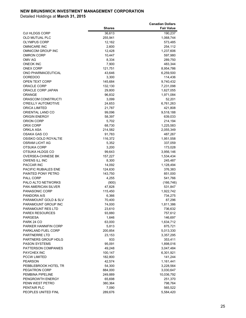|                                 |               | <b>Canadian Dollars</b> |
|---------------------------------|---------------|-------------------------|
|                                 | <b>Shares</b> | <b>Fair Value</b>       |
| OJI HLDGS CORP                  | 36,613        | 190,237                 |
| OLD MUTUAL PLC                  | 255,941       | 1,068,744               |
| <b>OLYMPUS CORP</b>             | 12,162        | 573,485                 |
| <b>OMNICARE INC</b>             | 2,600         | 254,112                 |
| OMNICOM GROUP INC               | 12,428        | 1,237,606               |
| <b>OMRON CORP</b>               | 10,447        | 597,980                 |
| OMV AG                          | 8,334         | 289,750                 |
| <b>ONEOK INC</b>                | 7,900         | 483,344                 |
| <b>ONEX CORP</b>                | 121,751       | 8,954,786               |
| ONO PHARMACEUTICAL              | 43,646        | 6,259,500               |
|                                 |               | 114,436                 |
| <b>OOREDOO</b>                  | 3,300         |                         |
| OPEN TEXT CORP                  | 145,684       | 9,740,432               |
| <b>ORACLE CORP</b>              | 132,130       | 7,231,098               |
| ORACLE CORP JAPAN               | 29,800        | 1,627,055               |
| <b>ORANGE</b>                   | 96,832        | 1,971,084               |
| ORASCOM CONSTRUCTI              | 3,099         | 52,201                  |
| O'REILLY AUTOMOTIVE             | 24,653        | 6,761,263               |
| <b>ORICA LIMITED</b>            | 21,787        | 421,808                 |
| ORIENTAL LAND CO                | 99,096        | 9,518,188               |
| <b>ORIGIN ENERGY</b>            | 58,397        | 639,033                 |
| ORION CORP                      | 5,702         | 214,194                 |
| ORIX CORP                       | 68,730        | 1,225,583               |
| ORKLA ASA                       | 214,582       | 2,055,349               |
| OSAKA GAS CO                    | 91,783        | 487,267                 |
| OSISKO GOLD ROYALTIE            | 116,372       | 1,951,558               |
| OSRAM LICHT AG                  | 5,352         | 337,059                 |
| OTSUKA CORP                     | 3,200         | 173,028                 |
| OTSUKA HLDGS CO                 | 99,643        | 3,956,146               |
| <b>OVERSEA-CHINESE BK</b>       | 157,227       | 1,534,434               |
| OWENS ILL INC                   | 8,300         | 245,487                 |
| <b>PACCAR INC</b>               | 14,092        | 1,128,494               |
| PACIFIC RUBIALES ENE            | 124,630       | 376,383                 |
| PAINTED PONY PETRO              | 143,750       | 851,000                 |
| <b>PALL CORP</b>                | 4,255         | 541,766                 |
| PALO ALTO NETWORKS              | (900)         | (166, 746)              |
| <b>PAN AMERICAN SILVER</b>      | 47,828        | 531,847                 |
| <b>PANASONIC CORP</b>           | 115,450       | 1,922,742               |
| PANDORA A/S                     | 6,366         | 734,275                 |
| <b>PARAMOUNT GOLD &amp; SLV</b> | 70,400        |                         |
| PARAMOUNT GROUP INC             |               | 87,296                  |
|                                 | 74,000        | 1,811,386               |
| PARAMOUNT RES LTD               | 23,610        | 736,632                 |
| <b>PAREX RESOURCES</b>          | 93,880        | 757,612                 |
| PARGESA                         | 1,646         | 146,697                 |
| PARK 24 CO                      | 63,000        | 1,634,712               |
| PARKER HANNIFIN CORP            | 5,813         | 875,721                 |
| PARKLAND FUEL CORP              | 200,854       | 5,013,330               |
| PARTNERRE LTD                   | 23,153        | 3,357,295               |
| PARTNERS GROUP HDLG             | 933           | 353,411                 |
| <b>PASON SYSTEMS</b>            | 95,091        | 1,898,016               |
| PATTERSON COMPANIES             | 49,248        | 3,047,484               |
| PAYCHEX INC                     | 100,147       | 6,301,921               |
| <b>PCCW LIMITED</b>             | 182,800       | 141,244                 |
| <b>PEARSON</b>                  | 42,574        | 1,161,441               |
| PEBBLEBROOK HOTEL TR            | 54,300        | 3,228,564               |
| PEGATRON CORP                   | 884,000       | 3,030,647               |
| PEMBINA PIPELINE                | 249,889       | 10,036,792              |
| PENGROWTH ENERGY                | 65,698        | 251,370                 |
| PENN WEST PETRO                 | 380,364       | 798,764                 |
| PENTAIR PLC                     | 7,090         | 565,522                 |
| PEOPLES UNITED FINL             | 289,676       | 5,584,420               |
|                                 |               |                         |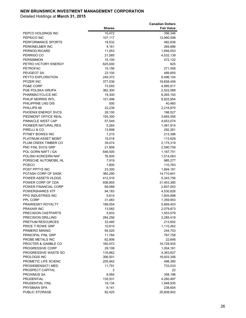|                                       |                    | <b>Canadian Dollars</b> |
|---------------------------------------|--------------------|-------------------------|
|                                       | <b>Shares</b>      | <b>Fair Value</b>       |
| PEPCO HOLDINGS INC                    | 10,472             | 356,346                 |
| PEPSICO INC                           | 107,117            | 12,990,598              |
| PERFORMANCE SPORTS                    | 19,532             | 482,636                 |
| PERKINELMER INC                       | 4,161              | 269,886                 |
| PERNOD-RICARD                         | 11,053             | 1,656,053               |
| PERRIGO CO                            | 21,585             | 4,532,139               |
| <b>PERSIMMON</b>                      | 15,100             | 472,122                 |
| PETRO VICTORY ENERGY                  | 625,000            | 625                     |
| PETROFAC                              | 15,156             | 271,558                 |
| PEUGEOT SA                            | 23,100             | 489,855                 |
| PEYTO EXPLORATION                     | 249,372            | 8,496,104               |
| PFIZER INC                            | 377,536            | 16,658,458              |
| PG&E CORP                             | 73,593             | 4,995,917               |
| PGE POLSKA GRUPA                      | 362,300            | 2,522,088               |
| PHARMACYCLICS INC                     | 19,300             | 6,265,193               |
| PHILIP MORRIS INTL                    | 101,498            | 9,825,954               |
| PHILIPPINE LNG DIS                    | 500                | 40,460                  |
| PHILLIPS 66                           | 22,238             | 2,216,870               |
| PHOENIX ENERGY SVCS                   | 28,100             | 198,527                 |
| PIEDMONT OFFICE REAL                  | 155,300            | 3,665,556               |
| PINNACLE WEST CAP                     | 57,549             | 4,653,074               |
| PIONEER NATURAL RES                   | 5,264              | 1,091,914               |
| PIRELLI & CO.                         | 13,898             | 292,261                 |
| PITNEY BOWES INC                      | 7,215              | 213,396                 |
| PLATINUM ASSET MGMT                   | 15,018             | 113,629                 |
| PLUM CREEK TIMBER CO                  | 39,474             | 2,175,319               |
| PNC FINL SVCS GRP                     | 21,908             | 2,590,759               |
| POL GORN NAFT I GA                    | 646,500            | 1,187,751               |
| POLISKI KONCERN NAF                   | 76,500             | 1,514,063               |
| PORSCHE AUTOMOBIL HL                  | 7,919              | 985,277                 |
| POSCO                                 | 1,600              | 110,763                 |
| POST PPTYS INC<br>POTASH CORP OF SASK | 23,300             | 1,694,181               |
| POWER ASSETS HLDGS                    | 360,290<br>412,516 | 14,710,641<br>5,343,756 |
| POWER CORP OF CDA                     |                    | 31,403,380              |
| POWER FINANCIAL CORP                  | 936,855<br>69,088  | 2,607,053               |
| POWERSHARES XTF                       | 94,183             | 4,530,826               |
| PPG INDUSTRIES INC                    | 5,614              | 1,605,898               |
| PPL CORP                              | 31,483             | 1,359,953               |
| PRAIRIESKY ROYALTY                    | 189,054            | 5,669,403               |
| PRAXAIR INC                           | 13,582             | 2,079,873               |
| PRECISION CASTPARTS                   | 5,833              | 1,553,579               |
| PRECISION DRILLING                    | 284,256            | 2,285,418               |
| PRETIUM RESOURCES                     | 33,480             | 213,602                 |
| PRICE T ROWE GRP                      | 10,810             | 1,110,262               |
| PRIMERO MINING                        | 94,520             | 244,703                 |
| <b>PRINCIPAL FINL GRP</b>             | 11,784             | 767,758                 |
| PROBE METALS INC                      | 62,906             | 22,646                  |
| PROCTER & GAMBLE CO                   | 160,972            | 16,728,935              |
| PROGRESSIVE CORP                      | 29,108             | 1,004,161               |
| PROGRESSIVE WASTE SO                  | 116,862            | 4,363,627               |
| PROLOGIS INC                          | 306,501            | 16,933,306              |
| PROMETIC LIFE SCIENC                  | 205,942            | 498,380                 |
| PROSIEBENSAT1 MED.                    | 11,791             | 733,033                 |
| PROSPECT CAPITAL                      | $\overline{c}$     | 22                      |
| PROXIMUS SA                           | 8,084              | 358,196                 |
| PRUDENTIAL                            | 135,531            | 4,260,497               |
| PRUDENTIAL FINL                       | 19,134             | 1,948,935               |
| PRYSMIAN SPA                          | 9,141              | 238,604                 |
| PUBLIC STORAGE                        | 82,425             | 20,608,942              |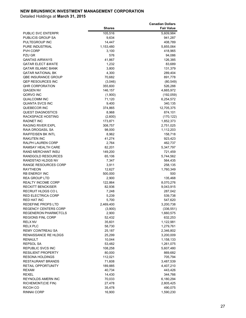|                                                     |                  | <b>Canadian Dollars</b> |
|-----------------------------------------------------|------------------|-------------------------|
|                                                     | <b>Shares</b>    | <b>Fair Value</b>       |
| PUBLIC SVC ENTERPR                                  | 105,516          | 5,609,984               |
| PUBLICIS GROUP SA                                   | 9,634            | 941,287                 |
| PULTEGROUP INC                                      | 14,447           | 408,789                 |
| PURE INDUSTRIAL                                     | 1,153,480        | 5,855,064               |
| PVH CORP                                            | 3,100            | 418,965                 |
| PZU GR                                              | 576              | 94,086                  |
| QANTAS AIRWAYS<br>QATAR ELECT &WATE                 | 41,867<br>1,232  | 126,385<br>83,689       |
| QATAR ISLAMIC BANK                                  | 3,800            | 131,379                 |
| QATAR NATIONAL BK                                   | 4,300            | 289,404                 |
| QBE INSURANCE GROUP                                 | 70,682           | 891,778                 |
| QEP RESOURCES INC                                   | (3,046)          | (80, 549)               |
| QHR CORPORATION                                     | 355,600          | 526,288                 |
| QIAGEN NV                                           | 146,157          | 4,665,972               |
| QORVO INC                                           | (1,900)          | (192, 059)              |
| <b>QUALCOMM INC</b>                                 | 71,120           | 6,254,572               |
| QUANTA SVCS INC                                     | 9,400            | 340,135                 |
| QUEBECOR INC                                        | 374,865          | 12,705,375              |
| <b>QUEST DIAGNOSTICS</b>                            | 8,968            | 874,101                 |
| RACKSPACE HOSTING                                   | (2,600)          | (170, 122)              |
| RADNET INC                                          | 173,871          | 1,852,373               |
| RAGING RIVER EXPL                                   | 308,757          | 2,751,025               |
| RAIA DROGASIL SA                                    | 98,000           | 1,112,203               |
| RAIFFEISEN BK INTL                                  | 8,962            | 158,718                 |
| RAKUTEN INC                                         | 41,274           | 923,423                 |
| RALPH LAUREN CORP                                   | 2,764            | 462,737                 |
| RAMSAY HEALTH CARE                                  | 82,201           | 5,347,797               |
| RAND MERCHANT INSU                                  | 149,200          | 721,459                 |
| RANDGOLD RESOURCES                                  | 65,106           | 5,744,562               |
| RANDSTAD HLDGS NV                                   | 7,347            | 564,435                 |
| RANGE RESOURCES CORP                                | 3,911            | 258,135                 |
| RAYTHEON                                            | 12,627           | 1,760,349               |
| RB ENERGY INC                                       | 500,000          | 500                     |
| REA GROUP LTD                                       | 2,900            | 135,468                 |
| REALTY INCOME CORP                                  | 122,864          | 8,070,276               |
| RECKITT BENCKISER                                   | 82,936           | 9,043,915               |
| RECRUIT HLDGS CO L                                  | 7,248            | 287,042                 |
| RED ELECTRICA CORP                                  | 5,239            | 539,738                 |
| RED HAT INC.                                        | 5,700            | 547,620                 |
| REDEFINE PROPS LTD                                  | 2,469,400        | 3,200,738               |
| <b>REGENCY CENTERS CORP</b><br>REGENERON PHARMCTCLS | (3,900)<br>2,900 | (336, 551)<br>1,660,575 |
| <b>REGIONS FINL CORP</b>                            | 52,432           | 632,253                 |
| <b>RELX NV</b>                                      | 35,601           | 1,122,981               |
| <b>RELX PLC</b>                                     | 58,730           | 1,279,761               |
| <b>REMY COINTREAU SA</b>                            | 25,187           | 2,346,802               |
| RENAISSANCE RE HLDGS                                | 25,299           | 3,200,009               |
| RENAULT                                             | 10,044           | 1,158,133               |
| REPSOL SA                                           | 53,482           | 1,261,075               |
| REPUBLIC SVCS INC                                   | 108,258          | 5,607,480               |
| RESILIENT PROPERTY                                  | 80,000           | 869,682                 |
| <b>RESONA HOLDINGS</b>                              | 112,021          | 705,794                 |
| RESTAURANT BRANDS                                   | 71,608           | 3,487,539               |
| RETAIL OPPORTUNITY                                  | 189,885          | 4,407,210               |
| REXAM                                               | 40,734           | 443,426                 |
| REXEL                                               | 14,430           | 344,766                 |
| REYNOLDS AMERN INC                                  | 70,033           | 6,180,294               |
| RICHEMONT(CIE FIN)                                  | 27,478           | 2,805,425               |
| RICOH CO                                            | 35,478           | 490,075                 |
| RINNAI CORP                                         | 16,900           | 1,590,230               |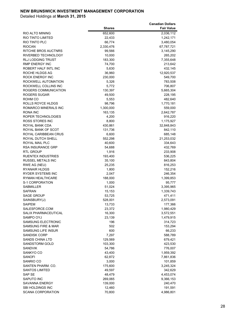|                                       |                     | <b>Canadian Dollars</b> |
|---------------------------------------|---------------------|-------------------------|
|                                       | <b>Shares</b>       | <b>Fair Value</b>       |
| <b>RIO ALTO MINING</b>                | 652,600             | 2,036,112               |
| RIO TINTO LIMITED                     | 22,433              | 1,242,171               |
| RIO TINTO PLC                         | 66,774              | 3,480,054               |
| <b>RIOCAN</b><br>RITCHIE BROS AUCTNRS | 2,330,476<br>99,566 | 67,787,721              |
| RIVERBED TECHNOLOGY                   | 10,000              | 3,145,290<br>265,202    |
| <b>RLJ LODGING TRUST</b>              | 183,300             | 7,355,648               |
| <b>RMP ENERGY INC</b>                 | 74,700              | 213,642                 |
| ROBERT HALF INTL INC                  | 5,630               | 432,145                 |
| ROCHE HLDGS AG                        | 36,960              | 12,920,537              |
| <b>ROCK ENERGY INC</b>                | 230,000             | 549,700                 |
| ROCKWELL AUTOMATION                   | 5,326               | 783,508                 |
| ROCKWELL COLLINS INC                  | 5,772               | 706,807                 |
| ROGERS COMMUNICATION                  | 130,397             | 5,665,304               |
| <b>ROGERS SUGAR</b>                   | 49,500              | 228,195                 |
| ROHM CO                               | 5,553               | 482,640                 |
| <b>ROLLS ROYCE HLDGS</b>              | 98,796              | 1,770,181               |
| ROMARCO MINERALS INC                  | 1,300,000           | 559,000                 |
| <b>RONA INC</b>                       | 163,135             | 2,642,787               |
| ROPER TECHNOLOGIES                    | 4,200               | 916,220                 |
| ROSS STORES INC                       | 8,800               | 1,175,927               |
| ROYAL BANK CDA                        | 430,861             | 32,848,843              |
| ROYAL BANK OF SCOT                    | 131,736             | 842,110                 |
| ROYAL CARIBBEAN CRUS                  | 6,600               | 685,148                 |
| ROYAL DUTCH SHELL                     | 552,298             | 21,253,032              |
| ROYAL MAIL PLC                        | 40,600              | 334,643                 |
| <b>RSA INSURANCE GRP</b>              | 54,688              | 432,769                 |
| RTL GROUP                             | 1,916               | 233,908                 |
| <b>RUENTEX INDUSTRIES</b>             | 193,400             | 536,225                 |
| <b>RUSSEL METALS INC</b>              | 35,100              | 843,804                 |
| RWE AG (NEU)                          | 25,235              | 816,253                 |
| <b>RYANAIR HLDGS</b>                  | 1,800               | 152,216                 |
| RYDER SYSTEMS INC                     | 2,047               | 246,354                 |
| RYMAN HEALTHCARE                      | 188,000             | 1,399,853               |
| S-1 CORPORATION                       | 1,000               | 95,777                  |
| <b>SABMILLER</b>                      | 51,024              | 3,395,965               |
| <b>SAFRAN</b>                         | 15,153              | 1,339,743               |
| <b>SAGE GROUP</b>                     | 53,725              | 471,411                 |
| SAINSBURY(J)                          | 528,001             | 2,573,091               |
| SAIPEM<br>SALESFORCE.COM              | 13,733<br>23,372    | 177,366                 |
| SALIX PHARMACEUTICAL                  | 16,300              | 1,980,429<br>3,572,551  |
| SAMPO OYJ                             | 23,139              | 1,479,915               |
| SAMSUNG ELECTRONIC                    | 196                 | 314,723                 |
| SAMSUNG FIRE & MAR                    | 502                 | 153,294                 |
| SAMSUNG LIFE INSUR                    | 600                 | 66,233                  |
| <b>SANDISK CORP</b>                   | 7,297               | 588,789                 |
| SANDS CHINA LTD                       | 129,569             | 679,421                 |
| SANDSTORM GOLD                        | 103,300             | 423,530                 |
| SANDVIK                               | 54,786              | 776,007                 |
| SANKYO CO                             | 43,400              | 1,959,392               |
| SANOFI                                | 62,872              | 7,861,836               |
| SANRIO CO                             | 3,000               | 101,859                 |
| SANTEN PHARM. CO.                     | 175,600             | 3,245,324               |
| SANTOS LIMITED                        | 49,597              | 342,629                 |
| SAP SE                                | 48,479              | 4,453,074               |
| SAPUTO INC                            | 269,065             | 9,366,153               |
| SAVANNA ENERGY                        | 139,000             | 240,470                 |
| SBI HOLDINGS INC                      | 12,460              | 191,591                 |
| SCANA CORPORATION                     | 70,800              | 4,986,801               |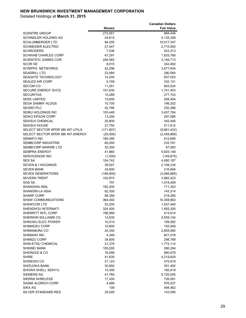|                                    |                  | <b>Canadian Dollars</b> |
|------------------------------------|------------------|-------------------------|
|                                    | <b>Shares</b>    | <b>Fair Value</b>       |
| SCENTRE GROUP                      | 272,051          | 984,446                 |
| SCHINDLER HOLDING AG               | 24,615           | 5,135,309               |
| SCHLUMBERGER LTD                   | 94,205           | 10,017,347              |
| <b>SCHNEIDER ELECTRIC</b>          | 27,547           | 2,710,955               |
| SCHRODERS                          | 7,036            | 423,313                 |
| SCHWAB CHARLES CORP                | 47,291           | 1,825,766               |
| <b>SCIENTIFIC GAMES COR</b>        | 240,582<br>8,015 | 3,194,713               |
| SCOR SE<br><b>SCRIPPS NETWORKS</b> | 42,296           | 342,492<br>3,677,834    |
| <b>SEADRILL LTD</b>                | 23,584           | 280,564                 |
| <b>SEAGATE TECHNOLOGY</b>          | 14,200           | 937,053                 |
| SEALED AIR CORP                    | 5,748            | 332,141                 |
| SECOM CO                           | 11,251           | 953,524                 |
| <b>SECURE ENERGY SVCS</b>          | 107,630          | 1,741,453               |
| SECURITAS                          | 15,289           | 277,743                 |
| <b>SEEK LIMITED</b>                | 15,600           | 258,404                 |
| <b>SEGA SAMMY HLDGS</b>            | 10,700           | 198,202                 |
| SEGRO PLC                          | 42,786           | 335,366                 |
| SEIBU HOLDINGS INC                 | 105,448          | 3,457,764               |
| SEIKO EPSON CORP                   | 13,200           | 297,066                 |
| SEKISUI CHEMICAL                   | 20,800           | 342,456                 |
| SEKISUI HOUSE                      | 27,754           | 511,612                 |
| SELECT SECTOR SPDR SBI INT-UTILS   | (171, 807)       | (9,681,422)             |
| SELECT SECTOR SPDR SBI INT-ENERGY  | (25,000)         | (2,459,868)             |
| SEMAFO INC                         | 160,390          | 612,690                 |
| SEMBCORP INDUSTRIE                 | 60,000           | 233,781                 |
| SEMBCORP MARINE LTD                | 32,300           | 87,083                  |
| SEMPRA ENERGY                      | 41,860           | 5,825,149               |
| SERVICENOW INC                     | (1,500)          | (149, 875)              |
| SES SA                             | 104,742          | 4,690,187               |
| SEVEN & I HOLDINGS                 | 39,507           | 2,108,234               |
| <b>SEVEN BANK</b>                  | 34,600           | 216,684                 |
| <b>SEVEN GENERATIONS</b>           | (189,900)        | (3,066,885)             |
| <b>SEVERN TRENT</b>                | 102,874          | 3,982,423               |
| SGS SA                             | 791              | 1,918,409               |
| <b>SHANGHAI INDL</b>               | 182,200          | 711,343                 |
| SHANGRI-LA ASIA                    | 82,300           | 143,314                 |
| <b>SHARP CORP</b>                  | 88,358           | 219,285                 |
| SHAW COMMUNICATIONS                | 364,492          | 10,358,863              |
| SHAWCOR LTD                        | 52,200           | 1,837,440               |
| SHENZHOU INTERNATI                 | 324,500          | 1,855,305               |
| SHERRITT INTL CORP                 | 196,959          | 413,614                 |
| SHERWIN WILLIAMS CO                | 12,635           | 4,559,104               |
| SHIKOKU ELEC POWER                 | 10,210           | 159,582                 |
| SHIMADZU CORP                      | 10,800           | 152,949                 |
| SHIMAMURA CO                       | 24,350           | 2,859,560               |
| SHIMANO INC                        | 4,348            | 821,018                 |
| SHIMIZU CORP<br>SHIN-ETSU CHEMICAL | 34,800<br>21,376 | 298,789<br>1,772,114    |
| SHINSEI BANK                       | 105,500          | 266,284                 |
| SHIONOGI & CO                      | 16,098           | 680,879                 |
| SHIRE                              | 41,835           | 4,219,829               |
| SHISEIDO CO                        | 21,123           | 475,819                 |
| SHIZUOKA BANK                      | 30,892           | 391,492                 |
| SHOWA SHELL SEKIYU                 | 14,300           | 165,819                 |
| SIEMENS AG                         | 41,760           | 5,720,045               |
| <b>SIERRA WIRELESS</b>             | 17,300           | 726,081                 |
| SIGMA ALDRICH CORP                 | 4,999            | 876,537                 |
| SIKA AG                            | 109              | 494,462                 |
| SILVER STANDARD RES                | 25,000           | 143,000                 |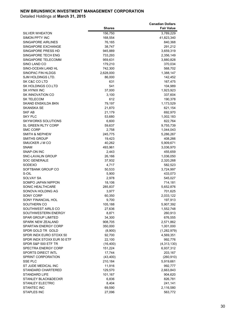|                                         | <b>Shares</b>     | <b>Canadian Dollars</b><br><b>Fair Value</b> |
|-----------------------------------------|-------------------|----------------------------------------------|
|                                         |                   |                                              |
| <b>SILVER WHEATON</b><br>SIMON PPTY INC | 156,750           | 3,789,229                                    |
| SINGAPORE AIRLINES                      | 168,554<br>76,165 | 41,823,340<br>840,368                        |
| SINGAPORE EXCHANGE                      | 38,747            | 291,212                                      |
| SINGAPORE PRESS HD                      | 945,889           | 3,659,319                                    |
| SINGAPORE TECH ENG                      | 733,293           | 2,356,149                                    |
| SINGAPORE TELECOMM                      | 959,631           | 3,880,828                                    |
| SINO LAND CO                            | 179,210           | 370,034                                      |
| SINO-OCEAN LAND HL                      | 742,300           | 568,702                                      |
| SINOPAC FIN HLDGS                       | 2,628,000         | 1,388,147                                    |
| SJM HOLDINGS LTD.                       | 86,000            | 142,452                                      |
| SK C&C CO LTD                           | 631               | 167,475                                      |
| SK HOLDINGS CO.LTD                      | 541               | 104,989                                      |
| SK HYNIX INC                            | 37,000            | 1,923,923                                    |
| SK INNOVATION CO                        | 3,100             | 337,604                                      |
| <b>SK TELECOM</b>                       | 612               | 190,378                                      |
| SKAND ENSKILDA BKN                      | 79,197            | 1,173,529                                    |
| SKANSKA SE                              | 21,870            | 621,154                                      |
| SKF AB                                  | 21,179            | 692,970                                      |
| SKY PLC                                 | 53,680            | 1,002,183                                    |
| <b>SKYWORKS SOLUTIONS</b>               | 6,600             | 822,764                                      |
| SL GREEN RLTY CORP                      | 59,637            | 9,755,739                                    |
| SMC CORP                                | 2,758             | 1,044,043                                    |
| SMITH & NEPHEW                          | 245,775           | 5,286,267                                    |
| SMITHS GROUP                            | 19,423            | 408,266                                      |
| SMUCKER J M CO                          | 40,262            | 5,909,671                                    |
| <b>SNAM</b>                             | 493,961           | 3,036,970                                    |
| SNAP-ON INC                             | 2,443             | 455,659                                      |
| SNC-LAVALIN GROUP                       | 26,166            | 1,036,050                                    |
| <b>SOC GENERALE</b>                     | 37,932            | 2,320,268                                    |
| SODEXO                                  | 4,717             | 582,523                                      |
| SOFTBANK GROUP CO                       | 50,533            | 3,724,997                                    |
| S-OIL                                   | 5,900             | 433,073                                      |
| SOLVAY SA                               | 2,978             | 545,027                                      |
| SOMPO JAPAN NIPPON                      | 18,106            | 714,181                                      |
| SONIC HEALTHCARE                        | 285,837           | 5,652,876                                    |
| SONOVA HOLDING AG                       | 3,977             | 701,625                                      |
| SONY CORP<br>SONY FINANCIAL HOL         | 60,350            | 2,033,122                                    |
| SOUTHERN CO                             | 9,700<br>105,188  | 197,913<br>5,907,392                         |
| SOUTHWEST AIRLS CO                      | 27,636            | 1,552,748                                    |
| SOUTHWESTERN ENERGY                     | 8,871             | 260,913                                      |
| SPAR GROUP LIMITED                      | 34,300            | 676,555                                      |
| SPARK NEW ZEALAND                       | 908,705           | 2,571,862                                    |
| SPARTAN ENERGY CORP                     | 350,000           | 1,001,000                                    |
| SPDR GOLD TR GOLD                       | (8,900)           | (1,282,979)                                  |
| SPDR INDX EURO STOXX 50                 | 92,700            | 4,569,351                                    |
| SPDR INDX STOXX EUR 50 ETF              | 22,100            | 992,776                                      |
| SPDR S&P 500 ETF TR                     | (16, 400)         | (4,313,130)                                  |
| SPECTRA ENERGY CORP                     | 151,224           | 6,937,312                                    |
| SPORTS DIRECT INTL                      | 17,744            | 203,167                                      |
| SPRINT CORPORATION                      | (43, 400)         | (260, 910)                                   |
| SSE PLC                                 | 210,184           | 5,919,661                                    |
| ST JUDE MEDICAL INC                     | 11,916            | 992,777                                      |
| STANDARD CHARTERED                      | 129,570           | 2,663,843                                    |
| STANDARD LIFE                           | 101,167           | 904,620                                      |
| STANLEY BLACK&DECKR                     | 6,836             | 826,781                                      |
| <b>STANLEY ELECTRIC</b>                 | 8,404             | 241,141                                      |
| <b>STANTEC INC</b>                      | 69,590            | 2,116,580                                    |
| STAPLES INC                             | 27,096            | 563,772                                      |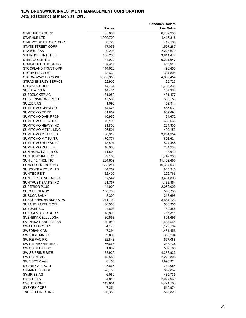|                                       |                  | <b>Canadian Dollars</b> |
|---------------------------------------|------------------|-------------------------|
|                                       | <b>Shares</b>    | <b>Fair Value</b>       |
| STARBUCKS CORP                        | 55,808           | 6,702,988               |
| STARHUB LTD                           | 1,099,700        | 4,416,818               |
| STARWOOD HTLS&RESORT                  | 6,725            | 712,198                 |
| STATE STREET CORP                     | 17,058           | 1,597,287               |
| STATOIL ASA                           | 100,203          | 2,248,679               |
| STEINHOFF INTL HLD                    | 458,200          | 3,641,472               |
| <b>STERICYCLE INC</b>                 | 34,932           | 6,221,647               |
| STMICROELECTRONICS                    | 34,317           | 405,918                 |
| STOCKLAND TRUST GRP                   | 114,023          | 496,450                 |
| STORA ENSO OYJ                        | 25,666           | 334,801                 |
| STORNOWAY DIAMOND                     | 5,835,950        | 4,689,454               |
| STRAD ENERGY SERVCS                   | 22,900           | 65,723                  |
| STRYKER CORP                          | 14,734           | 1,730,335               |
| SUBSEA 7 S.A.                         | 14,434           | 157,308                 |
| SUEDZUCKER AG                         | 31,050           | 481,477                 |
| <b>SUEZ ENVIRONNEMENT</b>             | 17,596           | 383,550                 |
| SULZER AG                             | 1,096            | 152,914                 |
| SUMITOMO CHEM CO                      | 74,623           | 487,031                 |
| SUMITOMO CORP                         | 61,852           | 839,694                 |
| <b>SUMITOMO DAINIPPON</b>             | 10,950           | 164,672                 |
| SUMITOMO ELECTRIC                     | 40,199           | 668,638                 |
| <b>SUMITOMO HEAVY IND</b>             | 31,800           | 264,300                 |
| SUMITOMO METAL MNG                    | 26,501           | 492,153                 |
| SUMITOMO MITSUI FG                    | 66,919           | 3,251,954               |
| SUMITOMO MITSUI TR                    | 170,771          | 893,621                 |
| SUMITOMO RLTY&DEV                     | 18,491           | 844,485                 |
| SUMITOMO RUBBER                       | 10,000           | 234,238                 |
| SUN HUNG KAI PPTYS                    | 11,894           | 43,619                  |
| SUN HUNG KAI PROP                     | 89,180           | 1,742,333               |
| SUN LIFE FNCL INC                     | 284,639          | 11,109,460              |
| SUNCOR ENERGY INC                     | 523,211          | 19,364,039              |
| SUNCORP GROUP LTD                     | 64,762           | 845,910                 |
| SUNTEC REIT                           | 132,400          | 226,766                 |
| <b>SUNTORY BEVERAGE &amp;</b>         | 62,547           | 3,401,803               |
| <b>SUNTRUST BANKS INC</b>             | 21,757           | 1,133,854               |
| <b>SUPERIOR PLUS</b>                  | 144,000          | 2,052,000               |
| <b>SURGE ENERGY</b>                   | 188,705          | 555,736                 |
| <b>SURUGA BANK</b>                    | 8,300            | 218,698                 |
| SUSQUEHANNA BKSHS PA                  | 211,700          | 3,681,123               |
| SUZANO PAPEL E CEL                    | 86,500           | 506,955                 |
| SUZUKEN CO                            | 4,893            | 189,385                 |
| <b>SUZUKI MOTOR CORP</b>              | 18,802           | 717,311                 |
| SVENSKA CELLULOSA                     | 30,558           | 891,696                 |
| SVENSKA HANDELSBKN                    | 26,019           | 1,487,541               |
| <b>SWATCH GROUP</b>                   | 4,176<br>47,294  | 1,129,194               |
| SWEDBANK AB                           |                  | 1,431,456               |
| SWEDISH MATCH<br><b>SWIRE PACIFIC</b> | 9,806            | 365,204                 |
| SWIRE PROPERTIES L                    | 32,843<br>56,667 | 567,088<br>233,735      |
| SWISS LIFE HLDG                       | 1,697            | 532,168                 |
| SWISS PRIME SITE                      | 38,926           | 4,288,923               |
| SWISS RE AG                           | 18,556           | 2,276,805               |
| SWISSCOM AG                           | 8,150            | 5,998,924               |
| SYDNEY AIRPORT                        | 145,665          | 730,054                 |
| SYMANTEC CORP                         | 28,780           | 852,862                 |
| <b>SYMRISE AG</b>                     | 6,069            | 485,735                 |
| SYNGENTA                              | 4,812            | 2,074,969               |
| SYSCO CORP                            | 119,651          | 5,771,180               |
| SYSMEX CORP                           | 7,254            | 510,974                 |
| <b>T&amp;D HOLDINGS INC</b>           | 30,380           | 530,823                 |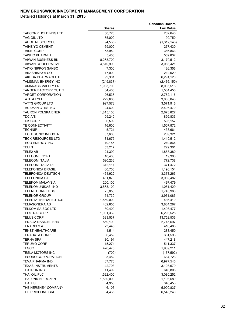|                             |               | <b>Canadian Dollars</b> |
|-----------------------------|---------------|-------------------------|
|                             | <b>Shares</b> | <b>Fair Value</b>       |
| TABCORP HOLDINGS LTD        | 50,728        | 232,646                 |
| TAG OIL LTD                 | 75,000        | 99,750                  |
| <b>TAHOE RESOURCES</b>      | (94, 535)     | (1,312,146)             |
| TAIHEIYO CEMENT             | 69,000        | 267,430                 |
| TAISEI CORP                 | 53,950        | 386,863                 |
| TAISHO PHARM H              | 5,400         | 509,832                 |
| TAIWAN BUSINESS BK          | 8,268,700     | 3,179,512               |
| TAIWAN COOPERATIVE          | 4,810,900     | 3,086,421               |
| TAIYO NIPPON SANSO          | 7,300         | 126,356                 |
| TAKASHIMAYA CO              | 17,000        | 212,029                 |
| TAKEDA PHARMACEUTI          | 99,301        | 6,291,120               |
| TALISMAN ENERGY INC         | (249, 837)    | (2,436,150)             |
| TAMARACK VALLEY ENE         | 1,933,700     | 8,005,518               |
| TANGER FACTORY OUTLT        | 34,400        | 1,534,450               |
| TARGET CORPORATION          | 26,536        | 2,762,116               |
| TATE & LYLE                 | 272,665       | 3,063,040               |
| TATTS GROUP LTD             | 927,573       | 3,571,916               |
| TAUBMAN CTRS INC            | 24,600        | 2,406,470               |
| TAURON POLSKA ENER          | 1,815,100     | 2,673,827               |
| TDC A/S                     | 99,240        | 899,833                 |
| TDK CORP                    | 6,599         | 595,157                 |
| <b>TE CONNECTIVITY</b>      | 16,600        | 1,507,872               |
| TECHNIP                     | 5,721         | 438,661                 |
| <b>TECHTRONIC INDUSTR</b>   | 67,600        | 289,321                 |
| <b>TECK RESOURCES LTD</b>   | 81,675        | 1,419,512               |
| <b>TECO ENERGY INC</b>      | 10,155        | 249,864                 |
| TEIJIN                      | 53,217        | 229,301                 |
| TELE2 AB                    | 124,390       | 1,883,380               |
| <b>TELECOM EGYPT</b>        | 10,400        | 19,300                  |
| <b>TELECOM ITALIA</b>       | 520,236       | 772,738                 |
| TELECOM ITALIA DI           | 312,111       | 371,472                 |
| TELEFONICA BRASIL           | 60,700        | 1,190,154               |
| TELEFONICA DEUTSCH          | 464,922       | 3,378,263               |
| TELEFONICA SA               | 461,878       | 3,989,482               |
| <b>TELEKOM MALAYSIA</b>     | 200,100       | 497,479                 |
| TELEKOMUNIKASI IND          | 3,863,100     | 1,081,429               |
| <b>TELENET GRP HLDG</b>     | 25,056        | 1,743,960               |
| <b>TELENOR GROUP</b>        | 154,730       | 3,961,085               |
| <b>TELESTA THERAPEUTICS</b> | 1,569,000     | 436,410                 |
| TELIASONERA AB              | 482,655       | 3,884,287               |
| TELKOM SA SOC LTD           | 180,400       | 1,493,477               |
| <b>TELSTRA CORP</b>         | 1,031,339     | 6,296,525               |
| TELUS CORP                  | 323,537       | 13,752,536              |
| TENAGA NASIONL BHD          | 559,100       | 2,745,597               |
| TENARIS S A                 | 23,445        | 416,488                 |
| TENET HEALTHCARE            | 4,514         | 283,450                 |
| TERADATA CORP               | 6,459         | 361,593                 |
| TERNA SPA                   | 80,191        | 447,218                 |
| <b>TERUMO CORP</b>          | 15,274        | 511,337                 |
| <b>TESCO</b>                | 426,475       | 1,939,211               |
| TESLA MOTORS INC            | (700)         | (167, 592)              |
| <b>TESORO CORPORATION</b>   | 5,482         | 634,723                 |
| TEVA PHARMA IND             | 87,776        | 6,977,546               |
| TEXAS INSTRUMENTS           | 42,793        | 3,103,679               |
| TEXTRON INC                 | 11,499        | 646,808                 |
| THAI OIL PLC                | 1,522,400     | 3,080,252               |
| THAI UNION FROZEN           | 1,530,000     | 1,196,580               |
| THALES                      | 4,955         | 348,453                 |
| THE HERSHEY COMPANY         | 46,106        | 5,900,837               |
| THE PRICELINE GRP           | 4,435         | 6,548,240               |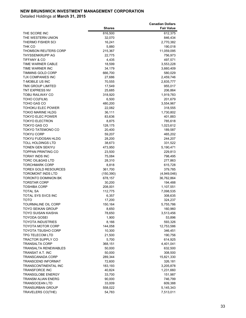|                                                 |                  | <b>Canadian Dollars</b> |
|-------------------------------------------------|------------------|-------------------------|
|                                                 | <b>Shares</b>    | <b>Fair Value</b>       |
| THE SCORE INC                                   | 816,500          | 612,375                 |
| THE WESTERN UNION                               | 32,070           | 846,434                 |
| THERMO FISHER SCI                               | 16,241           | 2,770,382               |
| THK CO                                          | 5,880            | 190,018                 |
| <b>THOMSON REUTERS CORP</b>                     | 215,367          | 11,059,095              |
| THYSSENKRUPP AG                                 | 22,775           | 756,973                 |
| <b>TIFFANY &amp; CO</b>                         | 4,435            | 497,571                 |
| TIME WARNER CABLE                               | 18,599           | 3,553,228               |
| TIME WARNER INC                                 | 34,179           | 3,660,409               |
| <b>TIMMINS GOLD CORP</b>                        | 666,700          | 580,029                 |
| <b>TJX COMPANIES INC</b>                        | 27,686           | 2,459,746               |
| <b>T-MOBILE US INC</b>                          | 70,555           | 2,835,777               |
| <b>TMX GROUP LIMITED</b>                        | 17,549           | 955,017                 |
| <b>TNT EXPRESS NV</b>                           | 25,685           | 206,864                 |
| TOBU RAILWAY CO                                 | 318,920          | 1,919,783               |
| TOHO CO(FILM)                                   | 6,500            | 201,679                 |
| TOHO GAS CO                                     | 480,200          | 3,554,967               |
| TOHOKU ELEC POWER                               | 22,082           | 318,555                 |
| <b>TOKIO MARINE HLDG</b>                        | 36,111           | 1,730,802               |
| <b>TOKYO ELEC POWER</b>                         | 83,636           | 401,883                 |
| <b>TOKYO ELECTRON</b>                           | 8,875            | 785,618                 |
| <b>TOKYO GAS CO</b>                             | 128,175          | 1,023,612               |
| <b>TOKYO TATEMONO CO</b>                        | 20,400           | 189,587                 |
| <b>TOKYU CORP</b>                               | 59,207           | 465,202                 |
| TOKYU FUDOSAN HLDG                              | 28,200           | 244,207                 |
| <b>TOLL HOLDINGS LTD</b>                        | 38,673           | 331,522                 |
| <b>TONEN GEN SEKIYU</b>                         | 473,950          | 5,190,471               |
| <b>TOPPAN PRINTING CO</b>                       | 23,500           | 229,813                 |
| <b>TORAY INDS INC</b>                           |                  | 798,495                 |
| <b>TORC OIL&amp;GAS LTD</b>                     | 75,084<br>28,310 | 277,863                 |
| <b>TORCHMARK CORP</b>                           | 8,818            | 615,728                 |
| <b>TOREX GOLD RESOURCES</b>                     | 361,700          | 379,785                 |
| <b>TOROMONT INDS LTD</b>                        |                  |                         |
| <b>TORONTO DOMINION BK</b>                      | (150, 390)       | (4,949,046)             |
|                                                 | 678,157          | 36,762,864              |
| <b>TORSTAR CORP</b>                             | 30,200           | 194,488                 |
| <b>TOSHIBA CORP</b>                             | 208,001          | 1,107,551               |
| <b>TOTAL SA</b>                                 | 112,775          | 7,098,535               |
| TOTAL SYS SVCS INC                              | 6,357            | 308,635                 |
| <b>TOTO</b>                                     | 17,200           | 324,237                 |
| TOURMALINE OIL CORP<br><b>TOYO SEIKAN GROUP</b> | 150,164          | 5,755,786               |
|                                                 | 8,650            | 160,960                 |
| TOYO SUISAN KAISHA                              | 78,650           | 3,513,456               |
| <b>TOYODA GOSEI</b>                             | 1,900            | 53,896                  |
| <b>TOYOTA INDUSTRIES</b>                        | 8,166            | 593,326                 |
| <b>TOYOTA MOTOR CORP</b>                        | 144,058          | 12,753,586              |
| <b>TOYOTA TSUSHO CORP</b><br>TPG TELECOM LTD    | 10,300           | 346,451                 |
|                                                 | 21,500           | 190,756                 |
| <b>TRACTOR SUPPLY CO</b>                        | 5,700            | 614,925                 |
| <b>TRANSALTA CORP</b>                           | 368,151          | 4,401,041               |
| <b>TRANSALTA RENEWABLES</b>                     | 50,000           | 632,500                 |
| <b>TRANSAT A.T. INC</b>                         | 50,000           | 308,500                 |
| <b>TRANSCANADA CORP</b>                         | 289,344          | 15,821,330              |
| <b>TRANSCEND INFORMAT</b>                       | 72,600           | 326,181                 |
| TRANSCONTINENTAL INC                            | 183,193          | 3,205,878               |
| TRANSFORCE INC                                  | 40,824           | 1,231,660               |
| <b>TRANSGLOBE ENERGY</b>                        | 33,700           | 151,987                 |
| <b>TRANSM ALIAN ENERG</b>                       | 90,000           | 746,799                 |
| <b>TRANSOCEAN LTD</b>                           | 33,009           | 609,388                 |
| TRANSURBAN GROUP                                | 558,022          | 5,145,343               |
| TRAVELERS CO(THE)                               | 54,783           | 7,513,011               |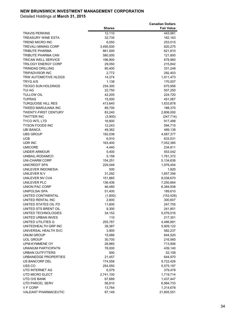|                               |                   | <b>Canadian Dollars</b> |
|-------------------------------|-------------------|-------------------------|
|                               | <b>Shares</b>     | <b>Fair Value</b>       |
| TRAVIS PERKINS                | 12,110            | 443,981                 |
| TREASURY WINE ESTA            | 32,735            | 162,163                 |
| TREND MICRO INC               | 6,050             | 253,015                 |
| <b>TREVALI MINING CORP</b>    | 3,495,500         | 820,275                 |
| TRIBUTE PHARMA                | 661,500           | 621,810                 |
| TRIBUTE PHARMA CAN            | 580,000           | 121,800                 |
| TRICAN WELL SERVICE           | 196,800           | 678,960                 |
| TRILOGY ENERGY CORP           | 29,050            | 215,842                 |
| TRINIDAD DRILLING             | 80,400            | 331,248                 |
| <b>TRIPADVISOR INC</b>        | 2,772             | 292,403                 |
| TRW AUTOMOTIVE HLDGS          | 14,374            | 1,911,473               |
| TRYG A/S                      | 1,138             | 170,007                 |
| TSOGO SUN HOLDINGS            | 234,300           | 675,956                 |
| TUI AG                        | 22,750            | 507,250                 |
| <b>TULLOW OIL</b>             | 42,205            | 224,720                 |
| <b>TUPRAS</b>                 | 15,000            | 451,067                 |
| <b>TURQUOISE HILL RES</b>     | 413,640           | 1,633,878               |
| TWEED MARIJUANA INC           | 89,700            | 188,370                 |
| TWENTY-FIRST CENTURY          | 83,240            | 2,806,000               |
| <b>TWITTER INC</b>            | (3,900)           | (247, 714)              |
| TYCO INTL LTD                 | 16,800            | 917,498                 |
| TYSON FOODS INC               | 12,243            | 594,715                 |
| UBI BANCA<br><b>UBS GROUP</b> | 49,362<br>192,038 | 489,138                 |
| UCB                           | 6,910             | 4,587,377<br>633,031    |
| UDR INC                       | 163,400           | 7,052,385               |
| UMICORE                       | 4,440             | 234,811                 |
| UNDER ARMOUR                  | 5,400             | 553,042                 |
| UNIBAIL-RODAMCO               | 5,158             | 1,761,372               |
| UNI-CHARM CORP                | 154,251           | 5,134,636               |
| UNICREDIT SPA                 | 229,548           | 1,976,454               |
| UNILEVER INDONESIA            | 500               | 1,920                   |
| UNILEVER N.V                  | 31,292            | 1,657,356               |
| UNILEVER NV CVA               | 151,865           | 8,038,670               |
| UNILEVER PLC                  | 136,436           | 7,250,664               |
| <b>UNION PAC CORP</b>         | 46,480            | 6,384,938               |
| <b>UNIPOLSAI SPA</b>          | 51,400            | 189,610                 |
| UNITED CONTINENTAL            | (1,800)           | (153, 528)              |
| UNITED RENTAL INC             | 2,600             | 300,607                 |
| UNITED STATES OIL FD          | 11,600            | 247,755                 |
| UNITED STS BRENT OIL          | 9,300             | 241,801                 |
| UNITED TECHNOLOGIES           | 34,152            | 5,076,516               |
| UNITED URBAN INVES            | 110               | 217,351                 |
| UNITED UTILITIES G            | 255,787           | 4,486,891               |
| UNITEDHEALTH GRP INC          | 39,387            | 5,909,122               |
| UNIVERSAL HEALTH SVC          | 3,900             | 582,237                 |
| UNUM GROUP                    | 15,066            | 644,520                 |
| <b>UOL GROUP</b>              | 30,700            | 216,560                 |
| UPM-KYMMENE OY                | 28,965            | 713,906                 |
| URANIUM PARTICIPATN           | 78,000            | 439,140                 |
| URBAN OUTFITTERS              | 900               | 52,108                  |
| URBANEDGE PROPERTIES          | 21,457            | 644,970                 |
| US BANCORP DEL                | 174,558           | 9,722,426               |
| USS CO                        | 254,050           | 5,575,197               |
| UTD INTERNET AG               | 6,579             | 379,478                 |
| UTD MICRO ELECT               | 2,741,100         | 1,719,714               |
| UTD O/S BANK                  | 67,689            | 1,437,447               |
| UTD PARCEL SERV               | 56,810            | 6,984,733               |
| V F CORP                      | 13,764            | 1,314,678               |
| VALEANT PHARMACEUTIC          | 87,149            | 21,805,551              |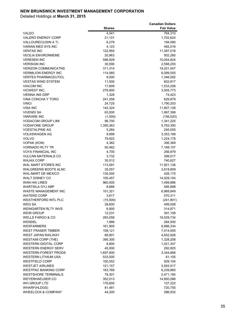|                                                  |               | <b>Canadian Dollars</b> |
|--------------------------------------------------|---------------|-------------------------|
|                                                  | <b>Shares</b> | <b>Fair Value</b>       |
| <b>VALEO</b>                                     | 4,041         | 764,310                 |
| <b>VALERO ENERGY CORP</b>                        | 21,101        | 1,702,624               |
| VALLOUREC(USIN A T)                              | 6,279         | 194,090                 |
| <b>VARIAN MED SYS INC</b>                        | 4,123         | 492,016                 |
| <b>VENTAS INC</b>                                | 122,955       | 11,387,018              |
|                                                  |               |                         |
| <b>VEOLIA ENVIRONNEME</b>                        | 20,963        | 502,280                 |
| <b>VERESEN INC</b>                               | 596,829       | 10,004,824              |
| <b>VERISIGN INC</b>                              | 30,590        | 2,598,255               |
| <b>VERIZON COMMUNICATNS</b>                      | 311,314       | 19,201,047              |
| <b>VERMILION ENERGY INC</b>                      | 114,085       | 6,099,555               |
| <b>VERTEX PHARMACEUTICL</b>                      | 9,000         | 1,346,592               |
| <b>VESTAS WIND SYSTEM</b>                        | 11,500        | 602,817                 |
| <b>VIACOM INC</b>                                | 17,609        | 1,533,208               |
| VICWEST INC.                                     | 278,900       | 3,505,773               |
| <b>VIENNA INS GRP</b>                            | 1,328         | 74,423                  |
| VINA CONCHA Y TORO                               | 241,258       | 629,879                 |
| <b>VINCI</b>                                     | 24,725        | 1,790,203               |
| <b>VISA INC</b>                                  | 142,324       | 11,807,128              |
| <b>VIVENDI SA</b>                                | 63,500        | 1,997,399               |
| <b>VMWARE INC</b>                                | (1,500)       | (156, 020)              |
| <b>VODACOM GROUP LIMI</b>                        | 96,700        | 1,341,225               |
| <b>VODAFONE GROUP</b>                            | 1,395,363     | 5,783,393               |
| <b>VOESTALPINE AG</b>                            | 5,284         | 245,055                 |
| <b>VOLKSWAGEN AG</b>                             | 9,999         | 3,353,199               |
| <b>VOLVO</b>                                     | 79,922        | 1,224,178               |
| <b>VOPAK (KON)</b>                               | 4,382         | 306,369                 |
| <b>VORNADO RLTY TR</b>                           | 50,462        | 7,168,107               |
| <b>VOYA FINANCIAL INC</b>                        | 4,700         | 256,979                 |
| <b>VULCAN MATERIALS CO</b>                       | 3,732         | 399,017                 |
| <b>WAJAX CORP</b>                                | 30,512        | 740,627                 |
| WAL MART STORES INC                              | 113,591       | 11,921,136              |
| <b>WALGREENS BOOTS ALNC</b>                      | 35,557        | 3,818,809               |
| <b>WAL-MART DE MEXICO</b>                        | 135,500       | 428,175                 |
| <b>WALT DISNEY CO</b>                            | 105,457       | 14,029,154              |
| <b>WAN HAI LINES</b>                             | 960,000       | 1,499,886               |
| <b>WARTSILA OYJ ABP</b>                          | 8,666         | 485,888                 |
| <b>WASTE MANAGEMENT INC</b>                      | 101,321       | 6,968,849               |
| <b>WATERS CORP</b>                               | 3,617         | 570,311                 |
| <b>WEATHERFORD INTL PLC</b>                      | (15,500)      | (241, 801)              |
| WEG SA                                           | 39,600        | 499,008                 |
|                                                  |               |                         |
| <b>WEINGARTEN RLTY INVS</b><br><b>WEIR GROUP</b> | 6,900         | 314,871                 |
|                                                  | 12,231        | 391,158                 |
| <b>WELLS FARGO &amp; CO</b>                      | 283,058       | 19,529,734              |
| WENDEL                                           | 1,886         | 284,500                 |
| <b>WESFARMERS</b>                                | 161,905       | 6,886,334               |
| <b>WEST FRASER TIMBER</b>                        | 108,121       | 7,014,000               |
| <b>WEST JAPAN RAILWAY</b>                        | 69,901        | 4,652,926               |
| <b>WESTAIM CORP (THE)</b>                        | 395,300       | 1,328,208               |
| <b>WESTERN DIGITAL CORP</b>                      | 8,800         | 1,021,347               |
| <b>WESTERN ENERGY SERV</b>                       | 45,000        | 282,825                 |
| <b>WESTERN FOREST PRODS</b>                      | 1,697,800     | 3,344,666               |
| WESTERN LITHIUM USA                              | 533,500       | 61,105                  |
| <b>WESTFIELD CORP</b>                            | 100,552       | 929,104                 |
| <b>WESTJET AIRLINES</b>                          | 121,157       | 3,593,517               |
| <b>WESTPAC BANKING CORP</b>                      | 163,768       | 6,239,860               |
| <b>WESTSHORE TERMINALS</b>                       | 78,301        | 2,471,180               |
| <b>WEYERHAEUSER CO</b>                           | 352,013       | 14,800,086              |
| WH GROUP LTD                                     | 176,600       | 127,222                 |
| <b>WHARF(HLDGS)</b>                              | 81,481        | 720,755                 |
| WHEELOCK & COMPANY                               | 44,300        | 286,932                 |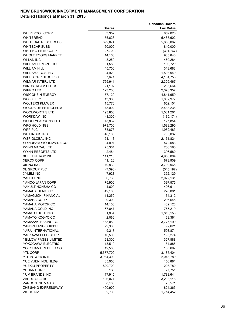|                                          |                   | <b>Canadian Dollars</b> |
|------------------------------------------|-------------------|-------------------------|
|                                          | <b>Shares</b>     | <b>Fair Value</b>       |
| <b>WHIRLPOOL CORP</b>                    | 3,352             | 859,026                 |
| <b>WHITBREAD</b>                         | 55,628            | 5,485,602               |
| <b>WHITECAP RESOURCES</b>                | 392,074           | 5,655,062               |
| <b>WHITECAP SUBS</b>                     | 60,000            | 810,000                 |
| <b>WHITING PETE CORP</b>                 | (7,700)           | (301, 767)              |
| <b>WHOLE FOODS MARKET</b>                | 14,168            | 935,840                 |
| WI LAN INC                               | 148,250           | 469,284                 |
| <b>WILLIAM DEMANT HOL</b>                | 1,580             | 169,729                 |
| <b>WILLIAM HILL</b>                      | 45,700            | 318,683                 |
| <b>WILLIAMS COS INC</b>                  | 24,920            | 1,598,949               |
| WILLIS GRP HLDG PLC                      | 67,671            | 4,161,758               |
| <b>WILMAR INTERL LTD</b>                 | 765,941           | 2,305,467               |
| <b>WINDSTREAM HLDGS</b>                  | 21,197            | 205,664                 |
| <b>WIPRO LTD</b>                         | 123,200           | 2,078,357               |
| <b>WISCONSIN ENERGY</b>                  | 77,120            | 4,841,659               |
| <b>WOLSELEY</b><br><b>WOLTERS KLUWER</b> | 13,360            | 1,002,977               |
| <b>WOODSIDE PETROLEUM</b>                | 15,770            | 652,101                 |
| <b>WOOLWORTHS LTD</b>                    | 73,002            | 2,438,236               |
| <b>WORKDAY INC</b>                       | 193,856           | 5,531,261               |
| <b>WORLEYPARSONS LTD</b>                 | (1,300)<br>13,837 | (139, 174)<br>127,854   |
| <b>WPG HOLDINGS</b>                      | 973,700           | 1,588,290               |
| WPP PLC                                  | 68,873            | 1,982,483               |
| <b>WPT INDUSTRIAL</b>                    | 46,100            | 705,032                 |
| <b>WSP GLOBAL INC</b>                    | 51,113            | 2,161,824               |
| WYNDHAM WORLDWIDE CO                     | 4,991             | 572,683                 |
| WYNN MACAU LTD                           | 75,364            | 206,580                 |
| WYNN RESORTS LTD                         | 2,484             | 396,580                 |
| <b>XCEL ENERGY INC</b>                   | 111,210           | 4,955,004               |
| <b>XEROX CORP</b>                        | 41,126            | 673,909                 |
| <b>XILINX INC</b>                        | 70,830            | 3,799,965               |
| <b>XL GROUP PLC</b>                      | (7, 396)          | (345, 197)              |
| <b>XYLEM INC</b>                         | 7,928             | 352,129                 |
| YAHOO INC                                | 36,768            | 2,072,131               |
| YAHOO JAPAN CORP                         | 75,900            | 397,575                 |
| YAKULT HONSHA CO                         | 4,600             | 406,611                 |
| YAMADA DENKI CO                          | 42,100            | 220,081                 |
| YAMAGUCHI FINANCIAL                      | 11,250            | 164,312                 |
| YAMAHA CORP                              | 9,300             | 206,645                 |
| YAMAHA MOTOR CO                          | 14,100            | 432,128                 |
| YAMANA GOLD INC                          | 167,847           | 765,219                 |
| YAMATO HOLDINGS                          | 61,834            | 1,810,156               |
| YAMATO KOGYO CO                          | 2,066             | 63,361                  |
| YAMAZAKI BAKING CO<br>YANGZIJIANG SHIPBU | 165,050<br>79,300 | 3,777,199<br>92,621     |
| YARA INTERNATIONAL                       | 9,217             | 593,871                 |
| YASKAWA ELEC CORP                        | 10,500            | 195,274                 |
| YELLOW PAGES LIMITED                     | 23,300            | 357,888                 |
| YOKOGAWA ELECTRIC                        | 13,519            | 184,888                 |
| YOKOHAMA RUBBER CO                       | 12,500            | 163,692                 |
| <b>YTL CORP</b>                          | 5,577,700         | 3,185,404               |
| <b>YTL POWER INTL</b>                    | 3,984,300         | 2,043,789               |
| YUE YUEN INDL HLDG                       | 35,050            | 156,881                 |
| YUEXIU PROPERTY                          | 820,700           | 203,780                 |
| YUHAN CORP.                              | 130               | 27,751                  |
| YUM BRANDS INC                           | 17,915            | 1,788,644               |
| ZARDOYA-OTIS                             | 196,074           | 3,203,115               |
| ZARGON OIL & GAS                         | 8,100             | 23,571                  |
| ZHEJIANG EXPRESSWAY                      | 490,900           | 824,363                 |
| ZIGGO NV                                 | 32,700            | 1,714,452               |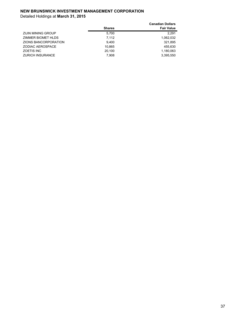|                         | <b>Shares</b> | <b>Canadian Dollars</b><br><b>Fair Value</b> |
|-------------------------|---------------|----------------------------------------------|
| ZIJIN MINING GROUP      | 5.700         | 2.291                                        |
| ZIMMER BIOMET HLDS      | 7.112         | 1,062,032                                    |
| ZIONS BANCORPORATION    | 9.400         | 321.895                                      |
| ZODIAC AEROSPACE        | 10,865        | 455.630                                      |
| ZOETIS INC              | 20.100        | 1,180,063                                    |
| <b>ZURICH INSURANCE</b> | 7,908         | 3,395,550                                    |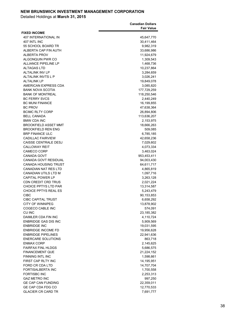|                                                            | <b>Canadian Dollars</b> |
|------------------------------------------------------------|-------------------------|
|                                                            | <b>Fair Value</b>       |
| <b>FIXED INCOME</b>                                        |                         |
| <b>407 INTERNATIONAL IN</b>                                | 45,647,770              |
| 407 INTL INC                                               | 30,411,464              |
| 55 SCHOOL BOARD TR                                         | 9,982,319               |
| ALBERTA CAP FIN AUTH                                       | 33,686,986              |
| <b>ALBERTA PROV</b>                                        | 11,924,679              |
| ALGONQUIN PWR CO                                           | 1,309,543               |
| <b>ALLIANCE PIPELINE LP</b>                                | 1,468,736               |
| <b>ALTAGAS LTD</b>                                         | 10,237,864              |
| <b>ALTALINK INV LP</b>                                     | 3,284,659               |
| ALTALINK INVTS L P                                         | 3,026,241               |
| <b>ALTALINK LP</b>                                         | 19,849,078              |
| AMERICAN EXPRESS CDA                                       | 3,085,820               |
| <b>BANK NOVA SCOTIA</b>                                    | 177,729,259             |
| <b>BANK OF MONTREAL</b>                                    | 118,250,546             |
| <b>BC FERRY SVCS</b>                                       | 2,440,249               |
| <b>BC MUNI FINANCE</b>                                     | 16,199,855              |
| <b>BC PROV</b>                                             | 47,638,364              |
| <b>BCIMC RLTY CORP</b>                                     | 26,894,806              |
| <b>BELL CANADA</b>                                         | 113,636,207             |
| <b>BMW CDA INC</b>                                         | 2,153,975               |
| <b>BROOKFIELD ASSET MMT</b>                                | 18,666,263              |
| <b>BROOKFIELD REN ENG</b>                                  | 509,085                 |
| <b>BRP FINANCE ULC</b>                                     | 6,785,185               |
| <b>CADILLAC FAIRVIEW</b>                                   | 42,658,236              |
| <b>CAISSE CENTRALE DESJ</b>                                | 7,029,602               |
| <b>CALLOWAY REIT</b>                                       | 4,073,334               |
| <b>CAMECO CORP</b>                                         | 3,463,024               |
| CANADA GOVT                                                | 953,453,411             |
| CANADA GOVT RESIDUAL                                       | 94,003,430              |
| <b>CANADA HOUSING TRUST</b><br><b>CANADIAN NAT RES LTD</b> | 64,611,717              |
| CANADIAN UTILS LTD M                                       | 4,865,819               |
| <b>CAPITAL POWER LP</b>                                    | 1,097,716<br>3,263,128  |
| CDN CREDIT CRD TRUS                                        | 2,021,224               |
| <b>CHOICE PPTYS LTD PAR</b>                                | 13,314,587              |
| <b>CHOICE PPTYS REAL ES</b>                                | 5,243,479               |
| <b>CIBC</b>                                                | 90,153,853              |
| <b>CIBC CAPITAL TRUST</b>                                  | 6,658,292               |
| CITY OF WINNIPEG                                           | 13,878,902              |
| COGECO CABLE INC                                           | 574,091                 |
| CU INC                                                     | 23,185,382              |
| DAIMLER CDA FIN INC                                        | 4,110,724               |
| <b>ENBRIDGE GAS DIS INC</b>                                | 5,909,569               |
| <b>ENBRIDGE INC</b>                                        | 19,031,595              |
| <b>ENBRIDGE INCOME FD</b>                                  | 19,956,628              |
| <b>ENBRIDGE PIPELINES</b>                                  | 22,941,636              |
| <b>ENERCARE SOLUTIONS</b>                                  | 863,718                 |
| <b>ENMAX CORP</b>                                          | 2,145,625               |
| <b>FAIRFAX FINL HLDGS</b>                                  | 5,686,575               |
| <b>FINANCEMENT QUE</b>                                     | 21,224,152              |
| FINNING INTL INC                                           | 1,598,661               |
| FIRST CAP RLTY INC                                         | 14,195,951              |
| FORD CR CDA LTD                                            | 14,707,704              |
| <b>FORTISALBERTA INC</b>                                   | 1,700,558               |
| <b>FORTISBC INC</b>                                        | 2,253,313               |
| <b>GAZ METRO INC</b>                                       | 997,250                 |
| <b>GE CAP CAN FUNDING</b>                                  | 22,359,011              |
| GE CAP CDA FDG CO                                          | 12,770,533              |
| <b>GLACIER CR CARD TR</b>                                  | 7,691,777               |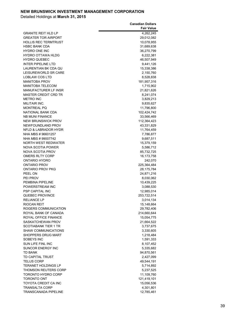|                             | <b>Canadian Dollars</b> |
|-----------------------------|-------------------------|
|                             | <b>Fair Value</b>       |
| <b>GRANITE REIT HLD LP</b>  | 4,262,245               |
| <b>GREATER TOR AIRPORT</b>  | 29,012,082              |
| <b>HOLLIS REC TERMTRUST</b> | 10,078,955              |
| <b>HSBC BANK CDA</b>        | 31,689,638              |
| <b>HYDRO ONE INC</b>        | 36,270,799              |
| HYDRO OTTAWA HLDG           | 6,222,381               |
| <b>HYDRO QUEBEC</b>         | 46,507,949              |
| <b>INTER PIPELINE LTD</b>   | 9,441,126               |
| LAURENTIAN BK CDA QU        | 15,338,386              |
| LEISUREWORLD SR CARE        | 2,150,760               |
| LOBLAW COS LTD              | 8,528,838               |
| <b>MANITOBA PROV</b>        | 181,957,316             |
| <b>MANITOBA TELECOM</b>     | 1,715,902               |
| MANUFACTURER LF INSR        | 21,821,626              |
| <b>MASTER CREDIT CRD TR</b> | 8,241,074               |
| <b>METRO INC</b>            | 3,829,213               |
| MILITAIR INC.               | 9,835,627               |
| <b>MONTREAL PQ</b>          | 11,796,800              |
| NATIONAL BANK CDA           | 102,424,742             |
| <b>NB MUNI FINANCE</b>      | 33,566,469              |
| <b>NEW BRUNSWICK PROV</b>   | 112,364,423             |
| NEWFOUNDLAND PROV           | 43,331,829              |
| NFLD & LABRADOR HYDR        | 11,764,459              |
| NHA MBS #96601257           | 7,786,877               |
| NHA MBS #99007742           | 9,687,511               |
| NORTH WEST REDWATER         | 15,379,159              |
| NOVA SCOTIA POWER           | 5,586,712               |
| NOVA SCOTIA PROV            | 85,732,725              |
| <b>OMERS RLTY CORP</b>      | 16,173,758              |
| ONTARIO HYDRO               | 242,070                 |
| <b>ONTARIO PROV</b>         | 225,364,484             |
| ONTARIO PROV PKG            | 28,175,784              |
| PEEL ON                     | 24,871,216              |
| <b>PEI PROV</b>             | 8,030,062               |
| PEMBINA PIPELINE            | 10,439,225              |
| POWERSTREAM INC             | 3,088,530               |
| <b>PSP CAPITAL INC</b>      | 12,985,014              |
| QUEBEC PROVINCE             | 253,722,514             |
| <b>RELIANCE LP</b>          | 3,014,134               |
| RIOCAN REIT                 | 15,148,664              |
| ROGERS COMMUNICATION        | 29,782,406              |
| ROYAL BANK OF CANADA        | 214,660,644             |
| ROYAL OFFICE FINANCE        | 15,054,775              |
| SASKATCHEWAN PROV           | 21,664,522              |
| <b>SCOTIABANK TIER 1 TR</b> | 3,737,675               |
| <b>SHAW COMMUNICATIONS</b>  | 3,330,605               |
| SHOPPERS DRUG MART          | 1,218,484               |
| SOBEYS INC                  | 1,591,333               |
| SUN LIFE FINL INC           | 8,107,452               |
| <b>SUNCOR ENERGY INC</b>    | 5,335,682               |
| <b>TD BANK</b>              | 94,870,561              |
| TD CAPITAL TRUST            | 2,427,099               |
| <b>TELUS CORP</b>           | 49,544,191              |
| <b>TERANET HOLDINGS LP</b>  | 5,714,892               |
| <b>THOMSON REUTERS CORP</b> | 5,237,525               |
| TORONTO HYDRO CORP          | 11,109,760              |
| TORONTO ONT                 | 121,419,101             |
| TOYOTA CREDIT CA INC        | 15,056,536              |
| <b>TRANSALTA CORP</b>       | 4,301,801               |
| <b>TRANSCANADA PIPELINE</b> | 12,785,461              |